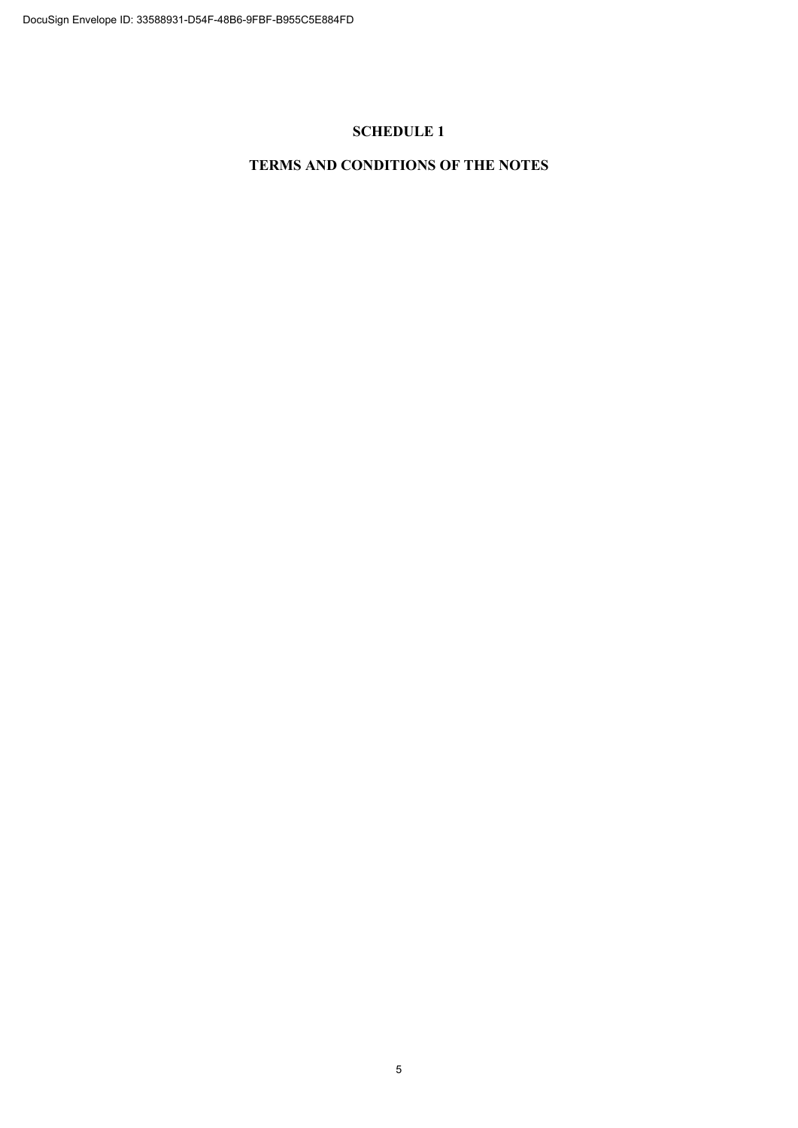# **SCHEDULE 1**

# **TERMS AND CONDITIONS OF THE NOTES**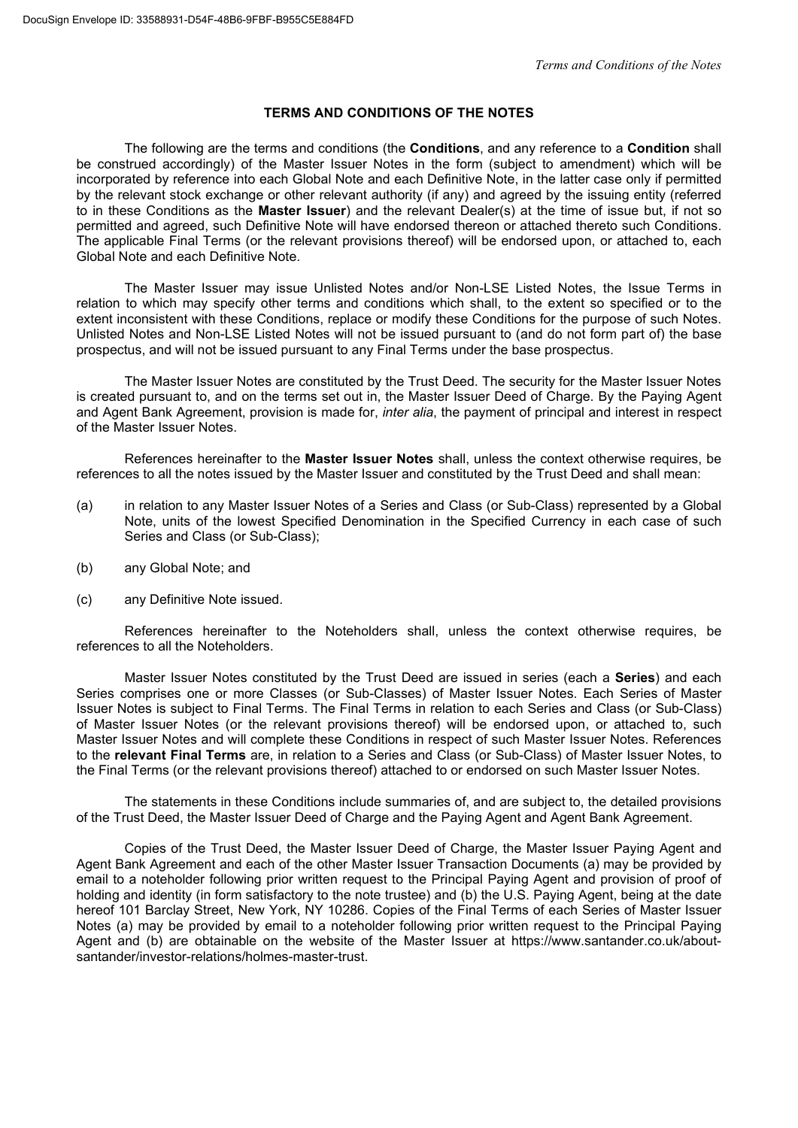# **TERMS AND CONDITIONS OF THE NOTES**

The following are the terms and conditions (the **Conditions**, and any reference to a **Condition** shall be construed accordingly) of the Master Issuer Notes in the form (subject to amendment) which will be incorporated by reference into each Global Note and each Definitive Note, in the latter case only if permitted by the relevant stock exchange or other relevant authority (if any) and agreed by the issuing entity (referred to in these Conditions as the **Master Issuer**) and the relevant Dealer(s) at the time of issue but, if not so permitted and agreed, such Definitive Note will have endorsed thereon or attached thereto such Conditions. The applicable Final Terms (or the relevant provisions thereof) will be endorsed upon, or attached to, each Global Note and each Definitive Note.

The Master Issuer may issue Unlisted Notes and/or Non-LSE Listed Notes, the Issue Terms in relation to which may specify other terms and conditions which shall, to the extent so specified or to the extent inconsistent with these Conditions, replace or modify these Conditions for the purpose of such Notes. Unlisted Notes and Non-LSE Listed Notes will not be issued pursuant to (and do not form part of) the base prospectus, and will not be issued pursuant to any Final Terms under the base prospectus.

The Master Issuer Notes are constituted by the Trust Deed. The security for the Master Issuer Notes is created pursuant to, and on the terms set out in, the Master Issuer Deed of Charge. By the Paying Agent and Agent Bank Agreement, provision is made for, *inter alia*, the payment of principal and interest in respect of the Master Issuer Notes.

References hereinafter to the **Master Issuer Notes** shall, unless the context otherwise requires, be references to all the notes issued by the Master Issuer and constituted by the Trust Deed and shall mean:

- (a) in relation to any Master Issuer Notes of a Series and Class (or Sub-Class) represented by a Global Note, units of the lowest Specified Denomination in the Specified Currency in each case of such Series and Class (or Sub-Class);
- (b) any Global Note; and
- (c) any Definitive Note issued.

References hereinafter to the Noteholders shall, unless the context otherwise requires, be references to all the Noteholders.

Master Issuer Notes constituted by the Trust Deed are issued in series (each a **Series**) and each Series comprises one or more Classes (or Sub-Classes) of Master Issuer Notes. Each Series of Master Issuer Notes is subject to Final Terms. The Final Terms in relation to each Series and Class (or Sub-Class) of Master Issuer Notes (or the relevant provisions thereof) will be endorsed upon, or attached to, such Master Issuer Notes and will complete these Conditions in respect of such Master Issuer Notes. References to the **relevant Final Terms** are, in relation to a Series and Class (or Sub-Class) of Master Issuer Notes, to the Final Terms (or the relevant provisions thereof) attached to or endorsed on such Master Issuer Notes.

The statements in these Conditions include summaries of, and are subject to, the detailed provisions of the Trust Deed, the Master Issuer Deed of Charge and the Paying Agent and Agent Bank Agreement.

Copies of the Trust Deed, the Master Issuer Deed of Charge, the Master Issuer Paying Agent and Agent Bank Agreement and each of the other Master Issuer Transaction Documents (a) may be provided by email to a noteholder following prior written request to the Principal Paying Agent and provision of proof of holding and identity (in form satisfactory to the note trustee) and (b) the U.S. Paying Agent, being at the date hereof 101 Barclay Street, New York, NY 10286. Copies of the Final Terms of each Series of Master Issuer Notes (a) may be provided by email to a noteholder following prior written request to the Principal Paying Agent and (b) are obtainable on the website of the Master Issuer at https://www.santander.co.uk/aboutsantander/investor-relations/holmes-master-trust.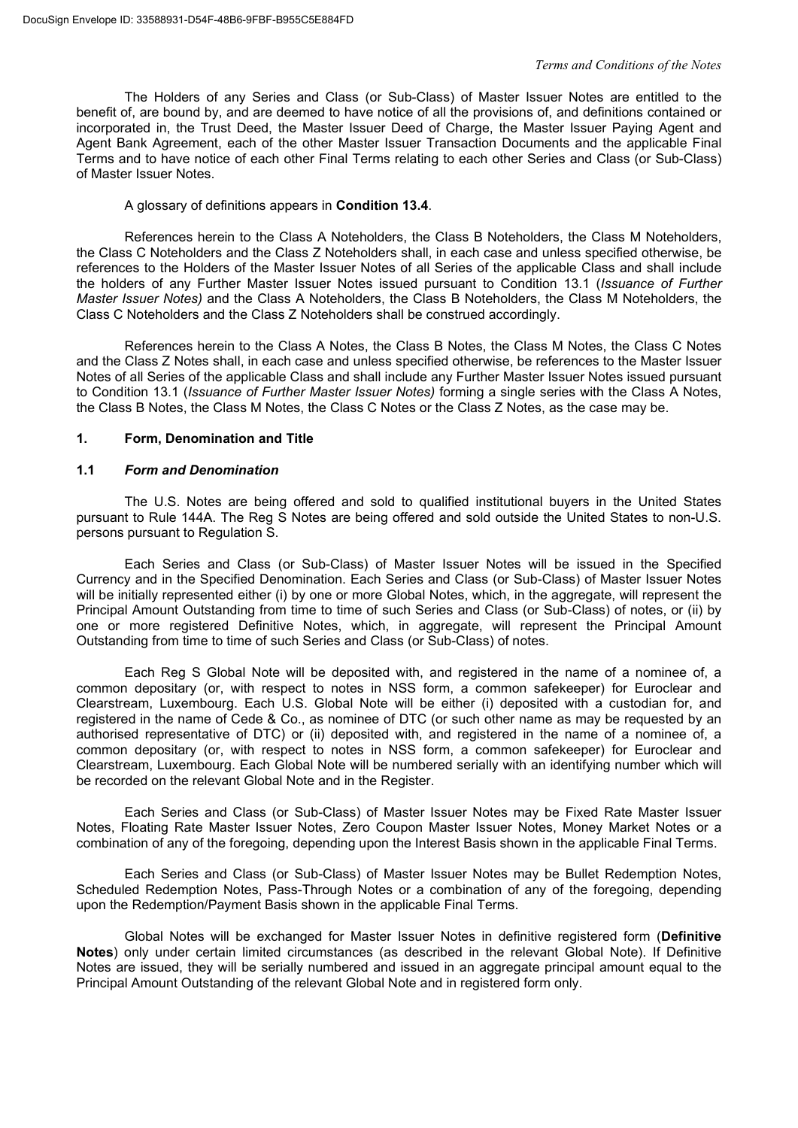The Holders of any Series and Class (or Sub-Class) of Master Issuer Notes are entitled to the benefit of, are bound by, and are deemed to have notice of all the provisions of, and definitions contained or incorporated in, the Trust Deed, the Master Issuer Deed of Charge, the Master Issuer Paying Agent and Agent Bank Agreement, each of the other Master Issuer Transaction Documents and the applicable Final Terms and to have notice of each other Final Terms relating to each other Series and Class (or Sub-Class) of Master Issuer Notes.

### A glossary of definitions appears in **Condition 13.4**.

References herein to the Class A Noteholders, the Class B Noteholders, the Class M Noteholders, the Class C Noteholders and the Class Z Noteholders shall, in each case and unless specified otherwise, be references to the Holders of the Master Issuer Notes of all Series of the applicable Class and shall include the holders of any Further Master Issuer Notes issued pursuant to Condition 13.1 (*Issuance of Further Master Issuer Notes)* and the Class A Noteholders, the Class B Noteholders, the Class M Noteholders, the Class C Noteholders and the Class Z Noteholders shall be construed accordingly.

References herein to the Class A Notes, the Class B Notes, the Class M Notes, the Class C Notes and the Class Z Notes shall, in each case and unless specified otherwise, be references to the Master Issuer Notes of all Series of the applicable Class and shall include any Further Master Issuer Notes issued pursuant to Condition 13.1 (*Issuance of Further Master Issuer Notes)* forming a single series with the Class A Notes, the Class B Notes, the Class M Notes, the Class C Notes or the Class Z Notes, as the case may be.

#### **1. Form, Denomination and Title**

#### **1.1** *Form and Denomination*

The U.S. Notes are being offered and sold to qualified institutional buyers in the United States pursuant to Rule 144A. The Reg S Notes are being offered and sold outside the United States to non-U.S. persons pursuant to Regulation S.

Each Series and Class (or Sub-Class) of Master Issuer Notes will be issued in the Specified Currency and in the Specified Denomination. Each Series and Class (or Sub-Class) of Master Issuer Notes will be initially represented either (i) by one or more Global Notes, which, in the aggregate, will represent the Principal Amount Outstanding from time to time of such Series and Class (or Sub-Class) of notes, or (ii) by one or more registered Definitive Notes, which, in aggregate, will represent the Principal Amount Outstanding from time to time of such Series and Class (or Sub-Class) of notes.

Each Reg S Global Note will be deposited with, and registered in the name of a nominee of, a common depositary (or, with respect to notes in NSS form, a common safekeeper) for Euroclear and Clearstream, Luxembourg. Each U.S. Global Note will be either (i) deposited with a custodian for, and registered in the name of Cede & Co., as nominee of DTC (or such other name as may be requested by an authorised representative of DTC) or (ii) deposited with, and registered in the name of a nominee of, a common depositary (or, with respect to notes in NSS form, a common safekeeper) for Euroclear and Clearstream, Luxembourg. Each Global Note will be numbered serially with an identifying number which will be recorded on the relevant Global Note and in the Register.

Each Series and Class (or Sub-Class) of Master Issuer Notes may be Fixed Rate Master Issuer Notes, Floating Rate Master Issuer Notes, Zero Coupon Master Issuer Notes, Money Market Notes or a combination of any of the foregoing, depending upon the Interest Basis shown in the applicable Final Terms.

Each Series and Class (or Sub-Class) of Master Issuer Notes may be Bullet Redemption Notes, Scheduled Redemption Notes, Pass-Through Notes or a combination of any of the foregoing, depending upon the Redemption/Payment Basis shown in the applicable Final Terms.

Global Notes will be exchanged for Master Issuer Notes in definitive registered form (**Definitive Notes**) only under certain limited circumstances (as described in the relevant Global Note). If Definitive Notes are issued, they will be serially numbered and issued in an aggregate principal amount equal to the Principal Amount Outstanding of the relevant Global Note and in registered form only.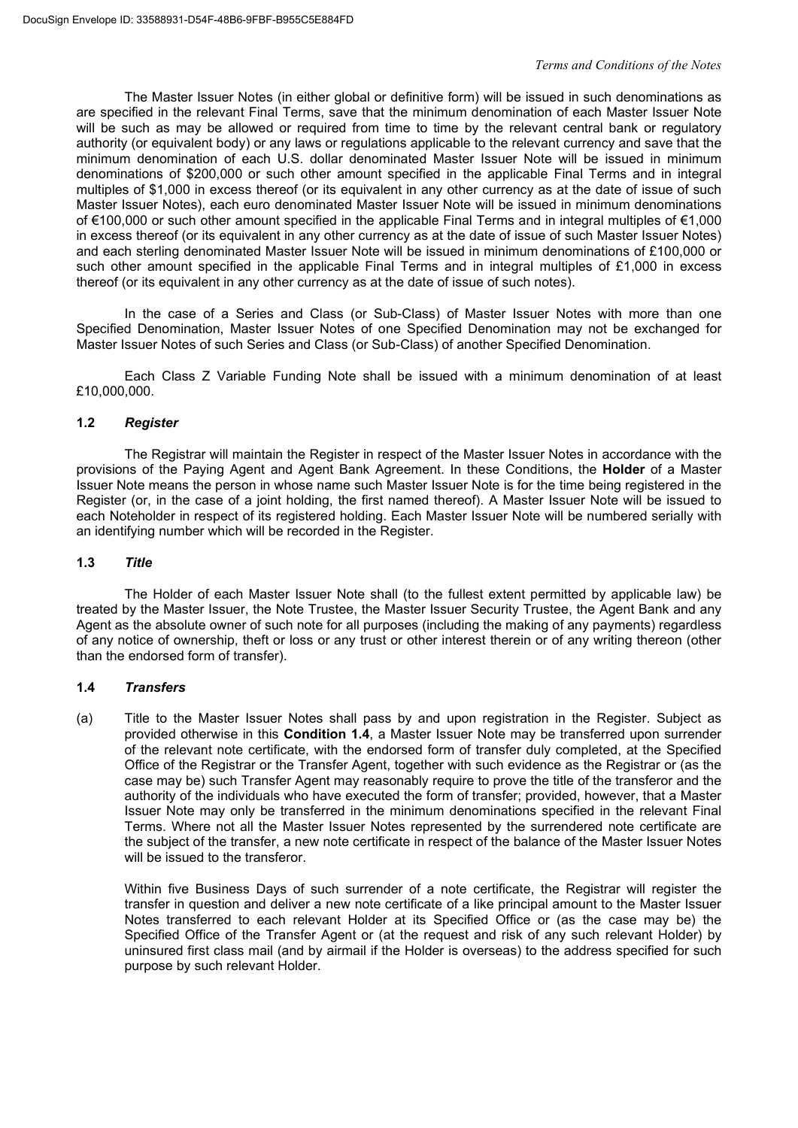The Master Issuer Notes (in either global or definitive form) will be issued in such denominations as are specified in the relevant Final Terms, save that the minimum denomination of each Master Issuer Note will be such as may be allowed or required from time to time by the relevant central bank or requiatory authority (or equivalent body) or any laws or regulations applicable to the relevant currency and save that the minimum denomination of each U.S. dollar denominated Master Issuer Note will be issued in minimum denominations of \$200,000 or such other amount specified in the applicable Final Terms and in integral multiples of \$1,000 in excess thereof (or its equivalent in any other currency as at the date of issue of such Master Issuer Notes), each euro denominated Master Issuer Note will be issued in minimum denominations of €100,000 or such other amount specified in the applicable Final Terms and in integral multiples of €1,000 in excess thereof (or its equivalent in any other currency as at the date of issue of such Master Issuer Notes) and each sterling denominated Master Issuer Note will be issued in minimum denominations of £100,000 or such other amount specified in the applicable Final Terms and in integral multiples of £1,000 in excess thereof (or its equivalent in any other currency as at the date of issue of such notes).

In the case of a Series and Class (or Sub-Class) of Master Issuer Notes with more than one Specified Denomination, Master Issuer Notes of one Specified Denomination may not be exchanged for Master Issuer Notes of such Series and Class (or Sub-Class) of another Specified Denomination.

Each Class Z Variable Funding Note shall be issued with a minimum denomination of at least £10,000,000.

# **1.2** *Register*

The Registrar will maintain the Register in respect of the Master Issuer Notes in accordance with the provisions of the Paying Agent and Agent Bank Agreement. In these Conditions, the **Holder** of a Master Issuer Note means the person in whose name such Master Issuer Note is for the time being registered in the Register (or, in the case of a joint holding, the first named thereof). A Master Issuer Note will be issued to each Noteholder in respect of its registered holding. Each Master Issuer Note will be numbered serially with an identifying number which will be recorded in the Register.

# **1.3** *Title*

The Holder of each Master Issuer Note shall (to the fullest extent permitted by applicable law) be treated by the Master Issuer, the Note Trustee, the Master Issuer Security Trustee, the Agent Bank and any Agent as the absolute owner of such note for all purposes (including the making of any payments) regardless of any notice of ownership, theft or loss or any trust or other interest therein or of any writing thereon (other than the endorsed form of transfer).

# **1.4** *Transfers*

(a) Title to the Master Issuer Notes shall pass by and upon registration in the Register. Subject as provided otherwise in this **Condition 1.4**, a Master Issuer Note may be transferred upon surrender of the relevant note certificate, with the endorsed form of transfer duly completed, at the Specified Office of the Registrar or the Transfer Agent, together with such evidence as the Registrar or (as the case may be) such Transfer Agent may reasonably require to prove the title of the transferor and the authority of the individuals who have executed the form of transfer; provided, however, that a Master Issuer Note may only be transferred in the minimum denominations specified in the relevant Final Terms. Where not all the Master Issuer Notes represented by the surrendered note certificate are the subject of the transfer, a new note certificate in respect of the balance of the Master Issuer Notes will be issued to the transferor.

Within five Business Days of such surrender of a note certificate, the Registrar will register the transfer in question and deliver a new note certificate of a like principal amount to the Master Issuer Notes transferred to each relevant Holder at its Specified Office or (as the case may be) the Specified Office of the Transfer Agent or (at the request and risk of any such relevant Holder) by uninsured first class mail (and by airmail if the Holder is overseas) to the address specified for such purpose by such relevant Holder.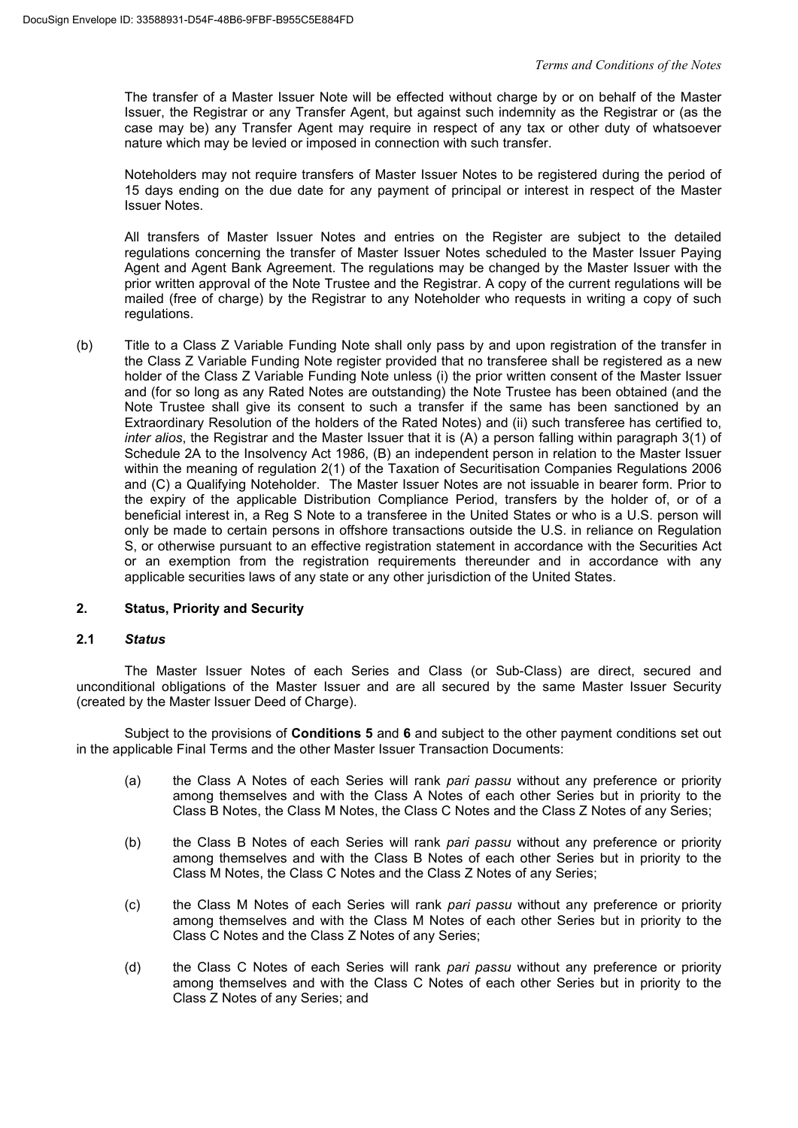The transfer of a Master Issuer Note will be effected without charge by or on behalf of the Master Issuer, the Registrar or any Transfer Agent, but against such indemnity as the Registrar or (as the case may be) any Transfer Agent may require in respect of any tax or other duty of whatsoever nature which may be levied or imposed in connection with such transfer.

Noteholders may not require transfers of Master Issuer Notes to be registered during the period of 15 days ending on the due date for any payment of principal or interest in respect of the Master Issuer Notes.

All transfers of Master Issuer Notes and entries on the Register are subject to the detailed regulations concerning the transfer of Master Issuer Notes scheduled to the Master Issuer Paying Agent and Agent Bank Agreement. The regulations may be changed by the Master Issuer with the prior written approval of the Note Trustee and the Registrar. A copy of the current regulations will be mailed (free of charge) by the Registrar to any Noteholder who requests in writing a copy of such regulations.

(b) Title to a Class Z Variable Funding Note shall only pass by and upon registration of the transfer in the Class Z Variable Funding Note register provided that no transferee shall be registered as a new holder of the Class Z Variable Funding Note unless (i) the prior written consent of the Master Issuer and (for so long as any Rated Notes are outstanding) the Note Trustee has been obtained (and the Note Trustee shall give its consent to such a transfer if the same has been sanctioned by an Extraordinary Resolution of the holders of the Rated Notes) and (ii) such transferee has certified to, *inter alios*, the Registrar and the Master Issuer that it is (A) a person falling within paragraph 3(1) of Schedule 2A to the Insolvency Act 1986, (B) an independent person in relation to the Master Issuer within the meaning of regulation 2(1) of the Taxation of Securitisation Companies Regulations 2006 and (C) a Qualifying Noteholder. The Master Issuer Notes are not issuable in bearer form. Prior to the expiry of the applicable Distribution Compliance Period, transfers by the holder of, or of a beneficial interest in, a Reg S Note to a transferee in the United States or who is a U.S. person will only be made to certain persons in offshore transactions outside the U.S. in reliance on Regulation S, or otherwise pursuant to an effective registration statement in accordance with the Securities Act or an exemption from the registration requirements thereunder and in accordance with any applicable securities laws of any state or any other jurisdiction of the United States.

# **2. Status, Priority and Security**

# **2.1** *Status*

The Master Issuer Notes of each Series and Class (or Sub-Class) are direct, secured and unconditional obligations of the Master Issuer and are all secured by the same Master Issuer Security (created by the Master Issuer Deed of Charge).

Subject to the provisions of **Conditions 5** and **6** and subject to the other payment conditions set out in the applicable Final Terms and the other Master Issuer Transaction Documents:

- (a) the Class A Notes of each Series will rank *pari passu* without any preference or priority among themselves and with the Class A Notes of each other Series but in priority to the Class B Notes, the Class M Notes, the Class C Notes and the Class Z Notes of any Series;
- (b) the Class B Notes of each Series will rank *pari passu* without any preference or priority among themselves and with the Class B Notes of each other Series but in priority to the Class M Notes, the Class C Notes and the Class Z Notes of any Series;
- (c) the Class M Notes of each Series will rank *pari passu* without any preference or priority among themselves and with the Class M Notes of each other Series but in priority to the Class C Notes and the Class Z Notes of any Series;
- (d) the Class C Notes of each Series will rank *pari passu* without any preference or priority among themselves and with the Class C Notes of each other Series but in priority to the Class Z Notes of any Series; and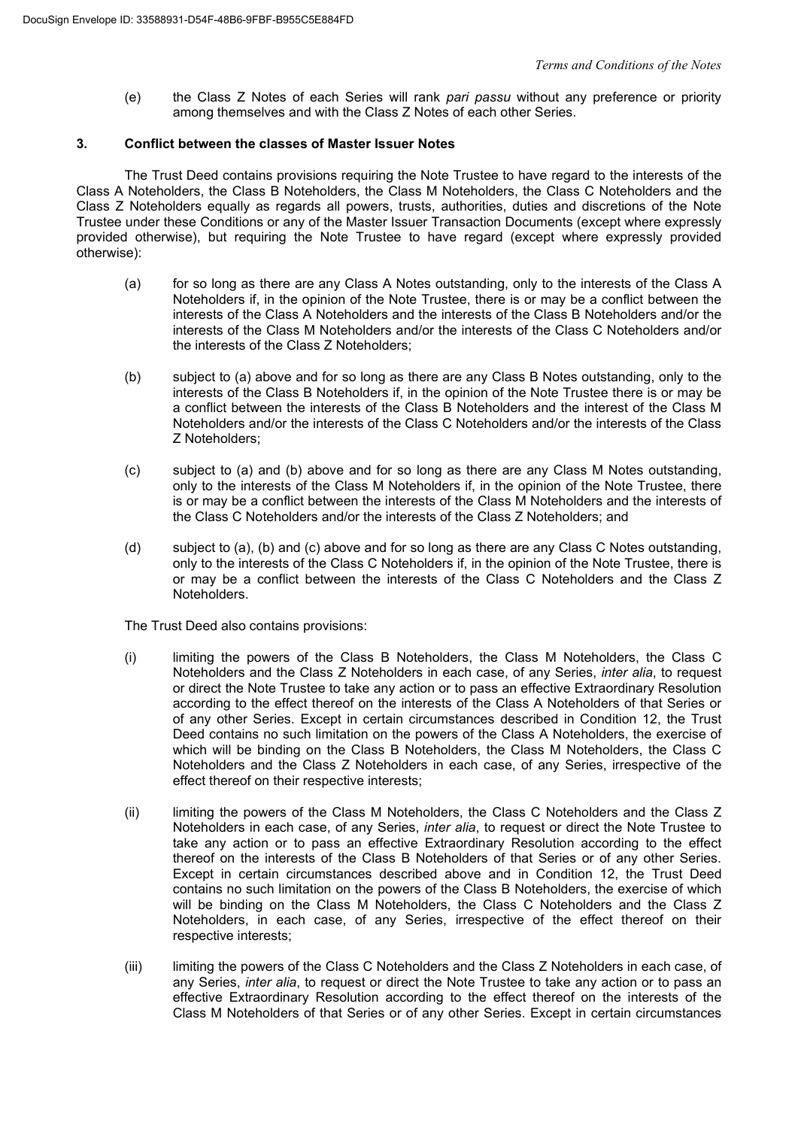(e) the Class Z Notes of each Series will rank *pari passu* without any preference or priority among themselves and with the Class Z Notes of each other Series.

# **3. Conflict between the classes of Master Issuer Notes**

The Trust Deed contains provisions requiring the Note Trustee to have regard to the interests of the Class A Noteholders, the Class B Noteholders, the Class M Noteholders, the Class C Noteholders and the Class Z Noteholders equally as regards all powers, trusts, authorities, duties and discretions of the Note Trustee under these Conditions or any of the Master Issuer Transaction Documents (except where expressly provided otherwise), but requiring the Note Trustee to have regard (except where expressly provided otherwise):

- (a) for so long as there are any Class A Notes outstanding, only to the interests of the Class A Noteholders if, in the opinion of the Note Trustee, there is or may be a conflict between the interests of the Class A Noteholders and the interests of the Class B Noteholders and/or the interests of the Class M Noteholders and/or the interests of the Class C Noteholders and/or the interests of the Class Z Noteholders;
- (b) subject to (a) above and for so long as there are any Class B Notes outstanding, only to the interests of the Class B Noteholders if, in the opinion of the Note Trustee there is or may be a conflict between the interests of the Class B Noteholders and the interest of the Class M Noteholders and/or the interests of the Class C Noteholders and/or the interests of the Class Z Noteholders;
- (c) subject to (a) and (b) above and for so long as there are any Class M Notes outstanding, only to the interests of the Class M Noteholders if, in the opinion of the Note Trustee, there is or may be a conflict between the interests of the Class M Noteholders and the interests of the Class C Noteholders and/or the interests of the Class Z Noteholders; and
- (d) subject to (a), (b) and (c) above and for so long as there are any Class C Notes outstanding, only to the interests of the Class C Noteholders if, in the opinion of the Note Trustee, there is or may be a conflict between the interests of the Class C Noteholders and the Class Z Noteholders.

The Trust Deed also contains provisions:

- (i) limiting the powers of the Class B Noteholders, the Class M Noteholders, the Class C Noteholders and the Class Z Noteholders in each case, of any Series, *inter alia*, to request or direct the Note Trustee to take any action or to pass an effective Extraordinary Resolution according to the effect thereof on the interests of the Class A Noteholders of that Series or of any other Series. Except in certain circumstances described in Condition 12, the Trust Deed contains no such limitation on the powers of the Class A Noteholders, the exercise of which will be binding on the Class B Noteholders, the Class M Noteholders, the Class C Noteholders and the Class Z Noteholders in each case, of any Series, irrespective of the effect thereof on their respective interests;
- (ii) limiting the powers of the Class M Noteholders, the Class C Noteholders and the Class Z Noteholders in each case, of any Series, *inter alia*, to request or direct the Note Trustee to take any action or to pass an effective Extraordinary Resolution according to the effect thereof on the interests of the Class B Noteholders of that Series or of any other Series. Except in certain circumstances described above and in Condition 12, the Trust Deed contains no such limitation on the powers of the Class B Noteholders, the exercise of which will be binding on the Class M Noteholders, the Class C Noteholders and the Class Z Noteholders, in each case, of any Series, irrespective of the effect thereof on their respective interests;
- (iii) limiting the powers of the Class C Noteholders and the Class Z Noteholders in each case, of any Series, *inter alia*, to request or direct the Note Trustee to take any action or to pass an effective Extraordinary Resolution according to the effect thereof on the interests of the Class M Noteholders of that Series or of any other Series. Except in certain circumstances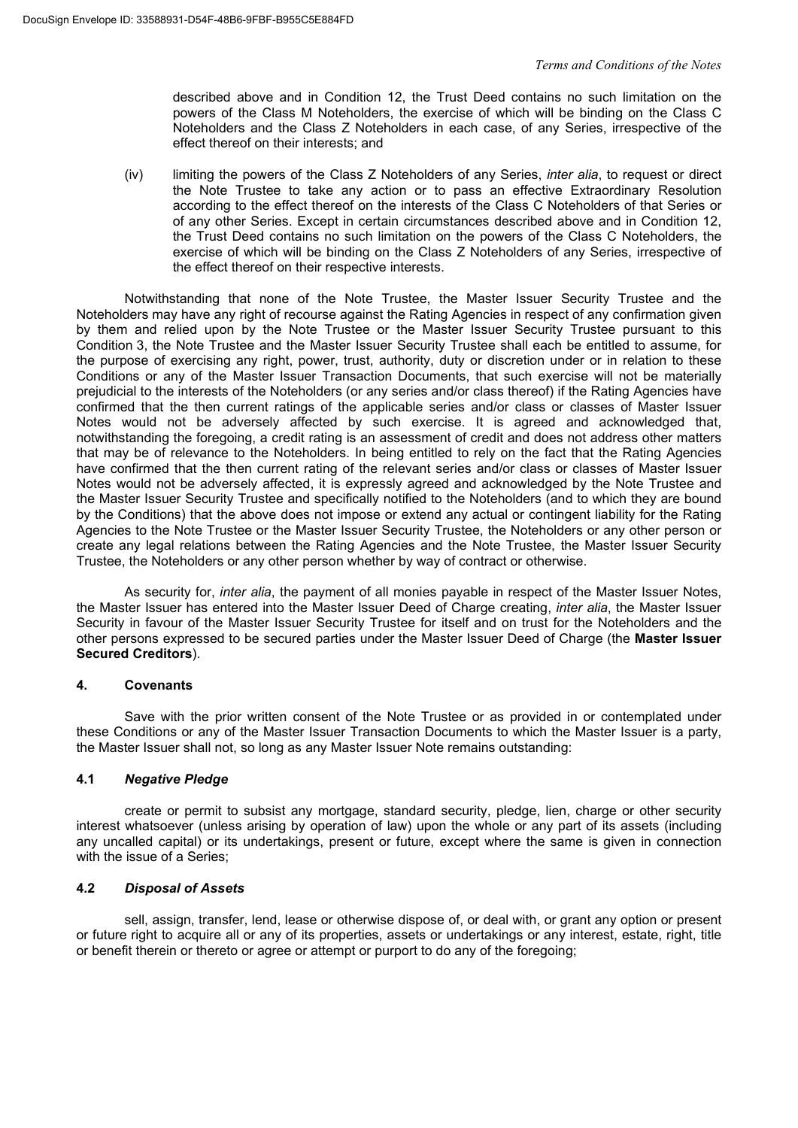described above and in Condition 12, the Trust Deed contains no such limitation on the powers of the Class M Noteholders, the exercise of which will be binding on the Class C Noteholders and the Class Z Noteholders in each case, of any Series, irrespective of the effect thereof on their interests; and

(iv) limiting the powers of the Class Z Noteholders of any Series, *inter alia*, to request or direct the Note Trustee to take any action or to pass an effective Extraordinary Resolution according to the effect thereof on the interests of the Class C Noteholders of that Series or of any other Series. Except in certain circumstances described above and in Condition 12, the Trust Deed contains no such limitation on the powers of the Class C Noteholders, the exercise of which will be binding on the Class Z Noteholders of any Series, irrespective of the effect thereof on their respective interests.

Notwithstanding that none of the Note Trustee, the Master Issuer Security Trustee and the Noteholders may have any right of recourse against the Rating Agencies in respect of any confirmation given by them and relied upon by the Note Trustee or the Master Issuer Security Trustee pursuant to this Condition 3, the Note Trustee and the Master Issuer Security Trustee shall each be entitled to assume, for the purpose of exercising any right, power, trust, authority, duty or discretion under or in relation to these Conditions or any of the Master Issuer Transaction Documents, that such exercise will not be materially prejudicial to the interests of the Noteholders (or any series and/or class thereof) if the Rating Agencies have confirmed that the then current ratings of the applicable series and/or class or classes of Master Issuer Notes would not be adversely affected by such exercise. It is agreed and acknowledged that, notwithstanding the foregoing, a credit rating is an assessment of credit and does not address other matters that may be of relevance to the Noteholders. In being entitled to rely on the fact that the Rating Agencies have confirmed that the then current rating of the relevant series and/or class or classes of Master Issuer Notes would not be adversely affected, it is expressly agreed and acknowledged by the Note Trustee and the Master Issuer Security Trustee and specifically notified to the Noteholders (and to which they are bound by the Conditions) that the above does not impose or extend any actual or contingent liability for the Rating Agencies to the Note Trustee or the Master Issuer Security Trustee, the Noteholders or any other person or create any legal relations between the Rating Agencies and the Note Trustee, the Master Issuer Security Trustee, the Noteholders or any other person whether by way of contract or otherwise.

As security for, *inter alia*, the payment of all monies payable in respect of the Master Issuer Notes, the Master Issuer has entered into the Master Issuer Deed of Charge creating, *inter alia*, the Master Issuer Security in favour of the Master Issuer Security Trustee for itself and on trust for the Noteholders and the other persons expressed to be secured parties under the Master Issuer Deed of Charge (the **Master Issuer Secured Creditors**).

# **4. Covenants**

Save with the prior written consent of the Note Trustee or as provided in or contemplated under these Conditions or any of the Master Issuer Transaction Documents to which the Master Issuer is a party, the Master Issuer shall not, so long as any Master Issuer Note remains outstanding:

# **4.1** *Negative Pledge*

create or permit to subsist any mortgage, standard security, pledge, lien, charge or other security interest whatsoever (unless arising by operation of law) upon the whole or any part of its assets (including any uncalled capital) or its undertakings, present or future, except where the same is given in connection with the issue of a Series;

# **4.2** *Disposal of Assets*

sell, assign, transfer, lend, lease or otherwise dispose of, or deal with, or grant any option or present or future right to acquire all or any of its properties, assets or undertakings or any interest, estate, right, title or benefit therein or thereto or agree or attempt or purport to do any of the foregoing;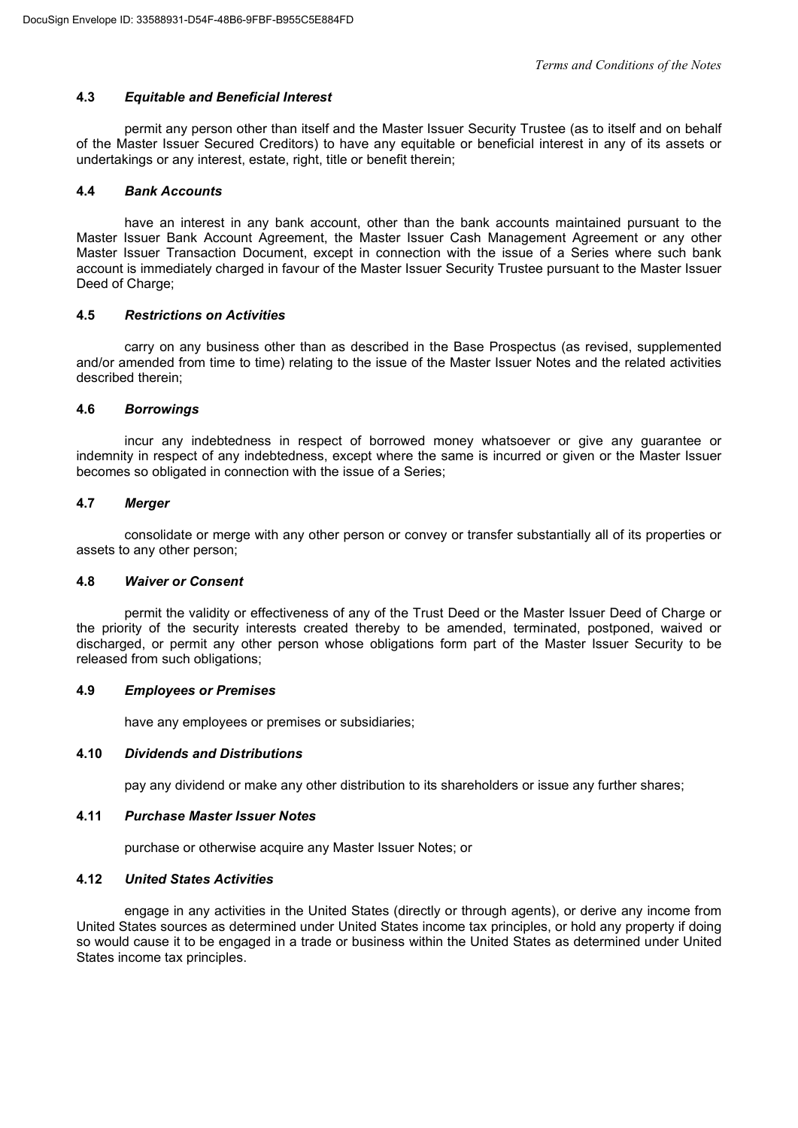# **4.3** *Equitable and Beneficial Interest*

permit any person other than itself and the Master Issuer Security Trustee (as to itself and on behalf of the Master Issuer Secured Creditors) to have any equitable or beneficial interest in any of its assets or undertakings or any interest, estate, right, title or benefit therein;

# **4.4** *Bank Accounts*

have an interest in any bank account, other than the bank accounts maintained pursuant to the Master Issuer Bank Account Agreement, the Master Issuer Cash Management Agreement or any other Master Issuer Transaction Document, except in connection with the issue of a Series where such bank account is immediately charged in favour of the Master Issuer Security Trustee pursuant to the Master Issuer Deed of Charge;

# **4.5** *Restrictions on Activities*

carry on any business other than as described in the Base Prospectus (as revised, supplemented and/or amended from time to time) relating to the issue of the Master Issuer Notes and the related activities described therein;

# **4.6** *Borrowings*

incur any indebtedness in respect of borrowed money whatsoever or give any guarantee or indemnity in respect of any indebtedness, except where the same is incurred or given or the Master Issuer becomes so obligated in connection with the issue of a Series;

# **4.7** *Merger*

consolidate or merge with any other person or convey or transfer substantially all of its properties or assets to any other person;

# **4.8** *Waiver or Consent*

permit the validity or effectiveness of any of the Trust Deed or the Master Issuer Deed of Charge or the priority of the security interests created thereby to be amended, terminated, postponed, waived or discharged, or permit any other person whose obligations form part of the Master Issuer Security to be released from such obligations;

# **4.9** *Employees or Premises*

have any employees or premises or subsidiaries;

# **4.10** *Dividends and Distributions*

pay any dividend or make any other distribution to its shareholders or issue any further shares;

# **4.11** *Purchase Master Issuer Notes*

purchase or otherwise acquire any Master Issuer Notes; or

# **4.12** *United States Activities*

engage in any activities in the United States (directly or through agents), or derive any income from United States sources as determined under United States income tax principles, or hold any property if doing so would cause it to be engaged in a trade or business within the United States as determined under United States income tax principles.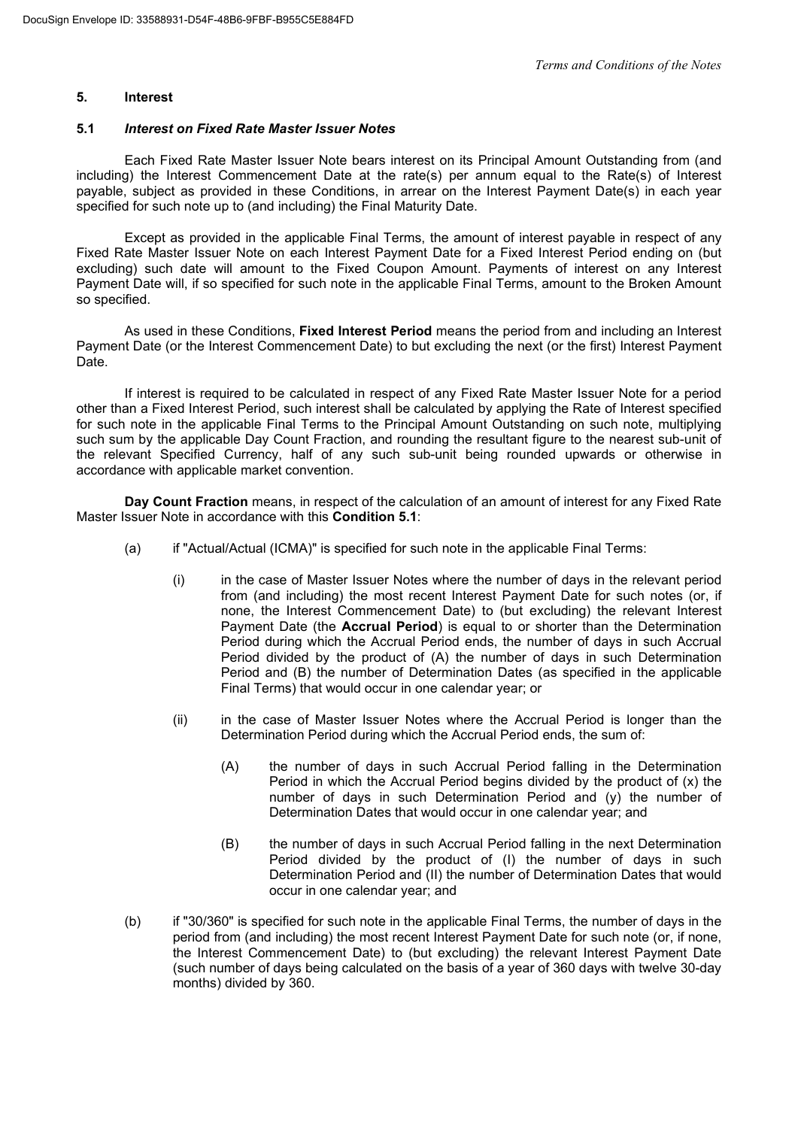# **5. Interest**

### **5.1** *Interest on Fixed Rate Master Issuer Notes*

Each Fixed Rate Master Issuer Note bears interest on its Principal Amount Outstanding from (and including) the Interest Commencement Date at the rate(s) per annum equal to the Rate(s) of Interest payable, subject as provided in these Conditions, in arrear on the Interest Payment Date(s) in each year specified for such note up to (and including) the Final Maturity Date.

Except as provided in the applicable Final Terms, the amount of interest payable in respect of any Fixed Rate Master Issuer Note on each Interest Payment Date for a Fixed Interest Period ending on (but excluding) such date will amount to the Fixed Coupon Amount. Payments of interest on any Interest Payment Date will, if so specified for such note in the applicable Final Terms, amount to the Broken Amount so specified.

As used in these Conditions, **Fixed Interest Period** means the period from and including an Interest Payment Date (or the Interest Commencement Date) to but excluding the next (or the first) Interest Payment Date.

If interest is required to be calculated in respect of any Fixed Rate Master Issuer Note for a period other than a Fixed Interest Period, such interest shall be calculated by applying the Rate of Interest specified for such note in the applicable Final Terms to the Principal Amount Outstanding on such note, multiplying such sum by the applicable Day Count Fraction, and rounding the resultant figure to the nearest sub-unit of the relevant Specified Currency, half of any such sub-unit being rounded upwards or otherwise in accordance with applicable market convention.

**Day Count Fraction** means, in respect of the calculation of an amount of interest for any Fixed Rate Master Issuer Note in accordance with this **Condition 5.1**:

- (a) if "Actual/Actual (ICMA)" is specified for such note in the applicable Final Terms:
	- (i) in the case of Master Issuer Notes where the number of days in the relevant period from (and including) the most recent Interest Payment Date for such notes (or, if none, the Interest Commencement Date) to (but excluding) the relevant Interest Payment Date (the **Accrual Period**) is equal to or shorter than the Determination Period during which the Accrual Period ends, the number of days in such Accrual Period divided by the product of (A) the number of days in such Determination Period and (B) the number of Determination Dates (as specified in the applicable Final Terms) that would occur in one calendar year; or
	- (ii) in the case of Master Issuer Notes where the Accrual Period is longer than the Determination Period during which the Accrual Period ends, the sum of:
		- (A) the number of days in such Accrual Period falling in the Determination Period in which the Accrual Period begins divided by the product of (x) the number of days in such Determination Period and (y) the number of Determination Dates that would occur in one calendar year; and
		- (B) the number of days in such Accrual Period falling in the next Determination Period divided by the product of (I) the number of days in such Determination Period and (II) the number of Determination Dates that would occur in one calendar year; and
- (b) if "30/360" is specified for such note in the applicable Final Terms, the number of days in the period from (and including) the most recent Interest Payment Date for such note (or, if none, the Interest Commencement Date) to (but excluding) the relevant Interest Payment Date (such number of days being calculated on the basis of a year of 360 days with twelve 30-day months) divided by 360.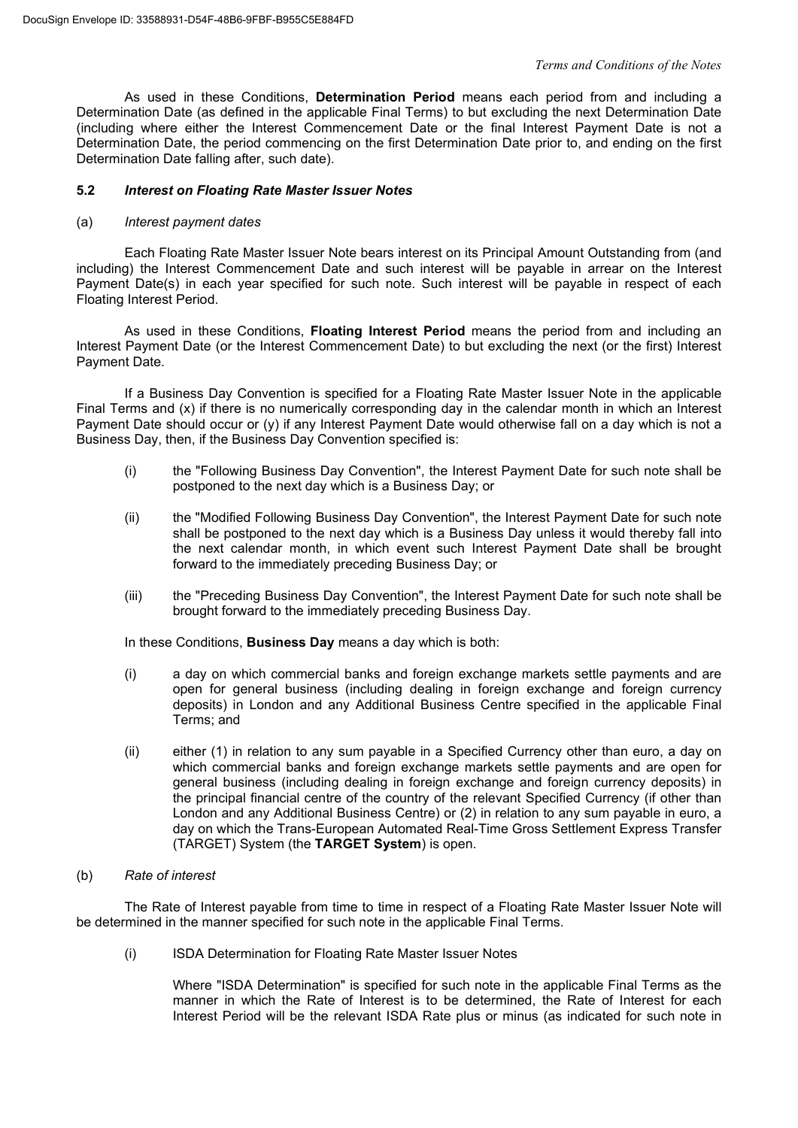As used in these Conditions, **Determination Period** means each period from and including a Determination Date (as defined in the applicable Final Terms) to but excluding the next Determination Date (including where either the Interest Commencement Date or the final Interest Payment Date is not a Determination Date, the period commencing on the first Determination Date prior to, and ending on the first Determination Date falling after, such date).

# **5.2** *Interest on Floating Rate Master Issuer Notes*

#### (a) *Interest payment dates*

Each Floating Rate Master Issuer Note bears interest on its Principal Amount Outstanding from (and including) the Interest Commencement Date and such interest will be payable in arrear on the Interest Payment Date(s) in each year specified for such note. Such interest will be payable in respect of each Floating Interest Period.

As used in these Conditions, **Floating Interest Period** means the period from and including an Interest Payment Date (or the Interest Commencement Date) to but excluding the next (or the first) Interest Payment Date.

If a Business Day Convention is specified for a Floating Rate Master Issuer Note in the applicable Final Terms and (x) if there is no numerically corresponding day in the calendar month in which an Interest Payment Date should occur or (y) if any Interest Payment Date would otherwise fall on a day which is not a Business Day, then, if the Business Day Convention specified is:

- (i) the "Following Business Day Convention", the Interest Payment Date for such note shall be postponed to the next day which is a Business Day; or
- (ii) the "Modified Following Business Day Convention", the Interest Payment Date for such note shall be postponed to the next day which is a Business Day unless it would thereby fall into the next calendar month, in which event such Interest Payment Date shall be brought forward to the immediately preceding Business Day; or
- (iii) the "Preceding Business Day Convention", the Interest Payment Date for such note shall be brought forward to the immediately preceding Business Day.

In these Conditions, **Business Day** means a day which is both:

- (i) a day on which commercial banks and foreign exchange markets settle payments and are open for general business (including dealing in foreign exchange and foreign currency deposits) in London and any Additional Business Centre specified in the applicable Final Terms; and
- (ii) either (1) in relation to any sum payable in a Specified Currency other than euro, a day on which commercial banks and foreign exchange markets settle payments and are open for general business (including dealing in foreign exchange and foreign currency deposits) in the principal financial centre of the country of the relevant Specified Currency (if other than London and any Additional Business Centre) or (2) in relation to any sum payable in euro, a day on which the Trans-European Automated Real-Time Gross Settlement Express Transfer (TARGET) System (the **TARGET System**) is open.

#### (b) *Rate of interest*

The Rate of Interest payable from time to time in respect of a Floating Rate Master Issuer Note will be determined in the manner specified for such note in the applicable Final Terms.

(i) ISDA Determination for Floating Rate Master Issuer Notes

Where "ISDA Determination" is specified for such note in the applicable Final Terms as the manner in which the Rate of Interest is to be determined, the Rate of Interest for each Interest Period will be the relevant ISDA Rate plus or minus (as indicated for such note in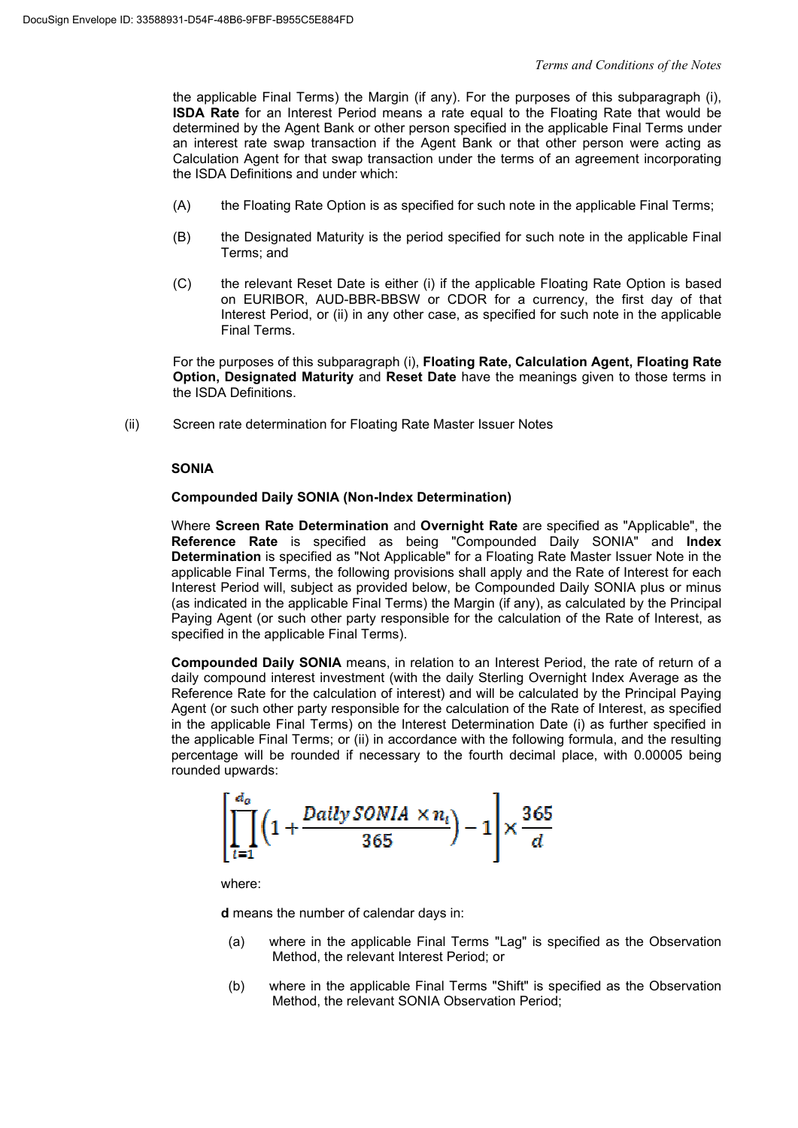the applicable Final Terms) the Margin (if any). For the purposes of this subparagraph (i), **ISDA Rate** for an Interest Period means a rate equal to the Floating Rate that would be determined by the Agent Bank or other person specified in the applicable Final Terms under an interest rate swap transaction if the Agent Bank or that other person were acting as Calculation Agent for that swap transaction under the terms of an agreement incorporating the ISDA Definitions and under which:

- (A) the Floating Rate Option is as specified for such note in the applicable Final Terms;
- (B) the Designated Maturity is the period specified for such note in the applicable Final Terms; and
- (C) the relevant Reset Date is either (i) if the applicable Floating Rate Option is based on EURIBOR, AUD-BBR-BBSW or CDOR for a currency, the first day of that Interest Period, or (ii) in any other case, as specified for such note in the applicable Final Terms.

For the purposes of this subparagraph (i), **Floating Rate, Calculation Agent, Floating Rate Option, Designated Maturity** and **Reset Date** have the meanings given to those terms in the ISDA Definitions.

(ii) Screen rate determination for Floating Rate Master Issuer Notes

# **SONIA**

#### **Compounded Daily SONIA (Non-Index Determination)**

Where **Screen Rate Determination** and **Overnight Rate** are specified as "Applicable", the **Reference Rate** is specified as being "Compounded Daily SONIA" and **Index Determination** is specified as "Not Applicable" for a Floating Rate Master Issuer Note in the applicable Final Terms, the following provisions shall apply and the Rate of Interest for each Interest Period will, subject as provided below, be Compounded Daily SONIA plus or minus (as indicated in the applicable Final Terms) the Margin (if any), as calculated by the Principal Paying Agent (or such other party responsible for the calculation of the Rate of Interest, as specified in the applicable Final Terms).

**Compounded Daily SONIA** means, in relation to an Interest Period, the rate of return of a daily compound interest investment (with the daily Sterling Overnight Index Average as the Reference Rate for the calculation of interest) and will be calculated by the Principal Paying Agent (or such other party responsible for the calculation of the Rate of Interest, as specified in the applicable Final Terms) on the Interest Determination Date (i) as further specified in the applicable Final Terms; or (ii) in accordance with the following formula, and the resulting percentage will be rounded if necessary to the fourth decimal place, with 0.00005 being rounded upwards:

$$
\left[\prod_{i=1}^{d_o} \left(1 + \frac{Daily\;SONIA \times n_i}{365}\right) - 1\right] \times \frac{365}{d}
$$

where:

**d** means the number of calendar days in:

- (a) where in the applicable Final Terms "Lag" is specified as the Observation Method, the relevant Interest Period; or
- (b) where in the applicable Final Terms "Shift" is specified as the Observation Method, the relevant SONIA Observation Period;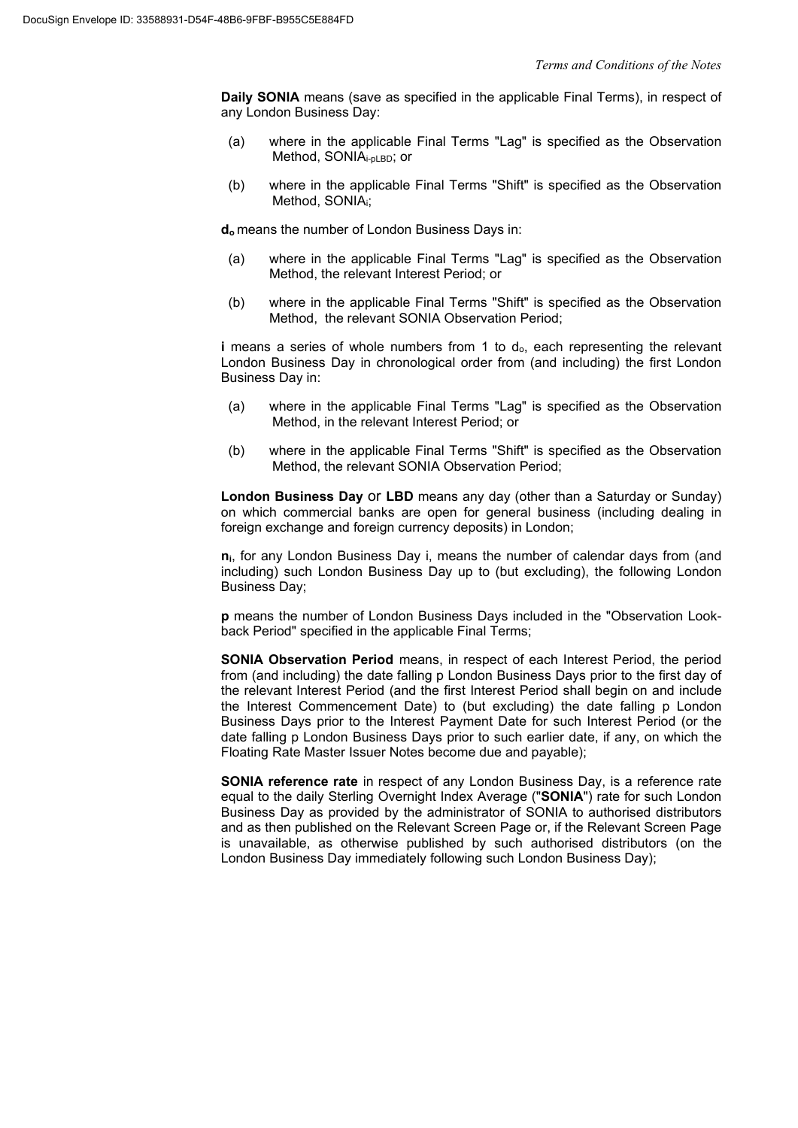**Daily SONIA** means (save as specified in the applicable Final Terms), in respect of any London Business Day:

- (a) where in the applicable Final Terms "Lag" is specified as the Observation Method, SONIAi-pLBD; or
- (b) where in the applicable Final Terms "Shift" is specified as the Observation Method, SONIAi;

**d<sup>o</sup>** means the number of London Business Days in:

- (a) where in the applicable Final Terms "Lag" is specified as the Observation Method, the relevant Interest Period; or
- (b) where in the applicable Final Terms "Shift" is specified as the Observation Method, the relevant SONIA Observation Period;

**i** means a series of whole numbers from 1 to d<sub>o</sub>, each representing the relevant London Business Day in chronological order from (and including) the first London Business Day in:

- (a) where in the applicable Final Terms "Lag" is specified as the Observation Method, in the relevant Interest Period; or
- (b) where in the applicable Final Terms "Shift" is specified as the Observation Method, the relevant SONIA Observation Period;

**London Business Day** or **LBD** means any day (other than a Saturday or Sunday) on which commercial banks are open for general business (including dealing in foreign exchange and foreign currency deposits) in London;

**ni**, for any London Business Day i, means the number of calendar days from (and including) such London Business Day up to (but excluding), the following London Business Day;

**p** means the number of London Business Days included in the "Observation Lookback Period" specified in the applicable Final Terms;

**SONIA Observation Period** means, in respect of each Interest Period, the period from (and including) the date falling p London Business Days prior to the first day of the relevant Interest Period (and the first Interest Period shall begin on and include the Interest Commencement Date) to (but excluding) the date falling p London Business Days prior to the Interest Payment Date for such Interest Period (or the date falling p London Business Days prior to such earlier date, if any, on which the Floating Rate Master Issuer Notes become due and payable);

**SONIA reference rate** in respect of any London Business Day, is a reference rate equal to the daily Sterling Overnight Index Average ("**SONIA**") rate for such London Business Day as provided by the administrator of SONIA to authorised distributors and as then published on the Relevant Screen Page or, if the Relevant Screen Page is unavailable, as otherwise published by such authorised distributors (on the London Business Day immediately following such London Business Day);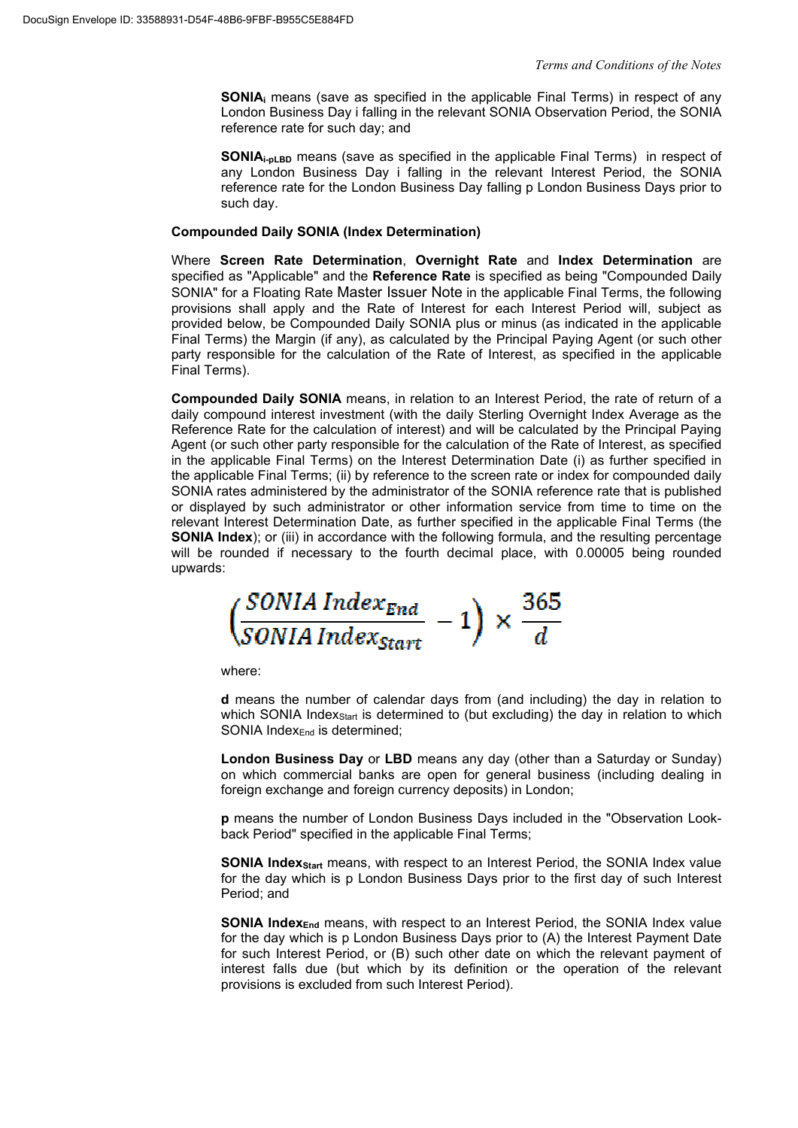**SONIAi** means (save as specified in the applicable Final Terms) in respect of any London Business Day i falling in the relevant SONIA Observation Period, the SONIA reference rate for such day; and

**SONIA**<sub>i-pLBD</sub> means (save as specified in the applicable Final Terms) in respect of any London Business Day i falling in the relevant Interest Period, the SONIA reference rate for the London Business Day falling p London Business Days prior to such day.

# **Compounded Daily SONIA (Index Determination)**

Where **Screen Rate Determination**, **Overnight Rate** and **Index Determination** are specified as "Applicable" and the **Reference Rate** is specified as being "Compounded Daily SONIA" for a Floating Rate Master Issuer Note in the applicable Final Terms, the following provisions shall apply and the Rate of Interest for each Interest Period will, subject as provided below, be Compounded Daily SONIA plus or minus (as indicated in the applicable Final Terms) the Margin (if any), as calculated by the Principal Paying Agent (or such other party responsible for the calculation of the Rate of Interest, as specified in the applicable Final Terms).

**Compounded Daily SONIA** means, in relation to an Interest Period, the rate of return of a daily compound interest investment (with the daily Sterling Overnight Index Average as the Reference Rate for the calculation of interest) and will be calculated by the Principal Paying Agent (or such other party responsible for the calculation of the Rate of Interest, as specified in the applicable Final Terms) on the Interest Determination Date (i) as further specified in the applicable Final Terms; (ii) by reference to the screen rate or index for compounded daily SONIA rates administered by the administrator of the SONIA reference rate that is published or displayed by such administrator or other information service from time to time on the relevant Interest Determination Date, as further specified in the applicable Final Terms (the **SONIA Index**); or (iii) in accordance with the following formula, and the resulting percentage will be rounded if necessary to the fourth decimal place, with 0.00005 being rounded upwards:

 $\frac{SONIA Index_{End}}{SONIA Index_{start}}-1\bigg) \times \frac{365}{d}$ 

where:

**d** means the number of calendar days from (and including) the day in relation to which SONIA Index<sub>start</sub> is determined to (but excluding) the day in relation to which SONIA Index<sub>End</sub> is determined:

**London Business Day** or LBD means any day (other than a Saturday or Sunday) on which commercial banks are open for general business (including dealing in foreign exchange and foreign currency deposits) in London;

**p** means the number of London Business Days included in the "Observation Lookback Period" specified in the applicable Final Terms;

**SONIA Index**<sub>start</sub> means, with respect to an Interest Period, the SONIA Index value for the day which is p London Business Days prior to the first day of such Interest Period; and

**SONIA Index**<sub>End</sub> means, with respect to an Interest Period, the SONIA Index value for the day which is p London Business Days prior to (A) the Interest Payment Date for such Interest Period, or (B) such other date on which the relevant payment of interest falls due (but which by its definition or the operation of the relevant provisions is excluded from such Interest Period).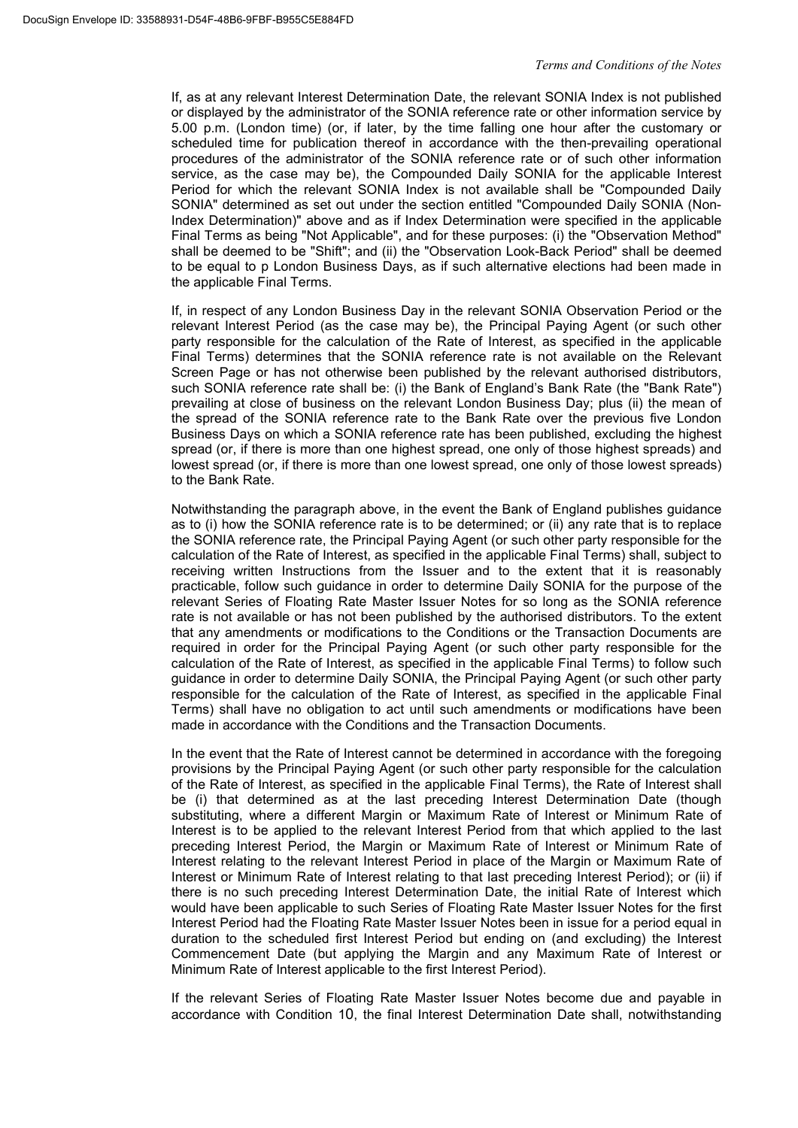If, as at any relevant Interest Determination Date, the relevant SONIA Index is not published or displayed by the administrator of the SONIA reference rate or other information service by 5.00 p.m. (London time) (or, if later, by the time falling one hour after the customary or scheduled time for publication thereof in accordance with the then-prevailing operational procedures of the administrator of the SONIA reference rate or of such other information service, as the case may be), the Compounded Daily SONIA for the applicable Interest Period for which the relevant SONIA Index is not available shall be "Compounded Daily SONIA" determined as set out under the section entitled "Compounded Daily SONIA (Non-Index Determination)" above and as if Index Determination were specified in the applicable Final Terms as being "Not Applicable", and for these purposes: (i) the "Observation Method" shall be deemed to be "Shift"; and (ii) the "Observation Look-Back Period" shall be deemed to be equal to p London Business Days, as if such alternative elections had been made in the applicable Final Terms.

If, in respect of any London Business Day in the relevant SONIA Observation Period or the relevant Interest Period (as the case may be), the Principal Paying Agent (or such other party responsible for the calculation of the Rate of Interest, as specified in the applicable Final Terms) determines that the SONIA reference rate is not available on the Relevant Screen Page or has not otherwise been published by the relevant authorised distributors, such SONIA reference rate shall be: (i) the Bank of England's Bank Rate (the "Bank Rate") prevailing at close of business on the relevant London Business Day; plus (ii) the mean of the spread of the SONIA reference rate to the Bank Rate over the previous five London Business Days on which a SONIA reference rate has been published, excluding the highest spread (or, if there is more than one highest spread, one only of those highest spreads) and lowest spread (or, if there is more than one lowest spread, one only of those lowest spreads) to the Bank Rate.

Notwithstanding the paragraph above, in the event the Bank of England publishes guidance as to (i) how the SONIA reference rate is to be determined; or (ii) any rate that is to replace the SONIA reference rate, the Principal Paying Agent (or such other party responsible for the calculation of the Rate of Interest, as specified in the applicable Final Terms) shall, subject to receiving written Instructions from the Issuer and to the extent that it is reasonably practicable, follow such guidance in order to determine Daily SONIA for the purpose of the relevant Series of Floating Rate Master Issuer Notes for so long as the SONIA reference rate is not available or has not been published by the authorised distributors. To the extent that any amendments or modifications to the Conditions or the Transaction Documents are required in order for the Principal Paying Agent (or such other party responsible for the calculation of the Rate of Interest, as specified in the applicable Final Terms) to follow such guidance in order to determine Daily SONIA, the Principal Paying Agent (or such other party responsible for the calculation of the Rate of Interest, as specified in the applicable Final Terms) shall have no obligation to act until such amendments or modifications have been made in accordance with the Conditions and the Transaction Documents.

In the event that the Rate of Interest cannot be determined in accordance with the foregoing provisions by the Principal Paying Agent (or such other party responsible for the calculation of the Rate of Interest, as specified in the applicable Final Terms), the Rate of Interest shall be (i) that determined as at the last preceding Interest Determination Date (though substituting, where a different Margin or Maximum Rate of Interest or Minimum Rate of Interest is to be applied to the relevant Interest Period from that which applied to the last preceding Interest Period, the Margin or Maximum Rate of Interest or Minimum Rate of Interest relating to the relevant Interest Period in place of the Margin or Maximum Rate of Interest or Minimum Rate of Interest relating to that last preceding Interest Period); or (ii) if there is no such preceding Interest Determination Date, the initial Rate of Interest which would have been applicable to such Series of Floating Rate Master Issuer Notes for the first Interest Period had the Floating Rate Master Issuer Notes been in issue for a period equal in duration to the scheduled first Interest Period but ending on (and excluding) the Interest Commencement Date (but applying the Margin and any Maximum Rate of Interest or Minimum Rate of Interest applicable to the first Interest Period).

If the relevant Series of Floating Rate Master Issuer Notes become due and payable in accordance with Condition 10, the final Interest Determination Date shall, notwithstanding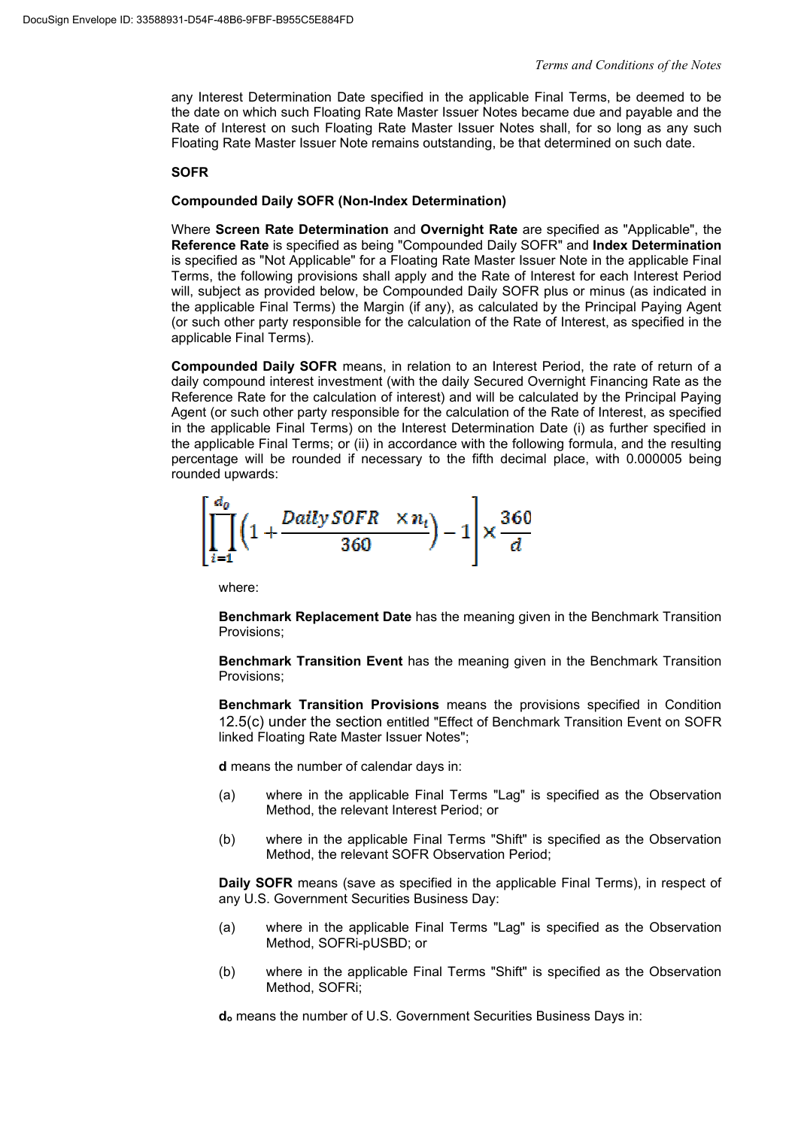any Interest Determination Date specified in the applicable Final Terms, be deemed to be the date on which such Floating Rate Master Issuer Notes became due and payable and the Rate of Interest on such Floating Rate Master Issuer Notes shall, for so long as any such Floating Rate Master Issuer Note remains outstanding, be that determined on such date.

# **SOFR**

# **Compounded Daily SOFR (Non-Index Determination)**

Where **Screen Rate Determination** and **Overnight Rate** are specified as "Applicable", the **Reference Rate** is specified as being "Compounded Daily SOFR" and **Index Determination** is specified as "Not Applicable" for a Floating Rate Master Issuer Note in the applicable Final Terms, the following provisions shall apply and the Rate of Interest for each Interest Period will, subject as provided below, be Compounded Daily SOFR plus or minus (as indicated in the applicable Final Terms) the Margin (if any), as calculated by the Principal Paying Agent (or such other party responsible for the calculation of the Rate of Interest, as specified in the applicable Final Terms).

**Compounded Daily SOFR** means, in relation to an Interest Period, the rate of return of a daily compound interest investment (with the daily Secured Overnight Financing Rate as the Reference Rate for the calculation of interest) and will be calculated by the Principal Paying Agent (or such other party responsible for the calculation of the Rate of Interest, as specified in the applicable Final Terms) on the Interest Determination Date (i) as further specified in the applicable Final Terms; or (ii) in accordance with the following formula, and the resulting percentage will be rounded if necessary to the fifth decimal place, with 0.000005 being rounded upwards:

$$
\left[\prod_{i=1}^{d_0} \left(1 + \frac{Daily\ SOFR \quad \times n_i}{360}\right) - 1\right] \times \frac{360}{d}
$$

where:

**Benchmark Replacement Date** has the meaning given in the Benchmark Transition Provisions;

**Benchmark Transition Event** has the meaning given in the Benchmark Transition Provisions;

**Benchmark Transition Provisions** means the provisions specified in Condition 12.5(c) under the section entitled "Effect of Benchmark Transition Event on SOFR linked Floating Rate Master Issuer Notes";

**d** means the number of calendar days in:

- (a) where in the applicable Final Terms "Lag" is specified as the Observation Method, the relevant Interest Period; or
- (b) where in the applicable Final Terms "Shift" is specified as the Observation Method, the relevant SOFR Observation Period;

**Daily SOFR** means (save as specified in the applicable Final Terms), in respect of any U.S. Government Securities Business Day:

- (a) where in the applicable Final Terms "Lag" is specified as the Observation Method, SOFRi-pUSBD; or
- (b) where in the applicable Final Terms "Shift" is specified as the Observation Method, SOFRi;

**do** means the number of U.S. Government Securities Business Days in: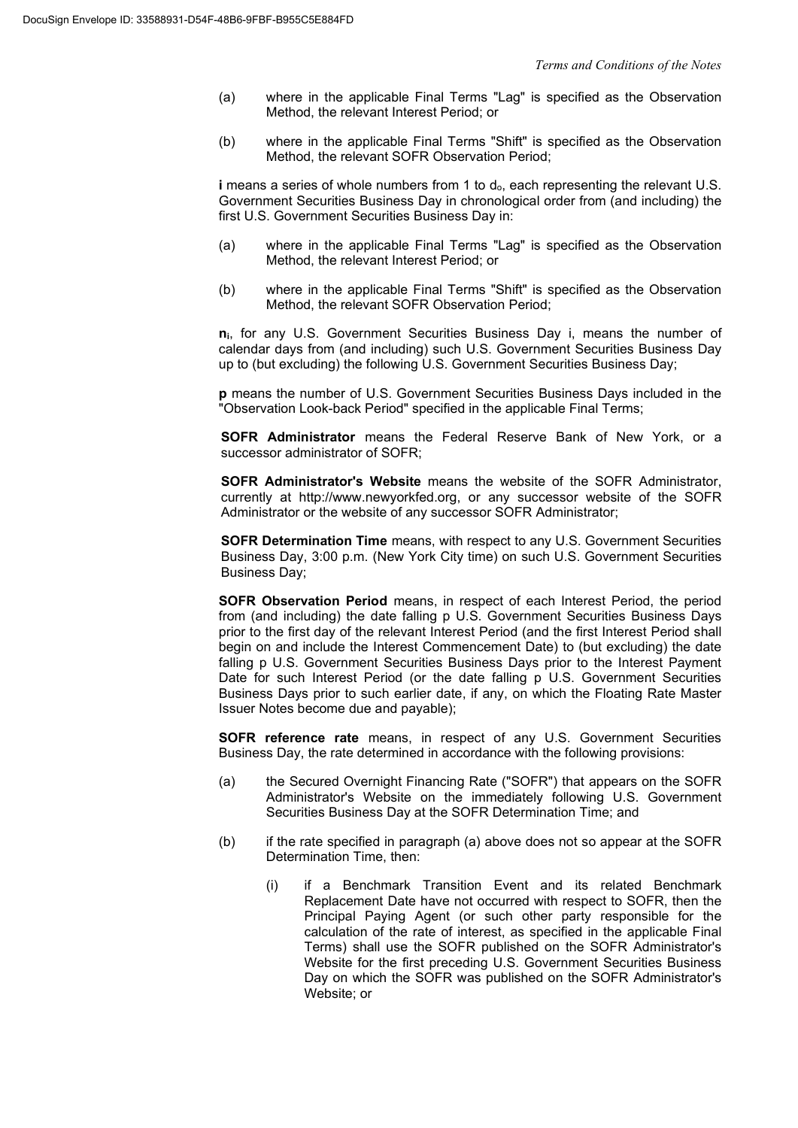- (a) where in the applicable Final Terms "Lag" is specified as the Observation Method, the relevant Interest Period; or
- (b) where in the applicable Final Terms "Shift" is specified as the Observation Method, the relevant SOFR Observation Period;

**i** means a series of whole numbers from 1 to d<sub>o</sub>, each representing the relevant U.S. Government Securities Business Day in chronological order from (and including) the first U.S. Government Securities Business Day in:

- (a) where in the applicable Final Terms "Lag" is specified as the Observation Method, the relevant Interest Period; or
- (b) where in the applicable Final Terms "Shift" is specified as the Observation Method, the relevant SOFR Observation Period;

**ni**, for any U.S. Government Securities Business Day i, means the number of calendar days from (and including) such U.S. Government Securities Business Day up to (but excluding) the following U.S. Government Securities Business Day;

**p** means the number of U.S. Government Securities Business Days included in the .<br>"Observation Look-back Period" specified in the applicable Final Terms:

**SOFR Administrator** means the Federal Reserve Bank of New York, or a successor administrator of SOFR:

**SOFR Administrator's Website** means the website of the SOFR Administrator, currently at http://www.newyorkfed.org, or any successor website of the SOFR Administrator or the website of any successor SOFR Administrator;

**SOFR Determination Time** means, with respect to any U.S. Government Securities Business Day, 3:00 p.m. (New York City time) on such U.S. Government Securities Business Day;

**SOFR Observation Period** means, in respect of each Interest Period, the period from (and including) the date falling p U.S. Government Securities Business Days prior to the first day of the relevant Interest Period (and the first Interest Period shall begin on and include the Interest Commencement Date) to (but excluding) the date falling p U.S. Government Securities Business Days prior to the Interest Payment Date for such Interest Period (or the date falling p U.S. Government Securities Business Days prior to such earlier date, if any, on which the Floating Rate Master Issuer Notes become due and payable);

**SOFR reference rate** means, in respect of any U.S. Government Securities Business Day, the rate determined in accordance with the following provisions:

- (a) the Secured Overnight Financing Rate ("SOFR") that appears on the SOFR Administrator's Website on the immediately following U.S. Government Securities Business Day at the SOFR Determination Time; and
- (b) if the rate specified in paragraph (a) above does not so appear at the SOFR Determination Time, then:
	- (i) if a Benchmark Transition Event and its related Benchmark Replacement Date have not occurred with respect to SOFR, then the Principal Paying Agent (or such other party responsible for the calculation of the rate of interest, as specified in the applicable Final Terms) shall use the SOFR published on the SOFR Administrator's Website for the first preceding U.S. Government Securities Business Day on which the SOFR was published on the SOFR Administrator's Website; or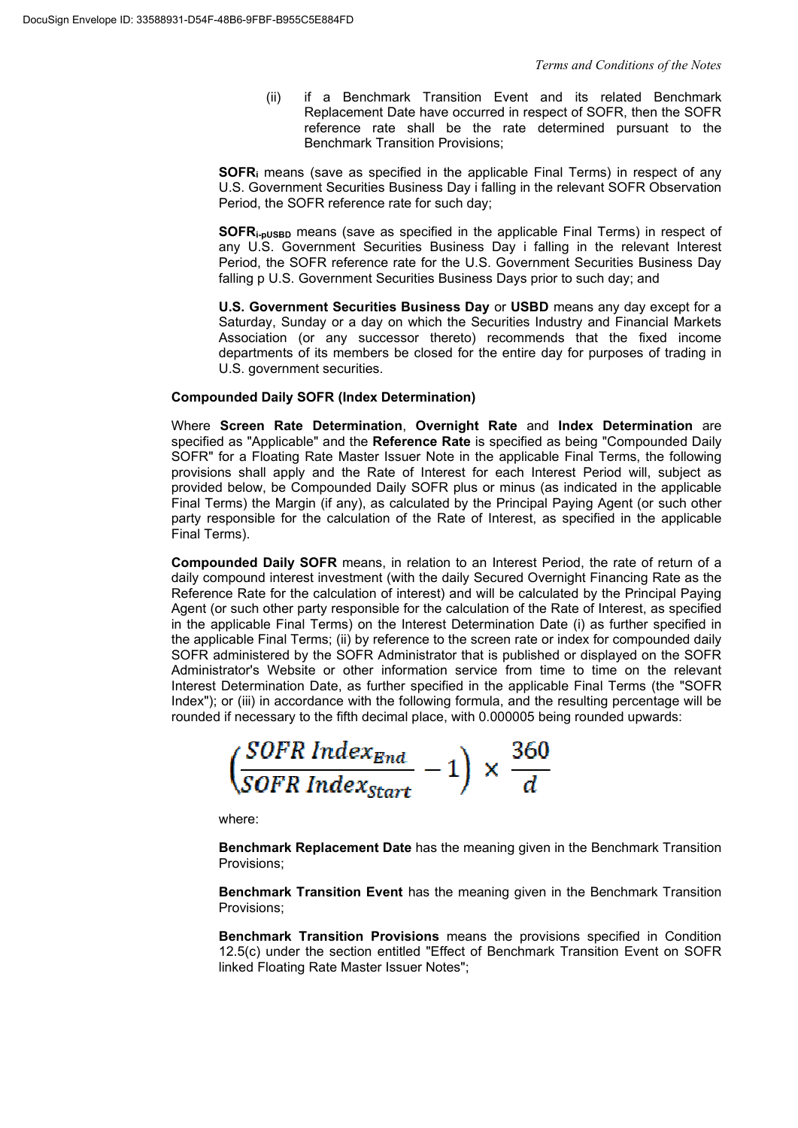(ii) if a Benchmark Transition Event and its related Benchmark Replacement Date have occurred in respect of SOFR, then the SOFR reference rate shall be the rate determined pursuant to the Benchmark Transition Provisions;

**SOFR<sup>i</sup>** means (save as specified in the applicable Final Terms) in respect of any U.S. Government Securities Business Day i falling in the relevant SOFR Observation Period, the SOFR reference rate for such day;

**SOFRi-pUSBD** means (save as specified in the applicable Final Terms) in respect of any U.S. Government Securities Business Day i falling in the relevant Interest Period, the SOFR reference rate for the U.S. Government Securities Business Day falling p U.S. Government Securities Business Days prior to such day; and

**U.S. Government Securities Business Day** or **USBD** means any day except for a Saturday, Sunday or a day on which the Securities Industry and Financial Markets Association (or any successor thereto) recommends that the fixed income departments of its members be closed for the entire day for purposes of trading in U.S. government securities.

### **Compounded Daily SOFR (Index Determination)**

Where **Screen Rate Determination**, **Overnight Rate** and **Index Determination** are specified as "Applicable" and the **Reference Rate** is specified as being "Compounded Daily SOFR" for a Floating Rate Master Issuer Note in the applicable Final Terms, the following provisions shall apply and the Rate of Interest for each Interest Period will, subject as provided below, be Compounded Daily SOFR plus or minus (as indicated in the applicable Final Terms) the Margin (if any), as calculated by the Principal Paying Agent (or such other party responsible for the calculation of the Rate of Interest, as specified in the applicable Final Terms).

**Compounded Daily SOFR** means, in relation to an Interest Period, the rate of return of a daily compound interest investment (with the daily Secured Overnight Financing Rate as the Reference Rate for the calculation of interest) and will be calculated by the Principal Paying Agent (or such other party responsible for the calculation of the Rate of Interest, as specified in the applicable Final Terms) on the Interest Determination Date (i) as further specified in the applicable Final Terms; (ii) by reference to the screen rate or index for compounded daily SOFR administered by the SOFR Administrator that is published or displayed on the SOFR Administrator's Website or other information service from time to time on the relevant Interest Determination Date, as further specified in the applicable Final Terms (the "SOFR Index"); or (iii) in accordance with the following formula, and the resulting percentage will be rounded if necessary to the fifth decimal place, with 0.000005 being rounded upwards:

 $\frac{SOFR~Index_{End}}{SOFR~Index_{Start}}-1\Big) \times \frac{3}{2}$ 

where:

**Benchmark Replacement Date** has the meaning given in the Benchmark Transition Provisions;

**Benchmark Transition Event** has the meaning given in the Benchmark Transition Provisions;

**Benchmark Transition Provisions** means the provisions specified in Condition 12.5(c) under the section entitled "Effect of Benchmark Transition Event on SOFR linked Floating Rate Master Issuer Notes";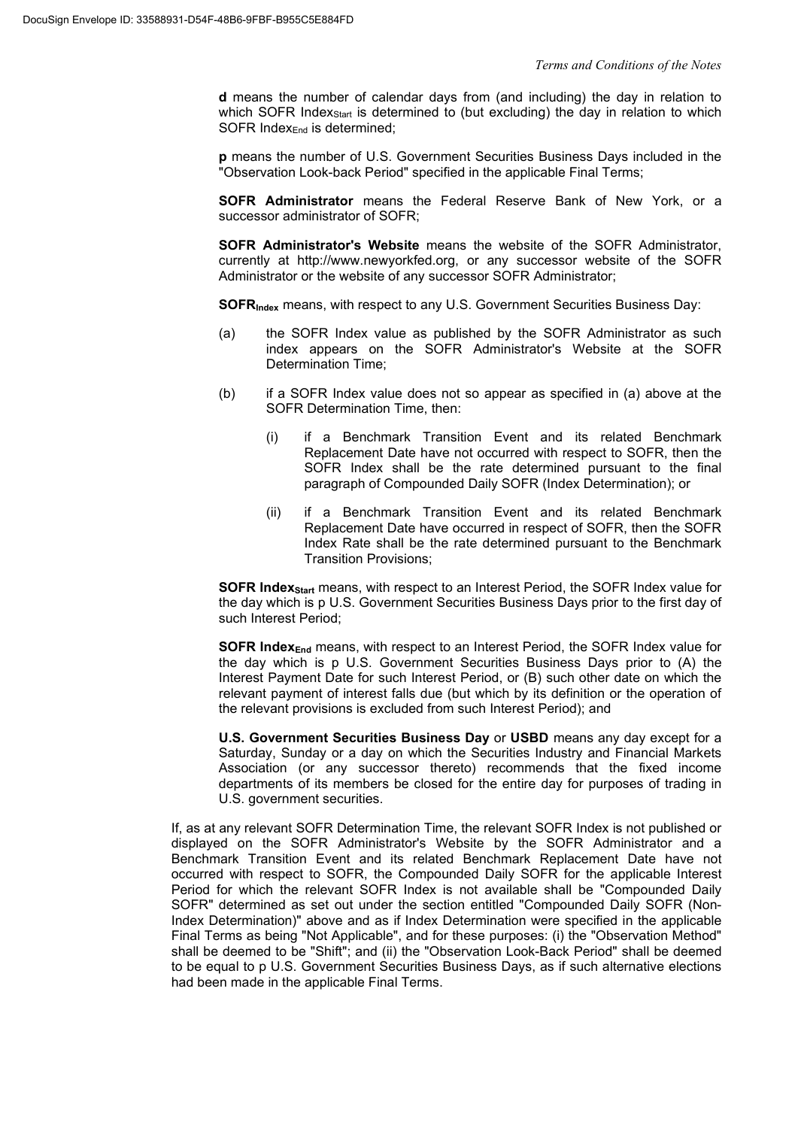**d** means the number of calendar days from (and including) the day in relation to which SOFR Index<sub>Start</sub> is determined to (but excluding) the day in relation to which SOFR Index<sub>End</sub> is determined:

**p** means the number of U.S. Government Securities Business Days included in the "Observation Look-back Period" specified in the applicable Final Terms;

**SOFR Administrator** means the Federal Reserve Bank of New York, or a successor administrator of SOFR;

**SOFR Administrator's Website** means the website of the SOFR Administrator, currently at http://www.newyorkfed.org, or any successor website of the SOFR Administrator or the website of any successor SOFR Administrator;

**SOFRIndex** means, with respect to any U.S. Government Securities Business Day:

- (a) the SOFR Index value as published by the SOFR Administrator as such index appears on the SOFR Administrator's Website at the SOFR Determination Time;
- (b) if a SOFR Index value does not so appear as specified in (a) above at the SOFR Determination Time, then:
	- (i) if a Benchmark Transition Event and its related Benchmark Replacement Date have not occurred with respect to SOFR, then the SOFR Index shall be the rate determined pursuant to the final paragraph of Compounded Daily SOFR (Index Determination); or
	- (ii) if a Benchmark Transition Event and its related Benchmark Replacement Date have occurred in respect of SOFR, then the SOFR Index Rate shall be the rate determined pursuant to the Benchmark Transition Provisions;

**SOFR IndexStart** means, with respect to an Interest Period, the SOFR Index value for the day which is p U.S. Government Securities Business Days prior to the first day of such Interest Period;

**SOFR IndexEnd** means, with respect to an Interest Period, the SOFR Index value for the day which is p U.S. Government Securities Business Days prior to (A) the Interest Payment Date for such Interest Period, or (B) such other date on which the relevant payment of interest falls due (but which by its definition or the operation of the relevant provisions is excluded from such Interest Period); and

**U.S. Government Securities Business Day** or **USBD** means any day except for a Saturday, Sunday or a day on which the Securities Industry and Financial Markets Association (or any successor thereto) recommends that the fixed income departments of its members be closed for the entire day for purposes of trading in U.S. government securities.

If, as at any relevant SOFR Determination Time, the relevant SOFR Index is not published or displayed on the SOFR Administrator's Website by the SOFR Administrator and a Benchmark Transition Event and its related Benchmark Replacement Date have not occurred with respect to SOFR, the Compounded Daily SOFR for the applicable Interest Period for which the relevant SOFR Index is not available shall be "Compounded Daily SOFR" determined as set out under the section entitled "Compounded Daily SOFR (Non-Index Determination)" above and as if Index Determination were specified in the applicable Final Terms as being "Not Applicable", and for these purposes: (i) the "Observation Method" shall be deemed to be "Shift"; and (ii) the "Observation Look-Back Period" shall be deemed to be equal to p U.S. Government Securities Business Days, as if such alternative elections had been made in the applicable Final Terms.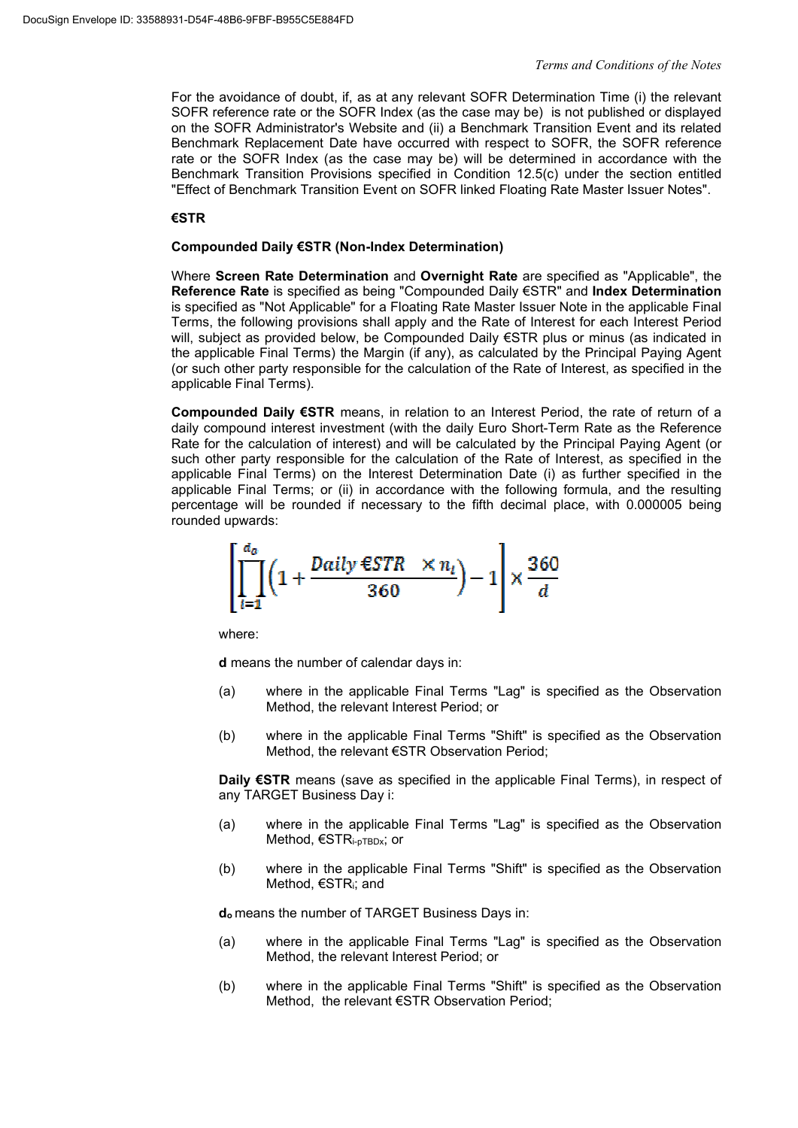For the avoidance of doubt, if, as at any relevant SOFR Determination Time (i) the relevant SOFR reference rate or the SOFR Index (as the case may be) is not published or displayed on the SOFR Administrator's Website and (ii) a Benchmark Transition Event and its related Benchmark Replacement Date have occurred with respect to SOFR, the SOFR reference rate or the SOFR Index (as the case may be) will be determined in accordance with the Benchmark Transition Provisions specified in Condition 12.5(c) under the section entitled "Effect of Benchmark Transition Event on SOFR linked Floating Rate Master Issuer Notes".

### **€STR**

#### **Compounded Daily €STR (Non-Index Determination)**

Where **Screen Rate Determination** and **Overnight Rate** are specified as "Applicable", the **Reference Rate** is specified as being "Compounded Daily €STR" and **Index Determination** is specified as "Not Applicable" for a Floating Rate Master Issuer Note in the applicable Final Terms, the following provisions shall apply and the Rate of Interest for each Interest Period will, subject as provided below, be Compounded Daily €STR plus or minus (as indicated in the applicable Final Terms) the Margin (if any), as calculated by the Principal Paying Agent (or such other party responsible for the calculation of the Rate of Interest, as specified in the applicable Final Terms).

**Compounded Daily €STR** means, in relation to an Interest Period, the rate of return of a daily compound interest investment (with the daily Euro Short-Term Rate as the Reference Rate for the calculation of interest) and will be calculated by the Principal Paying Agent (or such other party responsible for the calculation of the Rate of Interest, as specified in the applicable Final Terms) on the Interest Determination Date (i) as further specified in the applicable Final Terms; or (ii) in accordance with the following formula, and the resulting percentage will be rounded if necessary to the fifth decimal place, with 0.000005 being rounded upwards:



where:

**d** means the number of calendar days in:

- (a) where in the applicable Final Terms "Lag" is specified as the Observation Method, the relevant Interest Period; or
- (b) where in the applicable Final Terms "Shift" is specified as the Observation Method, the relevant €STR Observation Period;

**Daily €STR** means (save as specified in the applicable Final Terms), in respect of any TARGET Business Day i:

- (a) where in the applicable Final Terms "Lag" is specified as the Observation Method, €STRi-pTBDx; or
- (b) where in the applicable Final Terms "Shift" is specified as the Observation Method, €STRi; and

**d<sup>o</sup>** means the number of TARGET Business Days in:

- (a) where in the applicable Final Terms "Lag" is specified as the Observation Method, the relevant Interest Period; or
- (b) where in the applicable Final Terms "Shift" is specified as the Observation Method, the relevant €STR Observation Period;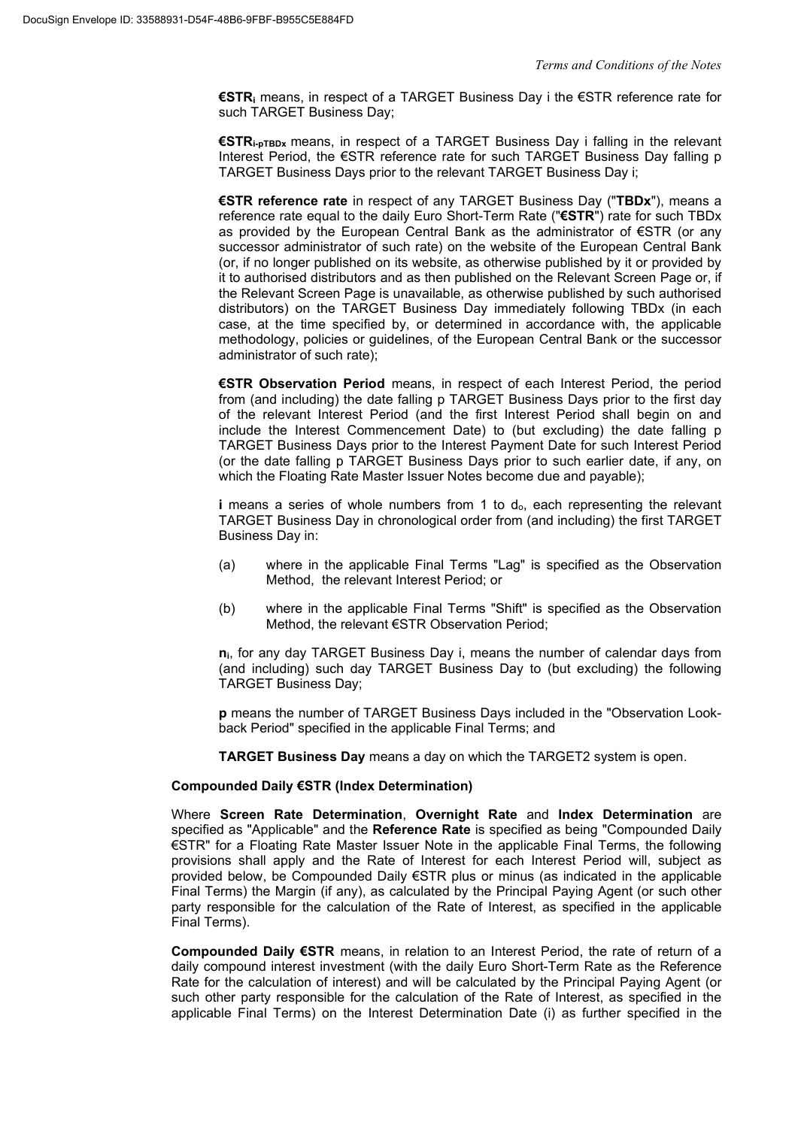**€STRi** means, in respect of a TARGET Business Day i the €STR reference rate for such TARGET Business Day;

**€STRi-pTBDx** means, in respect of a TARGET Business Day i falling in the relevant Interest Period, the €STR reference rate for such TARGET Business Day falling p TARGET Business Days prior to the relevant TARGET Business Day i;

**€STR reference rate** in respect of any TARGET Business Day ("**TBDx**"), means a reference rate equal to the daily Euro Short-Term Rate ("**€STR**") rate for such TBDx as provided by the European Central Bank as the administrator of €STR (or any successor administrator of such rate) on the website of the European Central Bank (or, if no longer published on its website, as otherwise published by it or provided by it to authorised distributors and as then published on the Relevant Screen Page or, if the Relevant Screen Page is unavailable, as otherwise published by such authorised distributors) on the TARGET Business Day immediately following TBDx (in each case, at the time specified by, or determined in accordance with, the applicable methodology, policies or guidelines, of the European Central Bank or the successor administrator of such rate);

**€STR Observation Period** means, in respect of each Interest Period, the period from (and including) the date falling p TARGET Business Days prior to the first day of the relevant Interest Period (and the first Interest Period shall begin on and include the Interest Commencement Date) to (but excluding) the date falling p TARGET Business Days prior to the Interest Payment Date for such Interest Period (or the date falling p TARGET Business Days prior to such earlier date, if any, on which the Floating Rate Master Issuer Notes become due and payable);

**i** means a series of whole numbers from 1 to do, each representing the relevant TARGET Business Day in chronological order from (and including) the first TARGET Business Day in:

- (a) where in the applicable Final Terms "Lag" is specified as the Observation Method, the relevant Interest Period; or
- (b) where in the applicable Final Terms "Shift" is specified as the Observation Method, the relevant €STR Observation Period;

**ni**, for any day TARGET Business Day i, means the number of calendar days from (and including) such day TARGET Business Day to (but excluding) the following TARGET Business Day;

**p** means the number of TARGET Business Days included in the "Observation Lookback Period" specified in the applicable Final Terms; and

**TARGET Business Day** means a day on which the TARGET2 system is open.

#### **Compounded Daily €STR (Index Determination)**

Where **Screen Rate Determination**, **Overnight Rate** and **Index Determination** are specified as "Applicable" and the **Reference Rate** is specified as being "Compounded Daily €STR" for a Floating Rate Master Issuer Note in the applicable Final Terms, the following provisions shall apply and the Rate of Interest for each Interest Period will, subject as provided below, be Compounded Daily €STR plus or minus (as indicated in the applicable Final Terms) the Margin (if any), as calculated by the Principal Paying Agent (or such other party responsible for the calculation of the Rate of Interest, as specified in the applicable Final Terms).

**Compounded Daily €STR** means, in relation to an Interest Period, the rate of return of a daily compound interest investment (with the daily Euro Short-Term Rate as the Reference Rate for the calculation of interest) and will be calculated by the Principal Paying Agent (or such other party responsible for the calculation of the Rate of Interest, as specified in the applicable Final Terms) on the Interest Determination Date (i) as further specified in the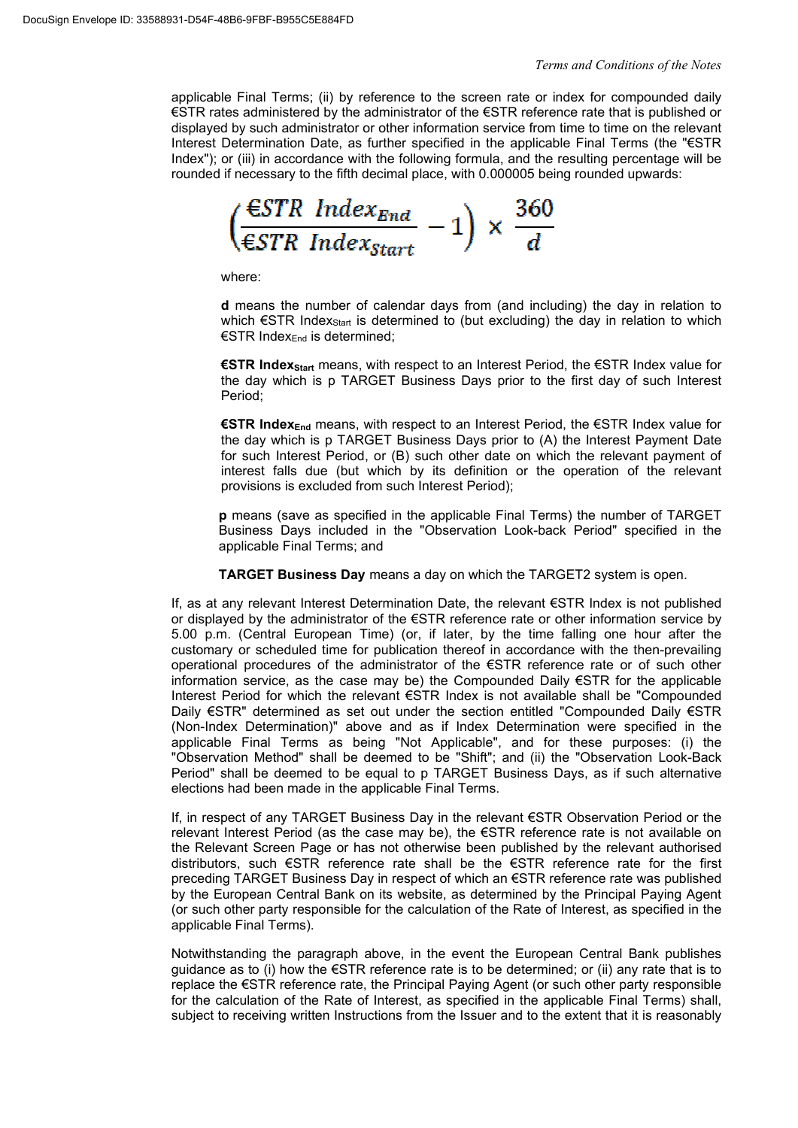applicable Final Terms; (ii) by reference to the screen rate or index for compounded daily €STR rates administered by the administrator of the €STR reference rate that is published or displayed by such administrator or other information service from time to time on the relevant Interest Determination Date, as further specified in the applicable Final Terms (the "€STR Index"); or (iii) in accordance with the following formula, and the resulting percentage will be rounded if necessary to the fifth decimal place, with 0.000005 being rounded upwards:

 $\frac{\epsilon_{STR}}{\epsilon_{STR}}$  Index<sub>End</sub><br> $\frac{\epsilon_{STR}}{\epsilon_{STR}}$  $\bar{\mathbf{x}}$ 

where:

**d** means the number of calendar days from (and including) the day in relation to which  $\epsilon$ STR Index<sub>Start</sub> is determined to (but excluding) the day in relation to which €STR IndexEnd is determined;

**€STR IndexStart** means, with respect to an Interest Period, the €STR Index value for the day which is p TARGET Business Days prior to the first day of such Interest Period;

**€STR IndexEnd** means, with respect to an Interest Period, the €STR Index value for the day which is p TARGET Business Days prior to (A) the Interest Payment Date for such Interest Period, or (B) such other date on which the relevant payment of interest falls due (but which by its definition or the operation of the relevant provisions is excluded from such Interest Period);

**p** means (save as specified in the applicable Final Terms) the number of TARGET Business Days included in the "Observation Look-back Period" specified in the applicable Final Terms; and

**TARGET Business Day** means a day on which the TARGET2 system is open.

If, as at any relevant Interest Determination Date, the relevant €STR Index is not published or displayed by the administrator of the €STR reference rate or other information service by 5.00 p.m. (Central European Time) (or, if later, by the time falling one hour after the customary or scheduled time for publication thereof in accordance with the then-prevailing operational procedures of the administrator of the €STR reference rate or of such other information service, as the case may be) the Compounded Daily €STR for the applicable Interest Period for which the relevant €STR Index is not available shall be "Compounded Daily €STR" determined as set out under the section entitled "Compounded Daily €STR (Non-Index Determination)" above and as if Index Determination were specified in the applicable Final Terms as being "Not Applicable", and for these purposes: (i) the "Observation Method" shall be deemed to be "Shift"; and (ii) the "Observation Look-Back Period" shall be deemed to be equal to p TARGET Business Days, as if such alternative elections had been made in the applicable Final Terms.

If, in respect of any TARGET Business Day in the relevant €STR Observation Period or the relevant Interest Period (as the case may be), the €STR reference rate is not available on the Relevant Screen Page or has not otherwise been published by the relevant authorised distributors, such €STR reference rate shall be the €STR reference rate for the first preceding TARGET Business Day in respect of which an €STR reference rate was published by the European Central Bank on its website, as determined by the Principal Paying Agent (or such other party responsible for the calculation of the Rate of Interest, as specified in the applicable Final Terms).

Notwithstanding the paragraph above, in the event the European Central Bank publishes guidance as to (i) how the  $\epsilon$ STR reference rate is to be determined; or (ii) any rate that is to replace the €STR reference rate, the Principal Paying Agent (or such other party responsible for the calculation of the Rate of Interest, as specified in the applicable Final Terms) shall, subject to receiving written Instructions from the Issuer and to the extent that it is reasonably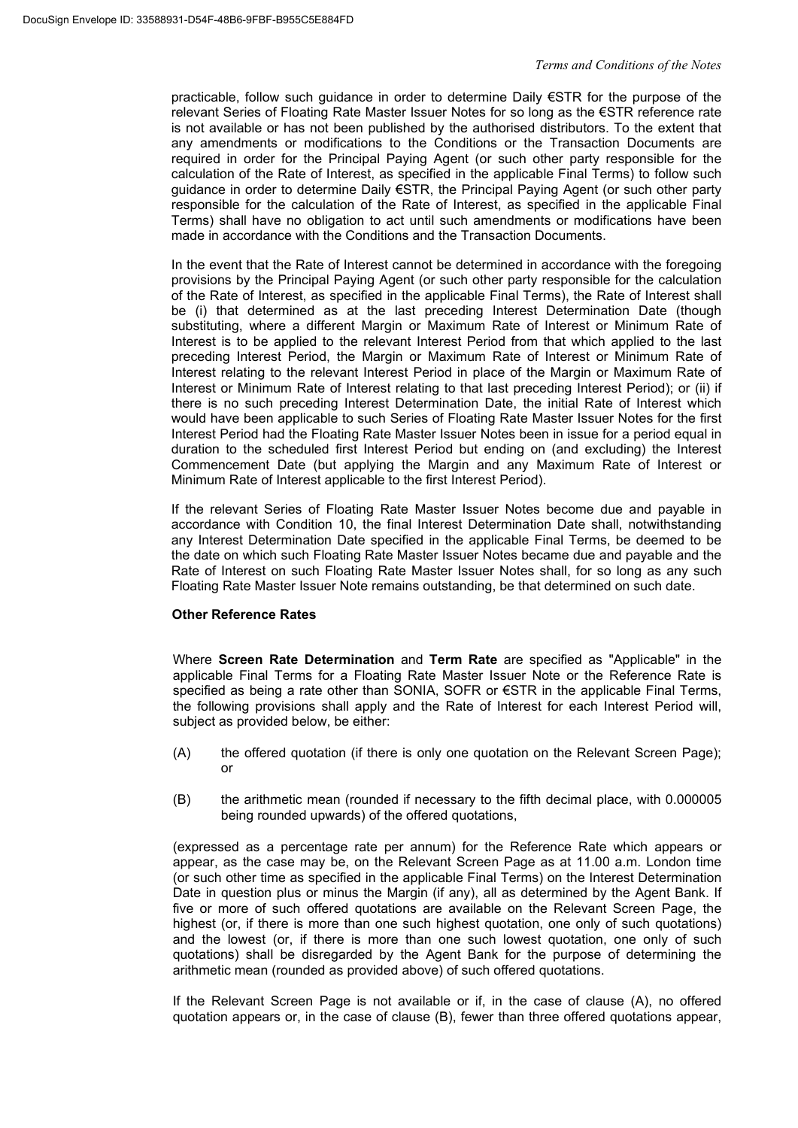practicable, follow such guidance in order to determine Daily €STR for the purpose of the relevant Series of Floating Rate Master Issuer Notes for so long as the €STR reference rate is not available or has not been published by the authorised distributors. To the extent that any amendments or modifications to the Conditions or the Transaction Documents are required in order for the Principal Paying Agent (or such other party responsible for the calculation of the Rate of Interest, as specified in the applicable Final Terms) to follow such guidance in order to determine Daily €STR, the Principal Paying Agent (or such other party responsible for the calculation of the Rate of Interest, as specified in the applicable Final Terms) shall have no obligation to act until such amendments or modifications have been made in accordance with the Conditions and the Transaction Documents.

In the event that the Rate of Interest cannot be determined in accordance with the foregoing provisions by the Principal Paying Agent (or such other party responsible for the calculation of the Rate of Interest, as specified in the applicable Final Terms), the Rate of Interest shall be (i) that determined as at the last preceding Interest Determination Date (though substituting, where a different Margin or Maximum Rate of Interest or Minimum Rate of Interest is to be applied to the relevant Interest Period from that which applied to the last preceding Interest Period, the Margin or Maximum Rate of Interest or Minimum Rate of Interest relating to the relevant Interest Period in place of the Margin or Maximum Rate of Interest or Minimum Rate of Interest relating to that last preceding Interest Period); or (ii) if there is no such preceding Interest Determination Date, the initial Rate of Interest which would have been applicable to such Series of Floating Rate Master Issuer Notes for the first Interest Period had the Floating Rate Master Issuer Notes been in issue for a period equal in duration to the scheduled first Interest Period but ending on (and excluding) the Interest Commencement Date (but applying the Margin and any Maximum Rate of Interest or Minimum Rate of Interest applicable to the first Interest Period).

If the relevant Series of Floating Rate Master Issuer Notes become due and payable in accordance with Condition 10, the final Interest Determination Date shall, notwithstanding any Interest Determination Date specified in the applicable Final Terms, be deemed to be the date on which such Floating Rate Master Issuer Notes became due and payable and the Rate of Interest on such Floating Rate Master Issuer Notes shall, for so long as any such Floating Rate Master Issuer Note remains outstanding, be that determined on such date.

# **Other Reference Rates**

Where **Screen Rate Determination** and **Term Rate** are specified as "Applicable" in the applicable Final Terms for a Floating Rate Master Issuer Note or the Reference Rate is specified as being a rate other than SONIA, SOFR or €STR in the applicable Final Terms, the following provisions shall apply and the Rate of Interest for each Interest Period will, subject as provided below, be either:

- (A) the offered quotation (if there is only one quotation on the Relevant Screen Page); or
- (B) the arithmetic mean (rounded if necessary to the fifth decimal place, with 0.000005 being rounded upwards) of the offered quotations,

(expressed as a percentage rate per annum) for the Reference Rate which appears or appear, as the case may be, on the Relevant Screen Page as at 11.00 a.m. London time (or such other time as specified in the applicable Final Terms) on the Interest Determination Date in question plus or minus the Margin (if any), all as determined by the Agent Bank. If five or more of such offered quotations are available on the Relevant Screen Page, the highest (or, if there is more than one such highest quotation, one only of such quotations) and the lowest (or, if there is more than one such lowest quotation, one only of such quotations) shall be disregarded by the Agent Bank for the purpose of determining the arithmetic mean (rounded as provided above) of such offered quotations.

If the Relevant Screen Page is not available or if, in the case of clause (A), no offered quotation appears or, in the case of clause (B), fewer than three offered quotations appear,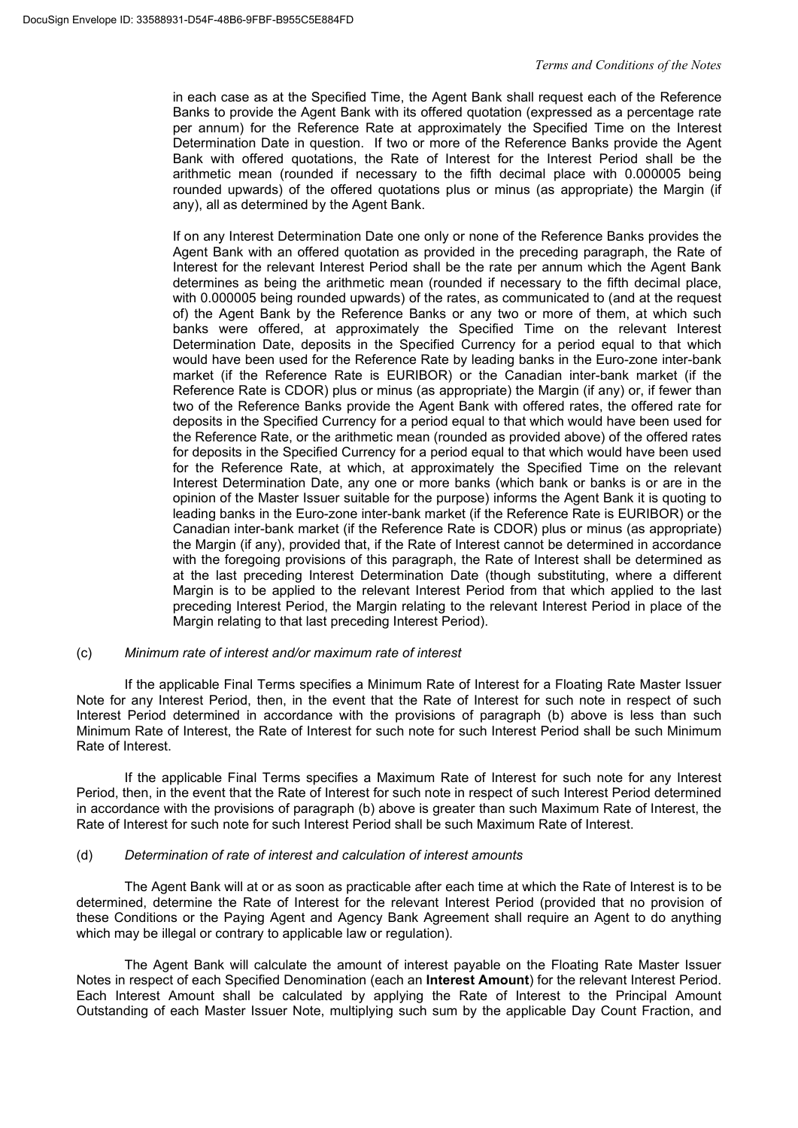in each case as at the Specified Time, the Agent Bank shall request each of the Reference Banks to provide the Agent Bank with its offered quotation (expressed as a percentage rate per annum) for the Reference Rate at approximately the Specified Time on the Interest Determination Date in question. If two or more of the Reference Banks provide the Agent Bank with offered quotations, the Rate of Interest for the Interest Period shall be the arithmetic mean (rounded if necessary to the fifth decimal place with 0.000005 being rounded upwards) of the offered quotations plus or minus (as appropriate) the Margin (if any), all as determined by the Agent Bank.

If on any Interest Determination Date one only or none of the Reference Banks provides the Agent Bank with an offered quotation as provided in the preceding paragraph, the Rate of Interest for the relevant Interest Period shall be the rate per annum which the Agent Bank determines as being the arithmetic mean (rounded if necessary to the fifth decimal place, with 0.000005 being rounded upwards) of the rates, as communicated to (and at the request of) the Agent Bank by the Reference Banks or any two or more of them, at which such banks were offered, at approximately the Specified Time on the relevant Interest Determination Date, deposits in the Specified Currency for a period equal to that which would have been used for the Reference Rate by leading banks in the Euro-zone inter-bank market (if the Reference Rate is EURIBOR) or the Canadian inter-bank market (if the Reference Rate is CDOR) plus or minus (as appropriate) the Margin (if any) or, if fewer than two of the Reference Banks provide the Agent Bank with offered rates, the offered rate for deposits in the Specified Currency for a period equal to that which would have been used for the Reference Rate, or the arithmetic mean (rounded as provided above) of the offered rates for deposits in the Specified Currency for a period equal to that which would have been used for the Reference Rate, at which, at approximately the Specified Time on the relevant Interest Determination Date, any one or more banks (which bank or banks is or are in the opinion of the Master Issuer suitable for the purpose) informs the Agent Bank it is quoting to leading banks in the Euro-zone inter-bank market (if the Reference Rate is EURIBOR) or the Canadian inter-bank market (if the Reference Rate is CDOR) plus or minus (as appropriate) the Margin (if any), provided that, if the Rate of Interest cannot be determined in accordance with the foregoing provisions of this paragraph, the Rate of Interest shall be determined as at the last preceding Interest Determination Date (though substituting, where a different Margin is to be applied to the relevant Interest Period from that which applied to the last preceding Interest Period, the Margin relating to the relevant Interest Period in place of the Margin relating to that last preceding Interest Period).

#### (c) *Minimum rate of interest and/or maximum rate of interest*

If the applicable Final Terms specifies a Minimum Rate of Interest for a Floating Rate Master Issuer Note for any Interest Period, then, in the event that the Rate of Interest for such note in respect of such Interest Period determined in accordance with the provisions of paragraph (b) above is less than such Minimum Rate of Interest, the Rate of Interest for such note for such Interest Period shall be such Minimum Rate of Interest.

If the applicable Final Terms specifies a Maximum Rate of Interest for such note for any Interest Period, then, in the event that the Rate of Interest for such note in respect of such Interest Period determined in accordance with the provisions of paragraph (b) above is greater than such Maximum Rate of Interest, the Rate of Interest for such note for such Interest Period shall be such Maximum Rate of Interest.

#### (d) *Determination of rate of interest and calculation of interest amounts*

The Agent Bank will at or as soon as practicable after each time at which the Rate of Interest is to be determined, determine the Rate of Interest for the relevant Interest Period (provided that no provision of these Conditions or the Paying Agent and Agency Bank Agreement shall require an Agent to do anything which may be illegal or contrary to applicable law or regulation).

The Agent Bank will calculate the amount of interest payable on the Floating Rate Master Issuer Notes in respect of each Specified Denomination (each an **Interest Amount**) for the relevant Interest Period. Each Interest Amount shall be calculated by applying the Rate of Interest to the Principal Amount Outstanding of each Master Issuer Note, multiplying such sum by the applicable Day Count Fraction, and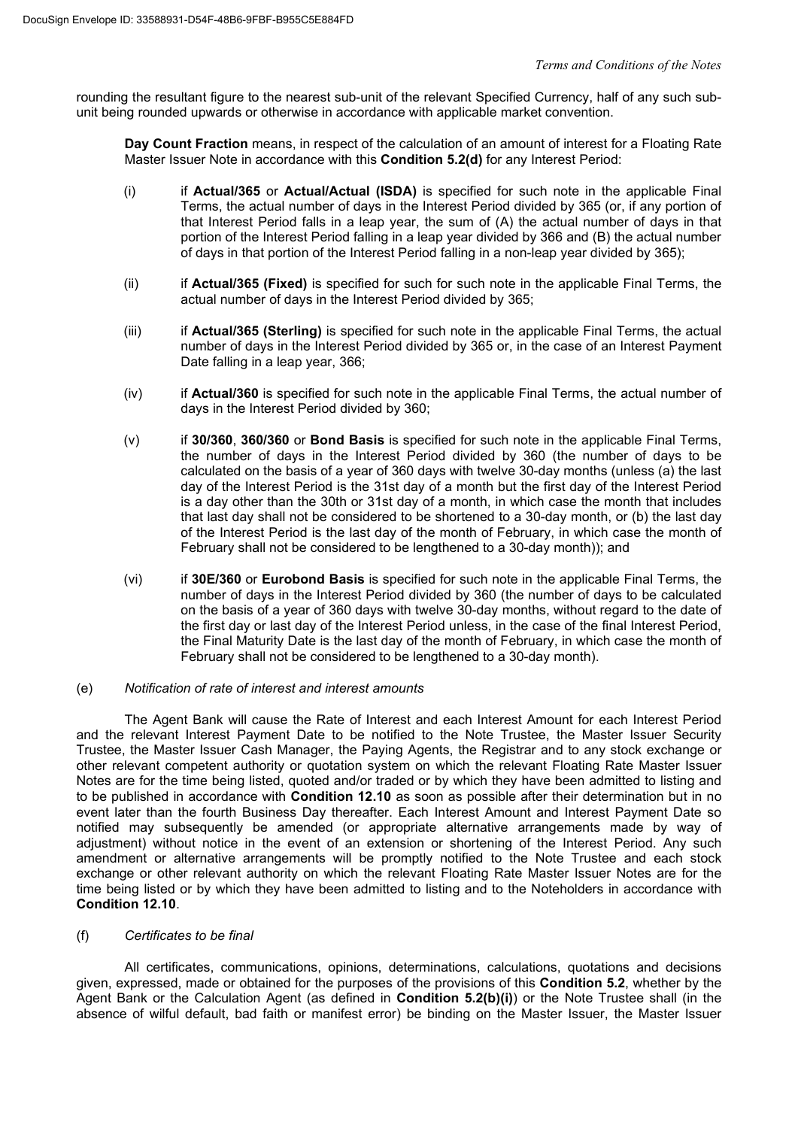rounding the resultant figure to the nearest sub-unit of the relevant Specified Currency, half of any such subunit being rounded upwards or otherwise in accordance with applicable market convention.

**Day Count Fraction** means, in respect of the calculation of an amount of interest for a Floating Rate Master Issuer Note in accordance with this **Condition 5.2(d)** for any Interest Period:

- (i) if **Actual/365** or **Actual/Actual (ISDA)** is specified for such note in the applicable Final Terms, the actual number of days in the Interest Period divided by 365 (or, if any portion of that Interest Period falls in a leap year, the sum of (A) the actual number of days in that portion of the Interest Period falling in a leap year divided by 366 and (B) the actual number of days in that portion of the Interest Period falling in a non-leap year divided by 365);
- (ii) if **Actual/365 (Fixed)** is specified for such for such note in the applicable Final Terms, the actual number of days in the Interest Period divided by 365;
- (iii) if **Actual/365 (Sterling)** is specified for such note in the applicable Final Terms, the actual number of days in the Interest Period divided by 365 or, in the case of an Interest Payment Date falling in a leap year, 366;
- (iv) if **Actual/360** is specified for such note in the applicable Final Terms, the actual number of days in the Interest Period divided by 360;
- (v) if **30/360**, **360/360** or **Bond Basis** is specified for such note in the applicable Final Terms, the number of days in the Interest Period divided by 360 (the number of days to be calculated on the basis of a year of 360 days with twelve 30-day months (unless (a) the last day of the Interest Period is the 31st day of a month but the first day of the Interest Period is a day other than the 30th or 31st day of a month, in which case the month that includes that last day shall not be considered to be shortened to a 30-day month, or (b) the last day of the Interest Period is the last day of the month of February, in which case the month of February shall not be considered to be lengthened to a 30-day month)); and
- (vi) if **30E/360** or **Eurobond Basis** is specified for such note in the applicable Final Terms, the number of days in the Interest Period divided by 360 (the number of days to be calculated on the basis of a year of 360 days with twelve 30-day months, without regard to the date of the first day or last day of the Interest Period unless, in the case of the final Interest Period, the Final Maturity Date is the last day of the month of February, in which case the month of February shall not be considered to be lengthened to a 30-day month).

# (e) *Notification of rate of interest and interest amounts*

The Agent Bank will cause the Rate of Interest and each Interest Amount for each Interest Period and the relevant Interest Payment Date to be notified to the Note Trustee, the Master Issuer Security Trustee, the Master Issuer Cash Manager, the Paying Agents, the Registrar and to any stock exchange or other relevant competent authority or quotation system on which the relevant Floating Rate Master Issuer Notes are for the time being listed, quoted and/or traded or by which they have been admitted to listing and to be published in accordance with **Condition 12.10** as soon as possible after their determination but in no event later than the fourth Business Day thereafter. Each Interest Amount and Interest Payment Date so notified may subsequently be amended (or appropriate alternative arrangements made by way of adjustment) without notice in the event of an extension or shortening of the Interest Period. Any such amendment or alternative arrangements will be promptly notified to the Note Trustee and each stock exchange or other relevant authority on which the relevant Floating Rate Master Issuer Notes are for the time being listed or by which they have been admitted to listing and to the Noteholders in accordance with **Condition 12.10**.

# (f) *Certificates to be final*

All certificates, communications, opinions, determinations, calculations, quotations and decisions given, expressed, made or obtained for the purposes of the provisions of this **Condition 5.2**, whether by the Agent Bank or the Calculation Agent (as defined in **Condition 5.2(b)(i)**) or the Note Trustee shall (in the absence of wilful default, bad faith or manifest error) be binding on the Master Issuer, the Master Issuer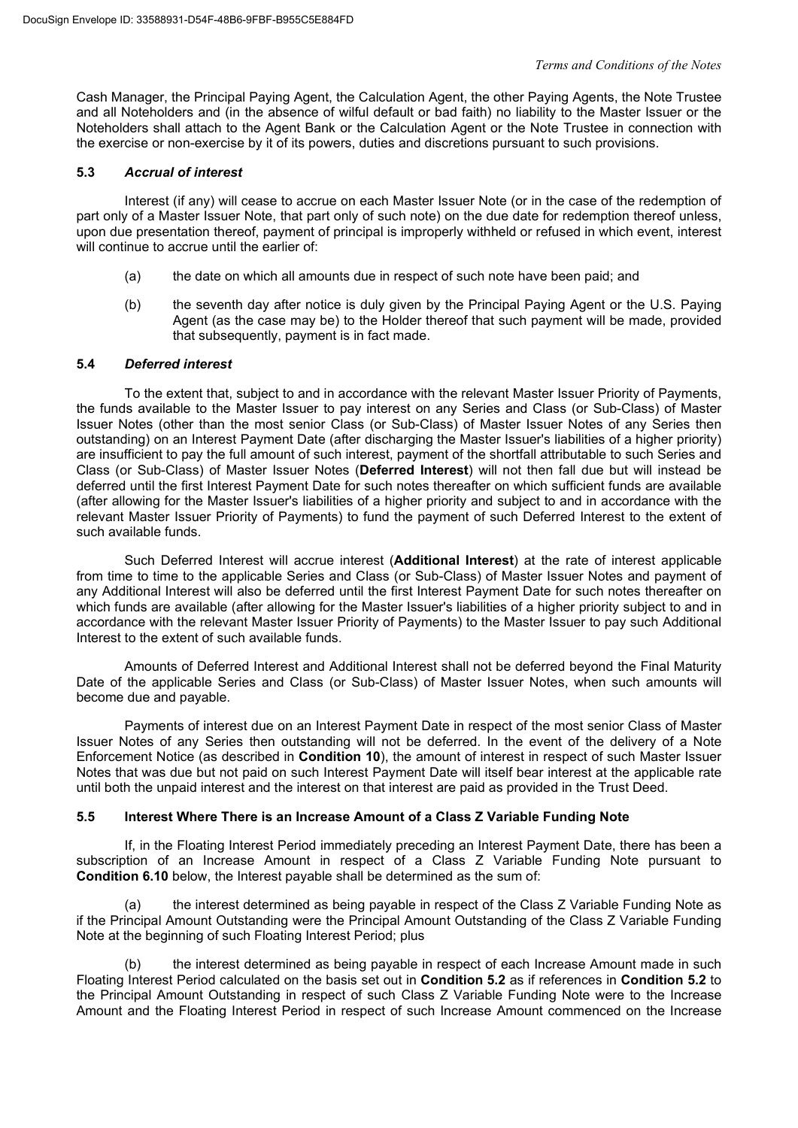Cash Manager, the Principal Paying Agent, the Calculation Agent, the other Paying Agents, the Note Trustee and all Noteholders and (in the absence of wilful default or bad faith) no liability to the Master Issuer or the Noteholders shall attach to the Agent Bank or the Calculation Agent or the Note Trustee in connection with the exercise or non-exercise by it of its powers, duties and discretions pursuant to such provisions.

# **5.3** *Accrual of interest*

Interest (if any) will cease to accrue on each Master Issuer Note (or in the case of the redemption of part only of a Master Issuer Note, that part only of such note) on the due date for redemption thereof unless, upon due presentation thereof, payment of principal is improperly withheld or refused in which event, interest will continue to accrue until the earlier of:

- (a) the date on which all amounts due in respect of such note have been paid; and
- (b) the seventh day after notice is duly given by the Principal Paying Agent or the U.S. Paying Agent (as the case may be) to the Holder thereof that such payment will be made, provided that subsequently, payment is in fact made.

#### **5.4** *Deferred interest*

To the extent that, subject to and in accordance with the relevant Master Issuer Priority of Payments, the funds available to the Master Issuer to pay interest on any Series and Class (or Sub-Class) of Master Issuer Notes (other than the most senior Class (or Sub-Class) of Master Issuer Notes of any Series then outstanding) on an Interest Payment Date (after discharging the Master Issuer's liabilities of a higher priority) are insufficient to pay the full amount of such interest, payment of the shortfall attributable to such Series and Class (or Sub-Class) of Master Issuer Notes (**Deferred Interest**) will not then fall due but will instead be deferred until the first Interest Payment Date for such notes thereafter on which sufficient funds are available (after allowing for the Master Issuer's liabilities of a higher priority and subject to and in accordance with the relevant Master Issuer Priority of Payments) to fund the payment of such Deferred Interest to the extent of such available funds.

Such Deferred Interest will accrue interest (**Additional Interest**) at the rate of interest applicable from time to time to the applicable Series and Class (or Sub-Class) of Master Issuer Notes and payment of any Additional Interest will also be deferred until the first Interest Payment Date for such notes thereafter on which funds are available (after allowing for the Master Issuer's liabilities of a higher priority subject to and in accordance with the relevant Master Issuer Priority of Payments) to the Master Issuer to pay such Additional Interest to the extent of such available funds.

Amounts of Deferred Interest and Additional Interest shall not be deferred beyond the Final Maturity Date of the applicable Series and Class (or Sub-Class) of Master Issuer Notes, when such amounts will become due and payable.

Payments of interest due on an Interest Payment Date in respect of the most senior Class of Master Issuer Notes of any Series then outstanding will not be deferred. In the event of the delivery of a Note Enforcement Notice (as described in **Condition 10**), the amount of interest in respect of such Master Issuer Notes that was due but not paid on such Interest Payment Date will itself bear interest at the applicable rate until both the unpaid interest and the interest on that interest are paid as provided in the Trust Deed.

# **5.5 Interest Where There is an Increase Amount of a Class Z Variable Funding Note**

If, in the Floating Interest Period immediately preceding an Interest Payment Date, there has been a subscription of an Increase Amount in respect of a Class Z Variable Funding Note pursuant to **Condition 6.10** below, the Interest payable shall be determined as the sum of:

(a) the interest determined as being payable in respect of the Class Z Variable Funding Note as if the Principal Amount Outstanding were the Principal Amount Outstanding of the Class Z Variable Funding Note at the beginning of such Floating Interest Period; plus

(b) the interest determined as being payable in respect of each Increase Amount made in such Floating Interest Period calculated on the basis set out in **Condition 5.2** as if references in **Condition 5.2** to the Principal Amount Outstanding in respect of such Class Z Variable Funding Note were to the Increase Amount and the Floating Interest Period in respect of such Increase Amount commenced on the Increase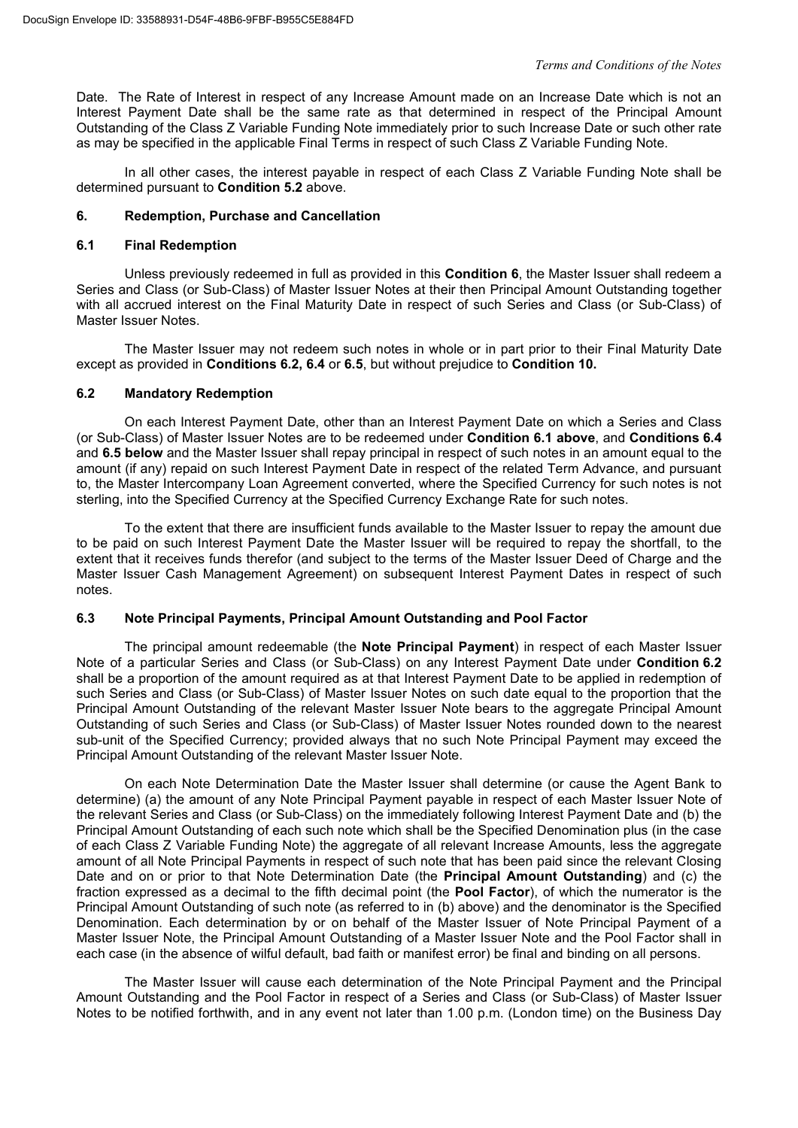Date. The Rate of Interest in respect of any Increase Amount made on an Increase Date which is not an Interest Payment Date shall be the same rate as that determined in respect of the Principal Amount Outstanding of the Class Z Variable Funding Note immediately prior to such Increase Date or such other rate as may be specified in the applicable Final Terms in respect of such Class Z Variable Funding Note.

In all other cases, the interest payable in respect of each Class Z Variable Funding Note shall be determined pursuant to **Condition 5.2** above.

#### **6. Redemption, Purchase and Cancellation**

#### **6.1 Final Redemption**

Unless previously redeemed in full as provided in this **Condition 6**, the Master Issuer shall redeem a Series and Class (or Sub-Class) of Master Issuer Notes at their then Principal Amount Outstanding together with all accrued interest on the Final Maturity Date in respect of such Series and Class (or Sub-Class) of Master Issuer Notes.

The Master Issuer may not redeem such notes in whole or in part prior to their Final Maturity Date except as provided in **Conditions 6.2, 6.4** or **6.5**, but without prejudice to **Condition 10.**

#### **6.2 Mandatory Redemption**

On each Interest Payment Date, other than an Interest Payment Date on which a Series and Class (or Sub-Class) of Master Issuer Notes are to be redeemed under **Condition 6.1 above**, and **Conditions 6.4** and **6.5 below** and the Master Issuer shall repay principal in respect of such notes in an amount equal to the amount (if any) repaid on such Interest Payment Date in respect of the related Term Advance, and pursuant to, the Master Intercompany Loan Agreement converted, where the Specified Currency for such notes is not sterling, into the Specified Currency at the Specified Currency Exchange Rate for such notes.

To the extent that there are insufficient funds available to the Master Issuer to repay the amount due to be paid on such Interest Payment Date the Master Issuer will be required to repay the shortfall, to the extent that it receives funds therefor (and subject to the terms of the Master Issuer Deed of Charge and the Master Issuer Cash Management Agreement) on subsequent Interest Payment Dates in respect of such notes.

# **6.3 Note Principal Payments, Principal Amount Outstanding and Pool Factor**

The principal amount redeemable (the **Note Principal Payment**) in respect of each Master Issuer Note of a particular Series and Class (or Sub-Class) on any Interest Payment Date under **Condition 6.2** shall be a proportion of the amount required as at that Interest Payment Date to be applied in redemption of such Series and Class (or Sub-Class) of Master Issuer Notes on such date equal to the proportion that the Principal Amount Outstanding of the relevant Master Issuer Note bears to the aggregate Principal Amount Outstanding of such Series and Class (or Sub-Class) of Master Issuer Notes rounded down to the nearest sub-unit of the Specified Currency; provided always that no such Note Principal Payment may exceed the Principal Amount Outstanding of the relevant Master Issuer Note.

On each Note Determination Date the Master Issuer shall determine (or cause the Agent Bank to determine) (a) the amount of any Note Principal Payment payable in respect of each Master Issuer Note of the relevant Series and Class (or Sub-Class) on the immediately following Interest Payment Date and (b) the Principal Amount Outstanding of each such note which shall be the Specified Denomination plus (in the case of each Class Z Variable Funding Note) the aggregate of all relevant Increase Amounts, less the aggregate amount of all Note Principal Payments in respect of such note that has been paid since the relevant Closing Date and on or prior to that Note Determination Date (the **Principal Amount Outstanding**) and (c) the fraction expressed as a decimal to the fifth decimal point (the **Pool Factor**), of which the numerator is the Principal Amount Outstanding of such note (as referred to in (b) above) and the denominator is the Specified Denomination. Each determination by or on behalf of the Master Issuer of Note Principal Payment of a Master Issuer Note, the Principal Amount Outstanding of a Master Issuer Note and the Pool Factor shall in each case (in the absence of wilful default, bad faith or manifest error) be final and binding on all persons.

The Master Issuer will cause each determination of the Note Principal Payment and the Principal Amount Outstanding and the Pool Factor in respect of a Series and Class (or Sub-Class) of Master Issuer Notes to be notified forthwith, and in any event not later than 1.00 p.m. (London time) on the Business Day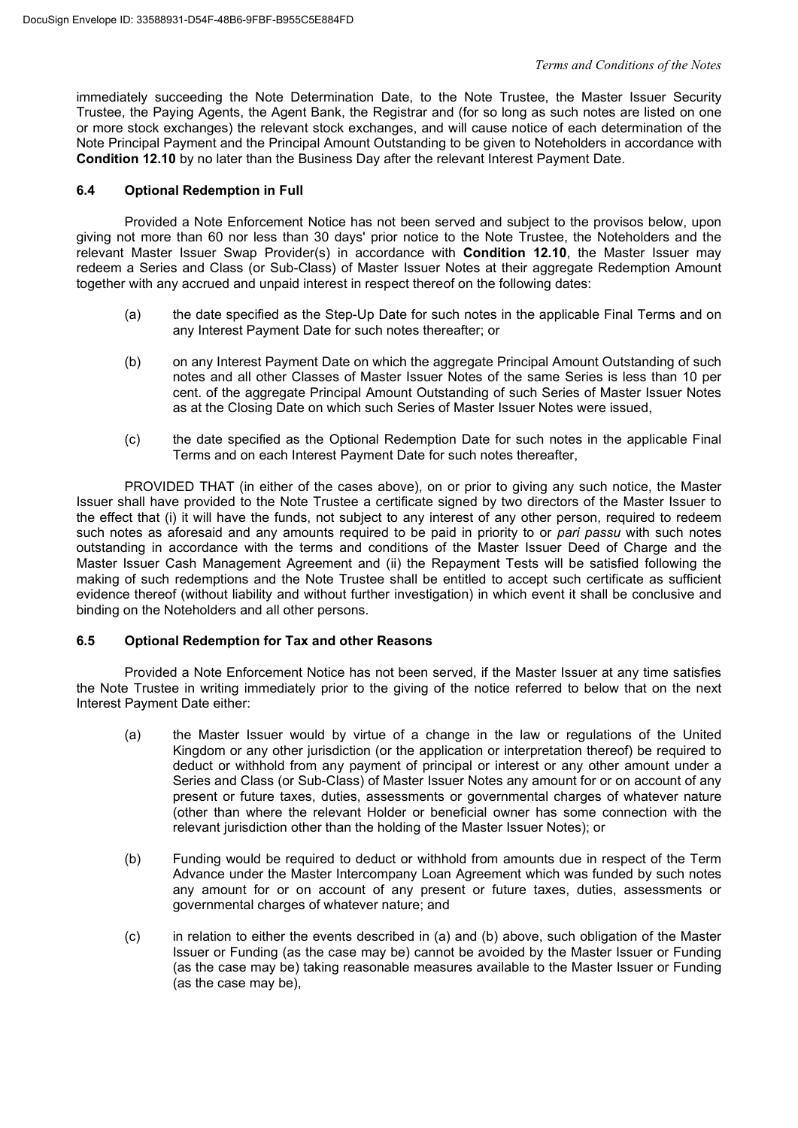immediately succeeding the Note Determination Date, to the Note Trustee, the Master Issuer Security Trustee, the Paying Agents, the Agent Bank, the Registrar and (for so long as such notes are listed on one or more stock exchanges) the relevant stock exchanges, and will cause notice of each determination of the Note Principal Payment and the Principal Amount Outstanding to be given to Noteholders in accordance with **Condition 12.10** by no later than the Business Day after the relevant Interest Payment Date.

# **6.4 Optional Redemption in Full**

Provided a Note Enforcement Notice has not been served and subject to the provisos below, upon giving not more than 60 nor less than 30 days' prior notice to the Note Trustee, the Noteholders and the relevant Master Issuer Swap Provider(s) in accordance with **Condition 12.10**, the Master Issuer may redeem a Series and Class (or Sub-Class) of Master Issuer Notes at their aggregate Redemption Amount together with any accrued and unpaid interest in respect thereof on the following dates:

- (a) the date specified as the Step-Up Date for such notes in the applicable Final Terms and on any Interest Payment Date for such notes thereafter; or
- (b) on any Interest Payment Date on which the aggregate Principal Amount Outstanding of such notes and all other Classes of Master Issuer Notes of the same Series is less than 10 per cent. of the aggregate Principal Amount Outstanding of such Series of Master Issuer Notes as at the Closing Date on which such Series of Master Issuer Notes were issued,
- (c) the date specified as the Optional Redemption Date for such notes in the applicable Final Terms and on each Interest Payment Date for such notes thereafter,

PROVIDED THAT (in either of the cases above), on or prior to giving any such notice, the Master Issuer shall have provided to the Note Trustee a certificate signed by two directors of the Master Issuer to the effect that (i) it will have the funds, not subject to any interest of any other person, required to redeem such notes as aforesaid and any amounts required to be paid in priority to or *pari passu* with such notes outstanding in accordance with the terms and conditions of the Master Issuer Deed of Charge and the Master Issuer Cash Management Agreement and (ii) the Repayment Tests will be satisfied following the making of such redemptions and the Note Trustee shall be entitled to accept such certificate as sufficient evidence thereof (without liability and without further investigation) in which event it shall be conclusive and binding on the Noteholders and all other persons.

# **6.5 Optional Redemption for Tax and other Reasons**

Provided a Note Enforcement Notice has not been served, if the Master Issuer at any time satisfies the Note Trustee in writing immediately prior to the giving of the notice referred to below that on the next Interest Payment Date either:

- (a) the Master Issuer would by virtue of a change in the law or regulations of the United Kingdom or any other jurisdiction (or the application or interpretation thereof) be required to deduct or withhold from any payment of principal or interest or any other amount under a Series and Class (or Sub-Class) of Master Issuer Notes any amount for or on account of any present or future taxes, duties, assessments or governmental charges of whatever nature (other than where the relevant Holder or beneficial owner has some connection with the relevant jurisdiction other than the holding of the Master Issuer Notes); or
- (b) Funding would be required to deduct or withhold from amounts due in respect of the Term Advance under the Master Intercompany Loan Agreement which was funded by such notes any amount for or on account of any present or future taxes, duties, assessments or governmental charges of whatever nature; and
- (c) in relation to either the events described in (a) and (b) above, such obligation of the Master Issuer or Funding (as the case may be) cannot be avoided by the Master Issuer or Funding (as the case may be) taking reasonable measures available to the Master Issuer or Funding (as the case may be),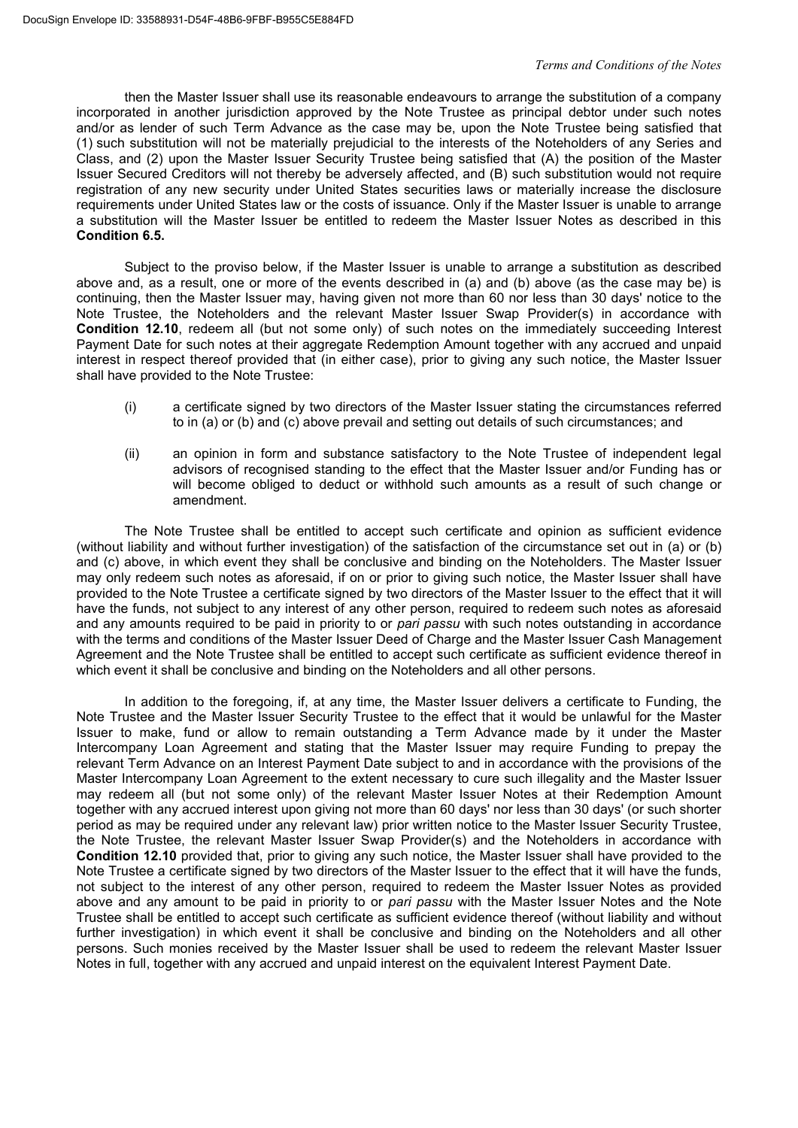then the Master Issuer shall use its reasonable endeavours to arrange the substitution of a company incorporated in another jurisdiction approved by the Note Trustee as principal debtor under such notes and/or as lender of such Term Advance as the case may be, upon the Note Trustee being satisfied that (1) such substitution will not be materially prejudicial to the interests of the Noteholders of any Series and Class, and (2) upon the Master Issuer Security Trustee being satisfied that (A) the position of the Master Issuer Secured Creditors will not thereby be adversely affected, and (B) such substitution would not require registration of any new security under United States securities laws or materially increase the disclosure requirements under United States law or the costs of issuance. Only if the Master Issuer is unable to arrange a substitution will the Master Issuer be entitled to redeem the Master Issuer Notes as described in this **Condition 6.5.**

Subject to the proviso below, if the Master Issuer is unable to arrange a substitution as described above and, as a result, one or more of the events described in (a) and (b) above (as the case may be) is continuing, then the Master Issuer may, having given not more than 60 nor less than 30 days' notice to the Note Trustee, the Noteholders and the relevant Master Issuer Swap Provider(s) in accordance with **Condition 12.10**, redeem all (but not some only) of such notes on the immediately succeeding Interest Payment Date for such notes at their aggregate Redemption Amount together with any accrued and unpaid interest in respect thereof provided that (in either case), prior to giving any such notice, the Master Issuer shall have provided to the Note Trustee:

- (i) a certificate signed by two directors of the Master Issuer stating the circumstances referred to in (a) or (b) and (c) above prevail and setting out details of such circumstances; and
- (ii) an opinion in form and substance satisfactory to the Note Trustee of independent legal advisors of recognised standing to the effect that the Master Issuer and/or Funding has or will become obliged to deduct or withhold such amounts as a result of such change or amendment.

The Note Trustee shall be entitled to accept such certificate and opinion as sufficient evidence (without liability and without further investigation) of the satisfaction of the circumstance set out in (a) or (b) and (c) above, in which event they shall be conclusive and binding on the Noteholders. The Master Issuer may only redeem such notes as aforesaid, if on or prior to giving such notice, the Master Issuer shall have provided to the Note Trustee a certificate signed by two directors of the Master Issuer to the effect that it will have the funds, not subject to any interest of any other person, required to redeem such notes as aforesaid and any amounts required to be paid in priority to or *pari passu* with such notes outstanding in accordance with the terms and conditions of the Master Issuer Deed of Charge and the Master Issuer Cash Management Agreement and the Note Trustee shall be entitled to accept such certificate as sufficient evidence thereof in which event it shall be conclusive and binding on the Noteholders and all other persons.

In addition to the foregoing, if, at any time, the Master Issuer delivers a certificate to Funding, the Note Trustee and the Master Issuer Security Trustee to the effect that it would be unlawful for the Master Issuer to make, fund or allow to remain outstanding a Term Advance made by it under the Master Intercompany Loan Agreement and stating that the Master Issuer may require Funding to prepay the relevant Term Advance on an Interest Payment Date subject to and in accordance with the provisions of the Master Intercompany Loan Agreement to the extent necessary to cure such illegality and the Master Issuer may redeem all (but not some only) of the relevant Master Issuer Notes at their Redemption Amount together with any accrued interest upon giving not more than 60 days' nor less than 30 days' (or such shorter period as may be required under any relevant law) prior written notice to the Master Issuer Security Trustee, the Note Trustee, the relevant Master Issuer Swap Provider(s) and the Noteholders in accordance with **Condition 12.10** provided that, prior to giving any such notice, the Master Issuer shall have provided to the Note Trustee a certificate signed by two directors of the Master Issuer to the effect that it will have the funds, not subject to the interest of any other person, required to redeem the Master Issuer Notes as provided above and any amount to be paid in priority to or *pari passu* with the Master Issuer Notes and the Note Trustee shall be entitled to accept such certificate as sufficient evidence thereof (without liability and without further investigation) in which event it shall be conclusive and binding on the Noteholders and all other persons. Such monies received by the Master Issuer shall be used to redeem the relevant Master Issuer Notes in full, together with any accrued and unpaid interest on the equivalent Interest Payment Date.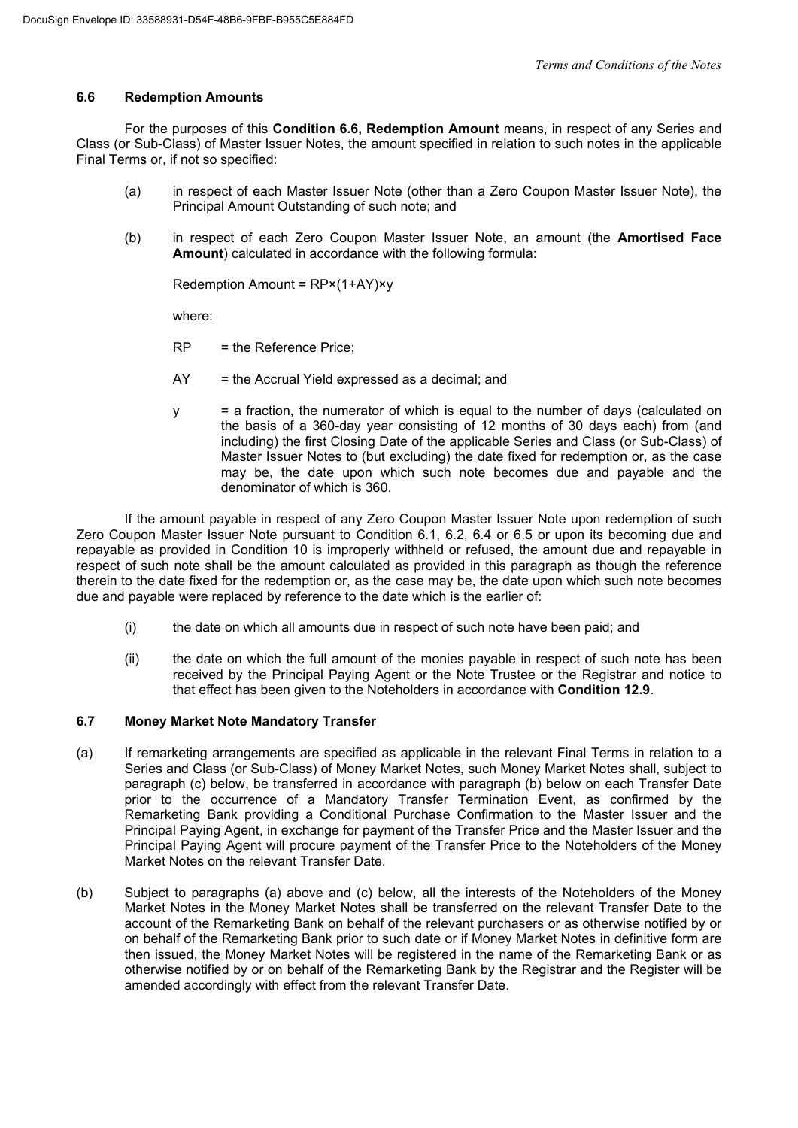# **6.6 Redemption Amounts**

For the purposes of this **Condition 6.6, Redemption Amount** means, in respect of any Series and Class (or Sub-Class) of Master Issuer Notes, the amount specified in relation to such notes in the applicable Final Terms or, if not so specified:

- (a) in respect of each Master Issuer Note (other than a Zero Coupon Master Issuer Note), the Principal Amount Outstanding of such note; and
- (b) in respect of each Zero Coupon Master Issuer Note, an amount (the **Amortised Face Amount**) calculated in accordance with the following formula:

Redemption Amount = RP×(1+AY)×y

where:

- RP = the Reference Price;
- AY = the Accrual Yield expressed as a decimal; and
- y = a fraction, the numerator of which is equal to the number of days (calculated on the basis of a 360-day year consisting of 12 months of 30 days each) from (and including) the first Closing Date of the applicable Series and Class (or Sub-Class) of Master Issuer Notes to (but excluding) the date fixed for redemption or, as the case may be, the date upon which such note becomes due and payable and the denominator of which is 360.

If the amount payable in respect of any Zero Coupon Master Issuer Note upon redemption of such Zero Coupon Master Issuer Note pursuant to Condition 6.1, 6.2, 6.4 or 6.5 or upon its becoming due and repayable as provided in Condition 10 is improperly withheld or refused, the amount due and repayable in respect of such note shall be the amount calculated as provided in this paragraph as though the reference therein to the date fixed for the redemption or, as the case may be, the date upon which such note becomes due and payable were replaced by reference to the date which is the earlier of:

- (i) the date on which all amounts due in respect of such note have been paid; and
- (ii) the date on which the full amount of the monies payable in respect of such note has been received by the Principal Paying Agent or the Note Trustee or the Registrar and notice to that effect has been given to the Noteholders in accordance with **Condition 12.9**.

# **6.7 Money Market Note Mandatory Transfer**

- (a) If remarketing arrangements are specified as applicable in the relevant Final Terms in relation to a Series and Class (or Sub-Class) of Money Market Notes, such Money Market Notes shall, subject to paragraph (c) below, be transferred in accordance with paragraph (b) below on each Transfer Date prior to the occurrence of a Mandatory Transfer Termination Event, as confirmed by the Remarketing Bank providing a Conditional Purchase Confirmation to the Master Issuer and the Principal Paying Agent, in exchange for payment of the Transfer Price and the Master Issuer and the Principal Paying Agent will procure payment of the Transfer Price to the Noteholders of the Money Market Notes on the relevant Transfer Date.
- (b) Subject to paragraphs (a) above and (c) below, all the interests of the Noteholders of the Money Market Notes in the Money Market Notes shall be transferred on the relevant Transfer Date to the account of the Remarketing Bank on behalf of the relevant purchasers or as otherwise notified by or on behalf of the Remarketing Bank prior to such date or if Money Market Notes in definitive form are then issued, the Money Market Notes will be registered in the name of the Remarketing Bank or as otherwise notified by or on behalf of the Remarketing Bank by the Registrar and the Register will be amended accordingly with effect from the relevant Transfer Date.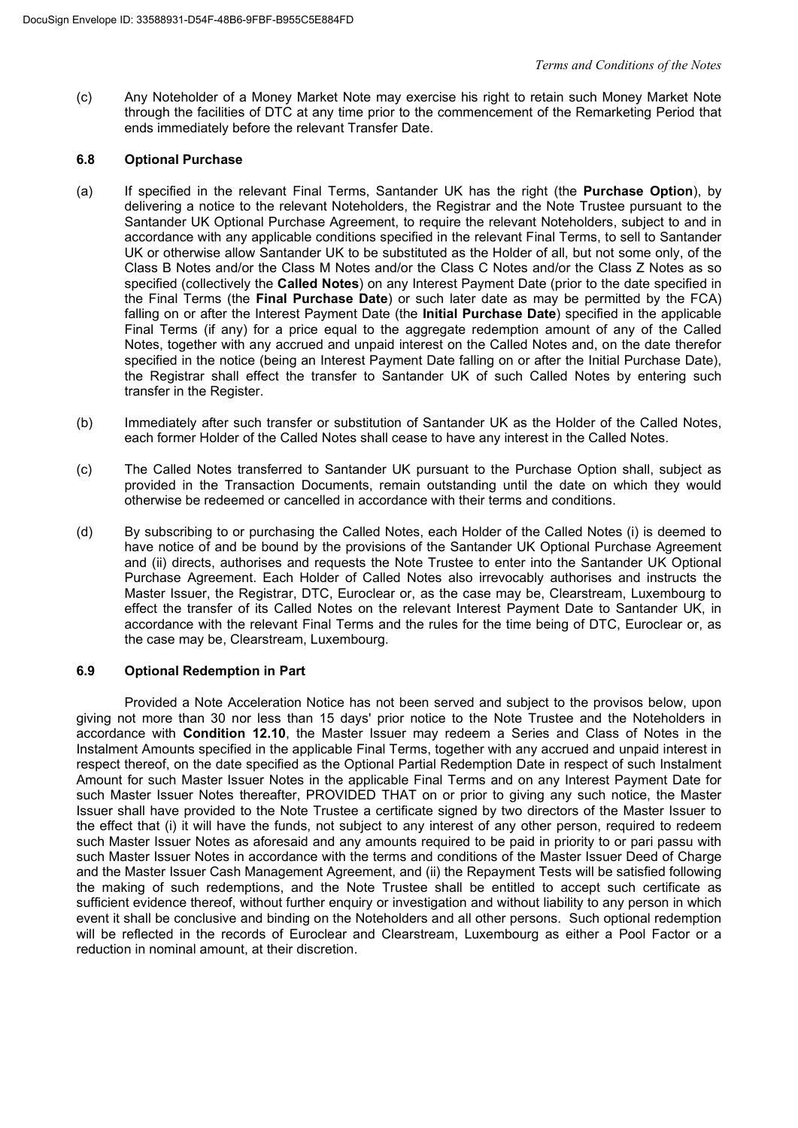(c) Any Noteholder of a Money Market Note may exercise his right to retain such Money Market Note through the facilities of DTC at any time prior to the commencement of the Remarketing Period that ends immediately before the relevant Transfer Date.

### **6.8 Optional Purchase**

- (a) If specified in the relevant Final Terms, Santander UK has the right (the **Purchase Option**), by delivering a notice to the relevant Noteholders, the Registrar and the Note Trustee pursuant to the Santander UK Optional Purchase Agreement, to require the relevant Noteholders, subject to and in accordance with any applicable conditions specified in the relevant Final Terms, to sell to Santander UK or otherwise allow Santander UK to be substituted as the Holder of all, but not some only, of the Class B Notes and/or the Class M Notes and/or the Class C Notes and/or the Class Z Notes as so specified (collectively the **Called Notes**) on any Interest Payment Date (prior to the date specified in the Final Terms (the **Final Purchase Date**) or such later date as may be permitted by the FCA) falling on or after the Interest Payment Date (the **Initial Purchase Date**) specified in the applicable Final Terms (if any) for a price equal to the aggregate redemption amount of any of the Called Notes, together with any accrued and unpaid interest on the Called Notes and, on the date therefor specified in the notice (being an Interest Payment Date falling on or after the Initial Purchase Date), the Registrar shall effect the transfer to Santander UK of such Called Notes by entering such transfer in the Register.
- (b) Immediately after such transfer or substitution of Santander UK as the Holder of the Called Notes, each former Holder of the Called Notes shall cease to have any interest in the Called Notes.
- (c) The Called Notes transferred to Santander UK pursuant to the Purchase Option shall, subject as provided in the Transaction Documents, remain outstanding until the date on which they would otherwise be redeemed or cancelled in accordance with their terms and conditions.
- (d) By subscribing to or purchasing the Called Notes, each Holder of the Called Notes (i) is deemed to have notice of and be bound by the provisions of the Santander UK Optional Purchase Agreement and (ii) directs, authorises and requests the Note Trustee to enter into the Santander UK Optional Purchase Agreement. Each Holder of Called Notes also irrevocably authorises and instructs the Master Issuer, the Registrar, DTC, Euroclear or, as the case may be, Clearstream, Luxembourg to effect the transfer of its Called Notes on the relevant Interest Payment Date to Santander UK, in accordance with the relevant Final Terms and the rules for the time being of DTC, Euroclear or, as the case may be, Clearstream, Luxembourg.

# **6.9 Optional Redemption in Part**

Provided a Note Acceleration Notice has not been served and subject to the provisos below, upon giving not more than 30 nor less than 15 days' prior notice to the Note Trustee and the Noteholders in accordance with **Condition 12.10**, the Master Issuer may redeem a Series and Class of Notes in the Instalment Amounts specified in the applicable Final Terms, together with any accrued and unpaid interest in respect thereof, on the date specified as the Optional Partial Redemption Date in respect of such Instalment Amount for such Master Issuer Notes in the applicable Final Terms and on any Interest Payment Date for such Master Issuer Notes thereafter, PROVIDED THAT on or prior to giving any such notice, the Master Issuer shall have provided to the Note Trustee a certificate signed by two directors of the Master Issuer to the effect that (i) it will have the funds, not subject to any interest of any other person, required to redeem such Master Issuer Notes as aforesaid and any amounts required to be paid in priority to or pari passu with such Master Issuer Notes in accordance with the terms and conditions of the Master Issuer Deed of Charge and the Master Issuer Cash Management Agreement, and (ii) the Repayment Tests will be satisfied following the making of such redemptions, and the Note Trustee shall be entitled to accept such certificate as sufficient evidence thereof, without further enquiry or investigation and without liability to any person in which event it shall be conclusive and binding on the Noteholders and all other persons. Such optional redemption will be reflected in the records of Euroclear and Clearstream, Luxembourg as either a Pool Factor or a reduction in nominal amount, at their discretion.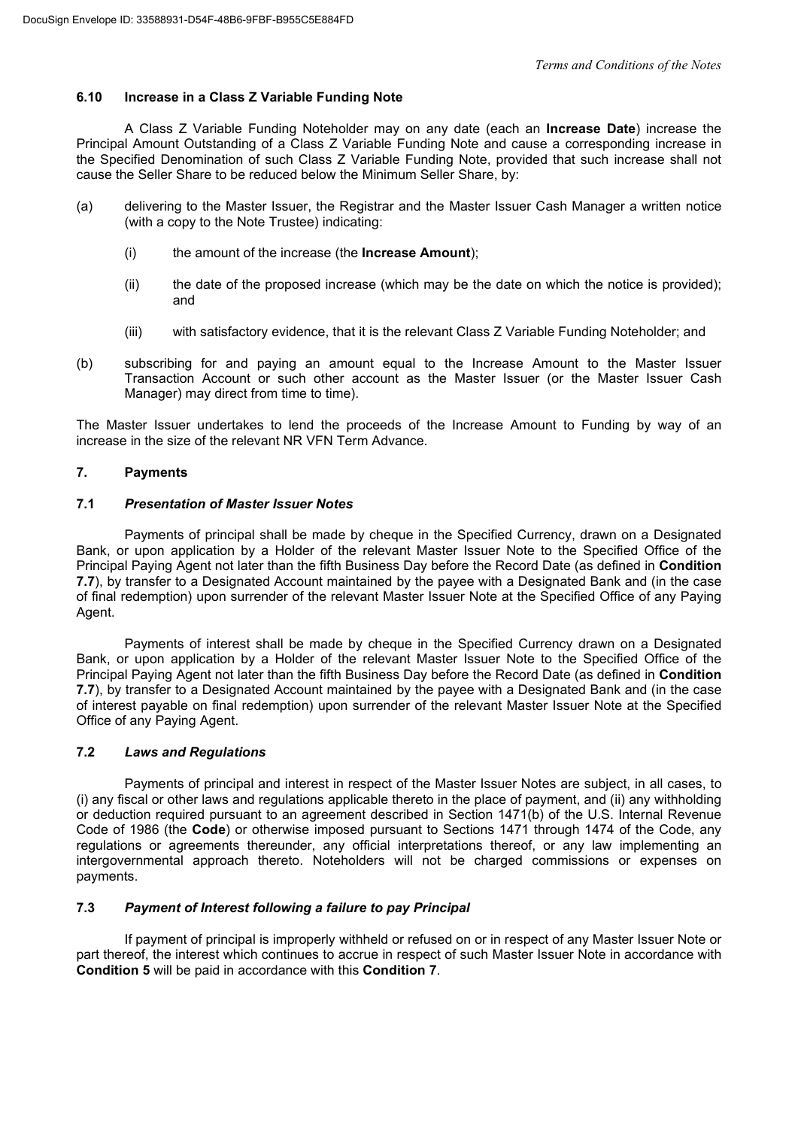# **6.10 Increase in a Class Z Variable Funding Note**

A Class Z Variable Funding Noteholder may on any date (each an **Increase Date**) increase the Principal Amount Outstanding of a Class Z Variable Funding Note and cause a corresponding increase in the Specified Denomination of such Class Z Variable Funding Note, provided that such increase shall not cause the Seller Share to be reduced below the Minimum Seller Share, by:

- (a) delivering to the Master Issuer, the Registrar and the Master Issuer Cash Manager a written notice (with a copy to the Note Trustee) indicating:
	- (i) the amount of the increase (the **Increase Amount**);
	- (ii) the date of the proposed increase (which may be the date on which the notice is provided); and
	- (iii) with satisfactory evidence, that it is the relevant Class Z Variable Funding Noteholder; and
- (b) subscribing for and paying an amount equal to the Increase Amount to the Master Issuer Transaction Account or such other account as the Master Issuer (or the Master Issuer Cash Manager) may direct from time to time).

The Master Issuer undertakes to lend the proceeds of the Increase Amount to Funding by way of an increase in the size of the relevant NR VFN Term Advance.

# **7. Payments**

#### **7.1** *Presentation of Master Issuer Notes*

Payments of principal shall be made by cheque in the Specified Currency, drawn on a Designated Bank, or upon application by a Holder of the relevant Master Issuer Note to the Specified Office of the Principal Paying Agent not later than the fifth Business Day before the Record Date (as defined in **Condition 7.7**), by transfer to a Designated Account maintained by the payee with a Designated Bank and (in the case of final redemption) upon surrender of the relevant Master Issuer Note at the Specified Office of any Paying Agent.

Payments of interest shall be made by cheque in the Specified Currency drawn on a Designated Bank, or upon application by a Holder of the relevant Master Issuer Note to the Specified Office of the Principal Paying Agent not later than the fifth Business Day before the Record Date (as defined in **Condition 7.7**), by transfer to a Designated Account maintained by the payee with a Designated Bank and (in the case of interest payable on final redemption) upon surrender of the relevant Master Issuer Note at the Specified Office of any Paying Agent.

# **7.2** *Laws and Regulations*

Payments of principal and interest in respect of the Master Issuer Notes are subject, in all cases, to (i) any fiscal or other laws and regulations applicable thereto in the place of payment, and (ii) any withholding or deduction required pursuant to an agreement described in Section 1471(b) of the U.S. Internal Revenue Code of 1986 (the **Code**) or otherwise imposed pursuant to Sections 1471 through 1474 of the Code, any regulations or agreements thereunder, any official interpretations thereof, or any law implementing an intergovernmental approach thereto. Noteholders will not be charged commissions or expenses on payments.

# **7.3** *Payment of Interest following a failure to pay Principal*

If payment of principal is improperly withheld or refused on or in respect of any Master Issuer Note or part thereof, the interest which continues to accrue in respect of such Master Issuer Note in accordance with **Condition 5** will be paid in accordance with this **Condition 7**.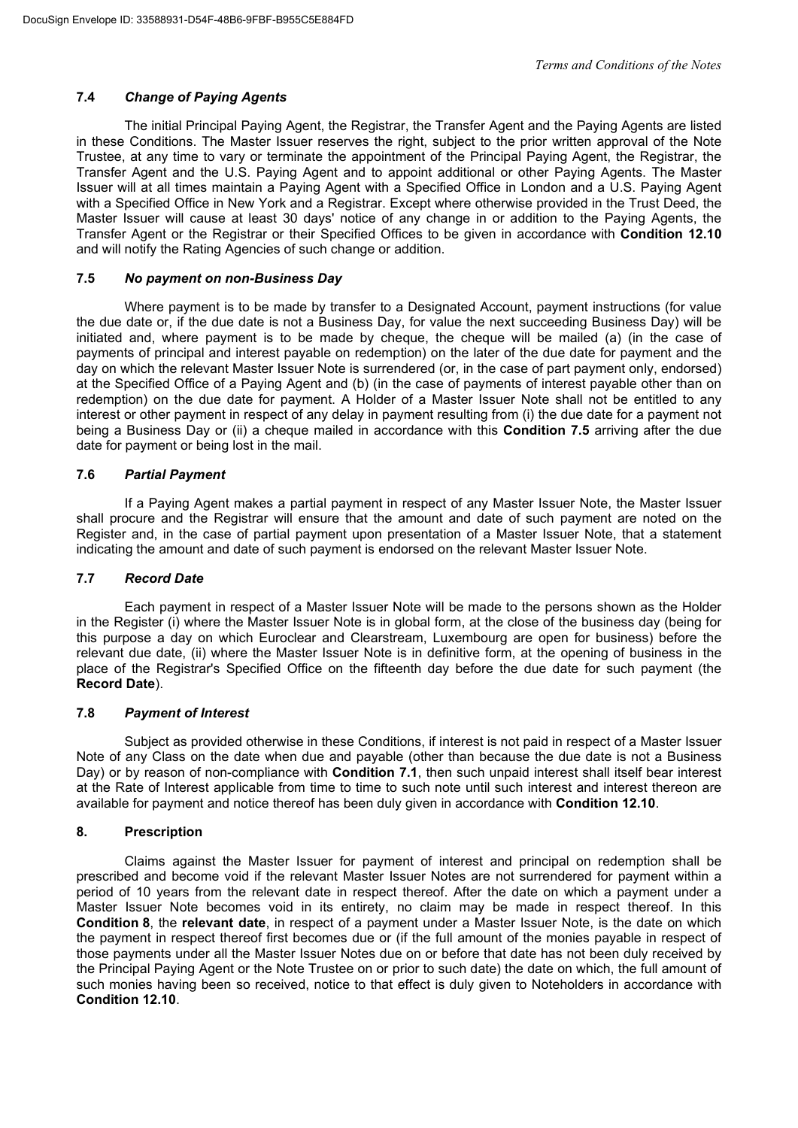# **7.4** *Change of Paying Agents*

The initial Principal Paying Agent, the Registrar, the Transfer Agent and the Paying Agents are listed in these Conditions. The Master Issuer reserves the right, subject to the prior written approval of the Note Trustee, at any time to vary or terminate the appointment of the Principal Paying Agent, the Registrar, the Transfer Agent and the U.S. Paying Agent and to appoint additional or other Paying Agents. The Master Issuer will at all times maintain a Paying Agent with a Specified Office in London and a U.S. Paying Agent with a Specified Office in New York and a Registrar. Except where otherwise provided in the Trust Deed, the Master Issuer will cause at least 30 days' notice of any change in or addition to the Paying Agents, the Transfer Agent or the Registrar or their Specified Offices to be given in accordance with **Condition 12.10** and will notify the Rating Agencies of such change or addition.

# **7.5** *No payment on non-Business Day*

Where payment is to be made by transfer to a Designated Account, payment instructions (for value the due date or, if the due date is not a Business Day, for value the next succeeding Business Day) will be initiated and, where payment is to be made by cheque, the cheque will be mailed (a) (in the case of payments of principal and interest payable on redemption) on the later of the due date for payment and the day on which the relevant Master Issuer Note is surrendered (or, in the case of part payment only, endorsed) at the Specified Office of a Paying Agent and (b) (in the case of payments of interest payable other than on redemption) on the due date for payment. A Holder of a Master Issuer Note shall not be entitled to any interest or other payment in respect of any delay in payment resulting from (i) the due date for a payment not being a Business Day or (ii) a cheque mailed in accordance with this **Condition 7.5** arriving after the due date for payment or being lost in the mail.

# **7.6** *Partial Payment*

If a Paying Agent makes a partial payment in respect of any Master Issuer Note, the Master Issuer shall procure and the Registrar will ensure that the amount and date of such payment are noted on the Register and, in the case of partial payment upon presentation of a Master Issuer Note, that a statement indicating the amount and date of such payment is endorsed on the relevant Master Issuer Note.

# **7.7** *Record Date*

Each payment in respect of a Master Issuer Note will be made to the persons shown as the Holder in the Register (i) where the Master Issuer Note is in global form, at the close of the business day (being for this purpose a day on which Euroclear and Clearstream, Luxembourg are open for business) before the relevant due date, (ii) where the Master Issuer Note is in definitive form, at the opening of business in the place of the Registrar's Specified Office on the fifteenth day before the due date for such payment (the **Record Date**).

# **7.8** *Payment of Interest*

Subject as provided otherwise in these Conditions, if interest is not paid in respect of a Master Issuer Note of any Class on the date when due and payable (other than because the due date is not a Business Day) or by reason of non-compliance with **Condition 7.1**, then such unpaid interest shall itself bear interest at the Rate of Interest applicable from time to time to such note until such interest and interest thereon are available for payment and notice thereof has been duly given in accordance with **Condition 12.10**.

# **8. Prescription**

Claims against the Master Issuer for payment of interest and principal on redemption shall be prescribed and become void if the relevant Master Issuer Notes are not surrendered for payment within a period of 10 years from the relevant date in respect thereof. After the date on which a payment under a Master Issuer Note becomes void in its entirety, no claim may be made in respect thereof. In this **Condition 8**, the **relevant date**, in respect of a payment under a Master Issuer Note, is the date on which the payment in respect thereof first becomes due or (if the full amount of the monies payable in respect of those payments under all the Master Issuer Notes due on or before that date has not been duly received by the Principal Paying Agent or the Note Trustee on or prior to such date) the date on which, the full amount of such monies having been so received, notice to that effect is duly given to Noteholders in accordance with **Condition 12.10**.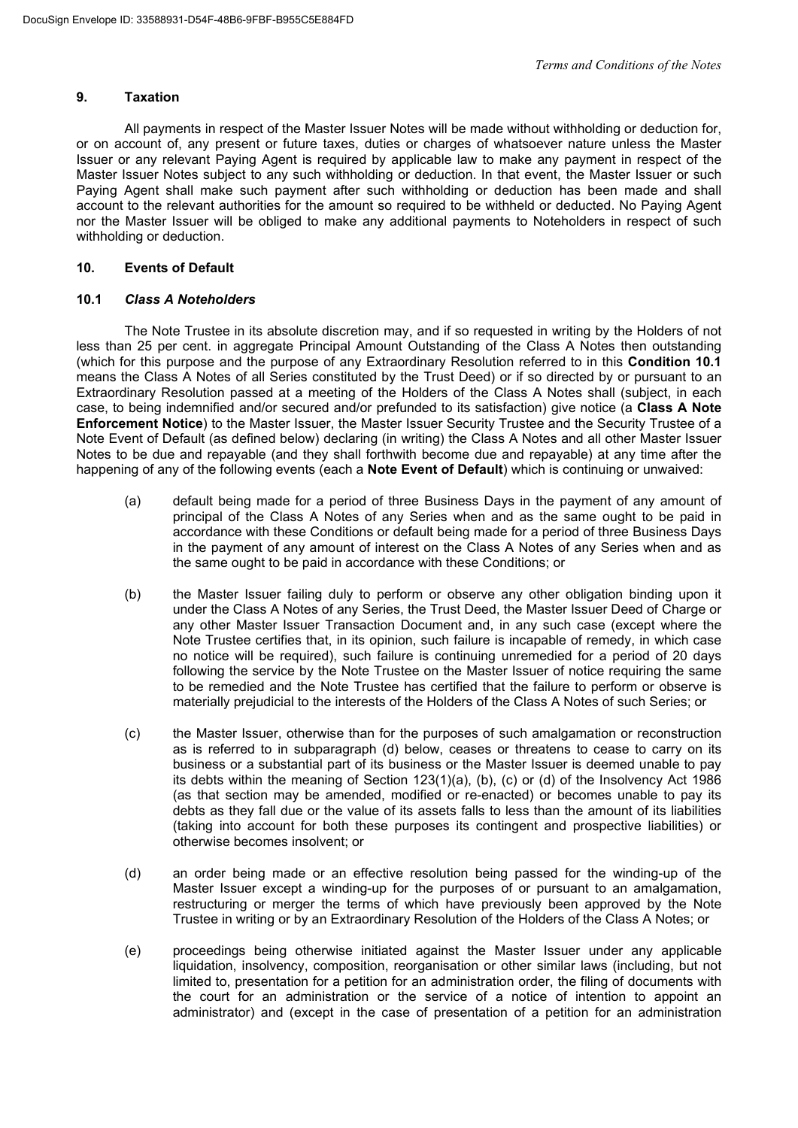# **9. Taxation**

All payments in respect of the Master Issuer Notes will be made without withholding or deduction for, or on account of, any present or future taxes, duties or charges of whatsoever nature unless the Master Issuer or any relevant Paying Agent is required by applicable law to make any payment in respect of the Master Issuer Notes subject to any such withholding or deduction. In that event, the Master Issuer or such Paying Agent shall make such payment after such withholding or deduction has been made and shall account to the relevant authorities for the amount so required to be withheld or deducted. No Paying Agent nor the Master Issuer will be obliged to make any additional payments to Noteholders in respect of such withholding or deduction.

# **10. Events of Default**

# **10.1** *Class A Noteholders*

The Note Trustee in its absolute discretion may, and if so requested in writing by the Holders of not less than 25 per cent. in aggregate Principal Amount Outstanding of the Class A Notes then outstanding (which for this purpose and the purpose of any Extraordinary Resolution referred to in this **Condition 10.1** means the Class A Notes of all Series constituted by the Trust Deed) or if so directed by or pursuant to an Extraordinary Resolution passed at a meeting of the Holders of the Class A Notes shall (subject, in each case, to being indemnified and/or secured and/or prefunded to its satisfaction) give notice (a **Class A Note Enforcement Notice**) to the Master Issuer, the Master Issuer Security Trustee and the Security Trustee of a Note Event of Default (as defined below) declaring (in writing) the Class A Notes and all other Master Issuer Notes to be due and repayable (and they shall forthwith become due and repayable) at any time after the happening of any of the following events (each a **Note Event of Default**) which is continuing or unwaived:

- (a) default being made for a period of three Business Days in the payment of any amount of principal of the Class A Notes of any Series when and as the same ought to be paid in accordance with these Conditions or default being made for a period of three Business Days in the payment of any amount of interest on the Class A Notes of any Series when and as the same ought to be paid in accordance with these Conditions; or
- (b) the Master Issuer failing duly to perform or observe any other obligation binding upon it under the Class A Notes of any Series, the Trust Deed, the Master Issuer Deed of Charge or any other Master Issuer Transaction Document and, in any such case (except where the Note Trustee certifies that, in its opinion, such failure is incapable of remedy, in which case no notice will be required), such failure is continuing unremedied for a period of 20 days following the service by the Note Trustee on the Master Issuer of notice requiring the same to be remedied and the Note Trustee has certified that the failure to perform or observe is materially prejudicial to the interests of the Holders of the Class A Notes of such Series; or
- (c) the Master Issuer, otherwise than for the purposes of such amalgamation or reconstruction as is referred to in subparagraph (d) below, ceases or threatens to cease to carry on its business or a substantial part of its business or the Master Issuer is deemed unable to pay its debts within the meaning of Section 123(1)(a), (b), (c) or (d) of the Insolvency Act 1986 (as that section may be amended, modified or re-enacted) or becomes unable to pay its debts as they fall due or the value of its assets falls to less than the amount of its liabilities (taking into account for both these purposes its contingent and prospective liabilities) or otherwise becomes insolvent; or
- (d) an order being made or an effective resolution being passed for the winding-up of the Master Issuer except a winding-up for the purposes of or pursuant to an amalgamation, restructuring or merger the terms of which have previously been approved by the Note Trustee in writing or by an Extraordinary Resolution of the Holders of the Class A Notes; or
- (e) proceedings being otherwise initiated against the Master Issuer under any applicable liquidation, insolvency, composition, reorganisation or other similar laws (including, but not limited to, presentation for a petition for an administration order, the filing of documents with the court for an administration or the service of a notice of intention to appoint an administrator) and (except in the case of presentation of a petition for an administration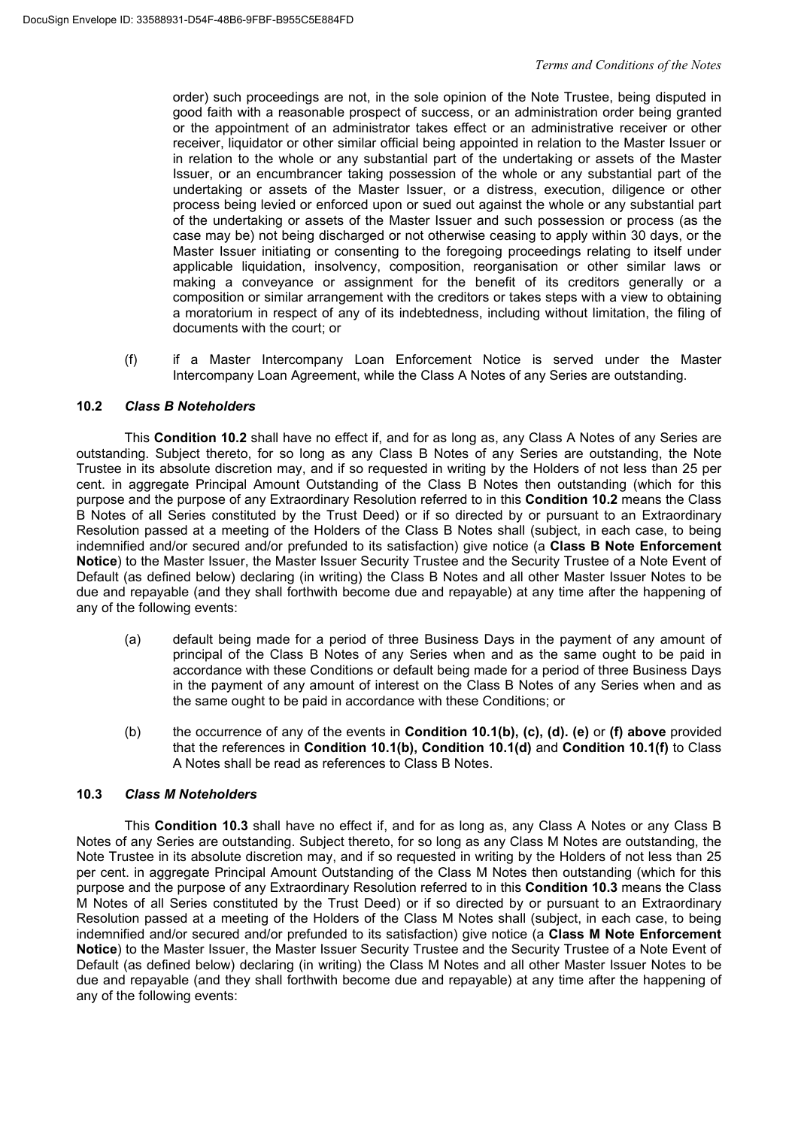order) such proceedings are not, in the sole opinion of the Note Trustee, being disputed in good faith with a reasonable prospect of success, or an administration order being granted or the appointment of an administrator takes effect or an administrative receiver or other receiver, liquidator or other similar official being appointed in relation to the Master Issuer or in relation to the whole or any substantial part of the undertaking or assets of the Master Issuer, or an encumbrancer taking possession of the whole or any substantial part of the undertaking or assets of the Master Issuer, or a distress, execution, diligence or other process being levied or enforced upon or sued out against the whole or any substantial part of the undertaking or assets of the Master Issuer and such possession or process (as the case may be) not being discharged or not otherwise ceasing to apply within 30 days, or the Master Issuer initiating or consenting to the foregoing proceedings relating to itself under applicable liquidation, insolvency, composition, reorganisation or other similar laws or making a conveyance or assignment for the benefit of its creditors generally or a composition or similar arrangement with the creditors or takes steps with a view to obtaining a moratorium in respect of any of its indebtedness, including without limitation, the filing of documents with the court; or

(f) if a Master Intercompany Loan Enforcement Notice is served under the Master Intercompany Loan Agreement, while the Class A Notes of any Series are outstanding.

# **10.2** *Class B Noteholders*

This **Condition 10.2** shall have no effect if, and for as long as, any Class A Notes of any Series are outstanding. Subject thereto, for so long as any Class B Notes of any Series are outstanding, the Note Trustee in its absolute discretion may, and if so requested in writing by the Holders of not less than 25 per cent. in aggregate Principal Amount Outstanding of the Class B Notes then outstanding (which for this purpose and the purpose of any Extraordinary Resolution referred to in this **Condition 10.2** means the Class B Notes of all Series constituted by the Trust Deed) or if so directed by or pursuant to an Extraordinary Resolution passed at a meeting of the Holders of the Class B Notes shall (subject, in each case, to being indemnified and/or secured and/or prefunded to its satisfaction) give notice (a **Class B Note Enforcement Notice**) to the Master Issuer, the Master Issuer Security Trustee and the Security Trustee of a Note Event of Default (as defined below) declaring (in writing) the Class B Notes and all other Master Issuer Notes to be due and repayable (and they shall forthwith become due and repayable) at any time after the happening of any of the following events:

- (a) default being made for a period of three Business Days in the payment of any amount of principal of the Class B Notes of any Series when and as the same ought to be paid in accordance with these Conditions or default being made for a period of three Business Days in the payment of any amount of interest on the Class B Notes of any Series when and as the same ought to be paid in accordance with these Conditions; or
- (b) the occurrence of any of the events in **Condition 10.1(b), (c), (d). (e)** or **(f) above** provided that the references in **Condition 10.1(b), Condition 10.1(d)** and **Condition 10.1(f)** to Class A Notes shall be read as references to Class B Notes.

# **10.3** *Class M Noteholders*

This **Condition 10.3** shall have no effect if, and for as long as, any Class A Notes or any Class B Notes of any Series are outstanding. Subject thereto, for so long as any Class M Notes are outstanding, the Note Trustee in its absolute discretion may, and if so requested in writing by the Holders of not less than 25 per cent. in aggregate Principal Amount Outstanding of the Class M Notes then outstanding (which for this purpose and the purpose of any Extraordinary Resolution referred to in this **Condition 10.3** means the Class M Notes of all Series constituted by the Trust Deed) or if so directed by or pursuant to an Extraordinary Resolution passed at a meeting of the Holders of the Class M Notes shall (subject, in each case, to being indemnified and/or secured and/or prefunded to its satisfaction) give notice (a **Class M Note Enforcement Notice**) to the Master Issuer, the Master Issuer Security Trustee and the Security Trustee of a Note Event of Default (as defined below) declaring (in writing) the Class M Notes and all other Master Issuer Notes to be due and repayable (and they shall forthwith become due and repayable) at any time after the happening of any of the following events: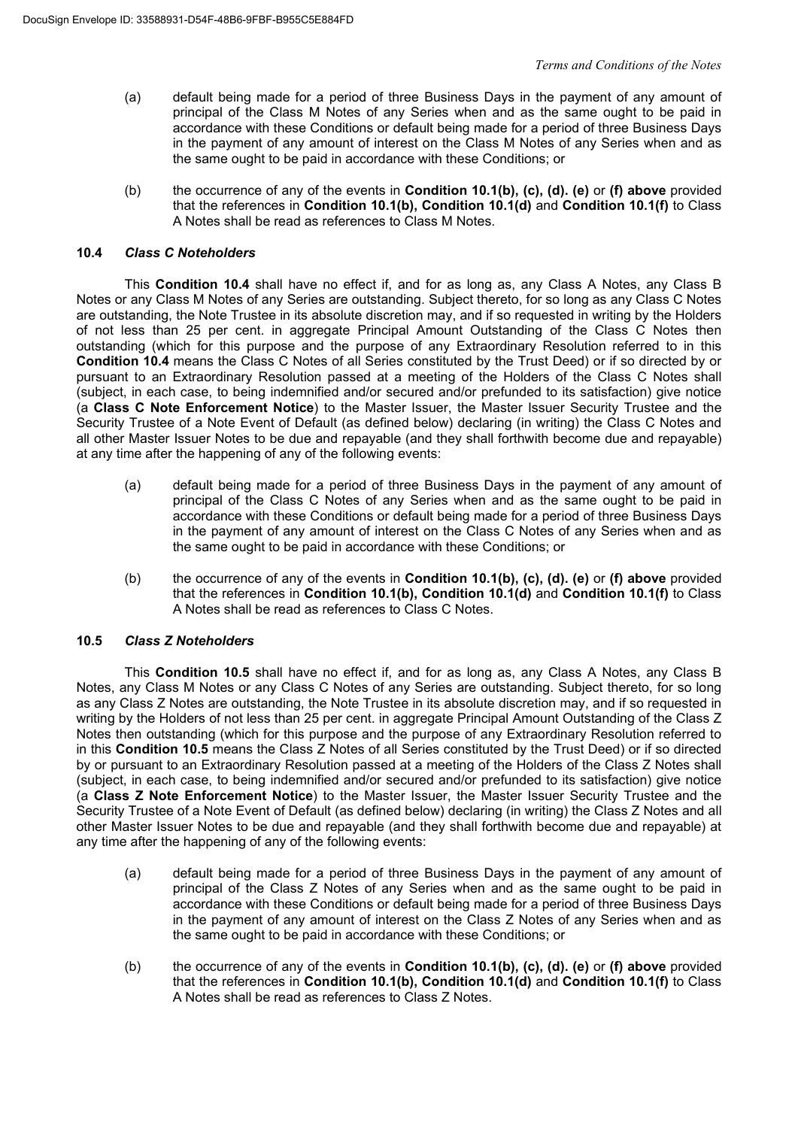- (a) default being made for a period of three Business Days in the payment of any amount of principal of the Class M Notes of any Series when and as the same ought to be paid in accordance with these Conditions or default being made for a period of three Business Days in the payment of any amount of interest on the Class M Notes of any Series when and as the same ought to be paid in accordance with these Conditions; or
- (b) the occurrence of any of the events in **Condition 10.1(b), (c), (d). (e)** or **(f) above** provided that the references in **Condition 10.1(b), Condition 10.1(d)** and **Condition 10.1(f)** to Class A Notes shall be read as references to Class M Notes.

# **10.4** *Class C Noteholders*

This **Condition 10.4** shall have no effect if, and for as long as, any Class A Notes, any Class B Notes or any Class M Notes of any Series are outstanding. Subject thereto, for so long as any Class C Notes are outstanding, the Note Trustee in its absolute discretion may, and if so requested in writing by the Holders of not less than 25 per cent. in aggregate Principal Amount Outstanding of the Class C Notes then outstanding (which for this purpose and the purpose of any Extraordinary Resolution referred to in this **Condition 10.4** means the Class C Notes of all Series constituted by the Trust Deed) or if so directed by or pursuant to an Extraordinary Resolution passed at a meeting of the Holders of the Class C Notes shall (subject, in each case, to being indemnified and/or secured and/or prefunded to its satisfaction) give notice (a **Class C Note Enforcement Notice**) to the Master Issuer, the Master Issuer Security Trustee and the Security Trustee of a Note Event of Default (as defined below) declaring (in writing) the Class C Notes and all other Master Issuer Notes to be due and repayable (and they shall forthwith become due and repayable) at any time after the happening of any of the following events:

- (a) default being made for a period of three Business Days in the payment of any amount of principal of the Class C Notes of any Series when and as the same ought to be paid in accordance with these Conditions or default being made for a period of three Business Days in the payment of any amount of interest on the Class C Notes of any Series when and as the same ought to be paid in accordance with these Conditions; or
- (b) the occurrence of any of the events in **Condition 10.1(b), (c), (d). (e)** or **(f) above** provided that the references in **Condition 10.1(b), Condition 10.1(d)** and **Condition 10.1(f)** to Class A Notes shall be read as references to Class C Notes.

# **10.5** *Class Z Noteholders*

This **Condition 10.5** shall have no effect if, and for as long as, any Class A Notes, any Class B Notes, any Class M Notes or any Class C Notes of any Series are outstanding. Subject thereto, for so long as any Class Z Notes are outstanding, the Note Trustee in its absolute discretion may, and if so requested in writing by the Holders of not less than 25 per cent. in aggregate Principal Amount Outstanding of the Class Z Notes then outstanding (which for this purpose and the purpose of any Extraordinary Resolution referred to in this **Condition 10.5** means the Class Z Notes of all Series constituted by the Trust Deed) or if so directed by or pursuant to an Extraordinary Resolution passed at a meeting of the Holders of the Class Z Notes shall (subject, in each case, to being indemnified and/or secured and/or prefunded to its satisfaction) give notice (a **Class Z Note Enforcement Notice**) to the Master Issuer, the Master Issuer Security Trustee and the Security Trustee of a Note Event of Default (as defined below) declaring (in writing) the Class Z Notes and all other Master Issuer Notes to be due and repayable (and they shall forthwith become due and repayable) at any time after the happening of any of the following events:

- (a) default being made for a period of three Business Days in the payment of any amount of principal of the Class Z Notes of any Series when and as the same ought to be paid in accordance with these Conditions or default being made for a period of three Business Days in the payment of any amount of interest on the Class Z Notes of any Series when and as the same ought to be paid in accordance with these Conditions; or
- (b) the occurrence of any of the events in **Condition 10.1(b), (c), (d). (e)** or **(f) above** provided that the references in **Condition 10.1(b), Condition 10.1(d)** and **Condition 10.1(f)** to Class A Notes shall be read as references to Class Z Notes.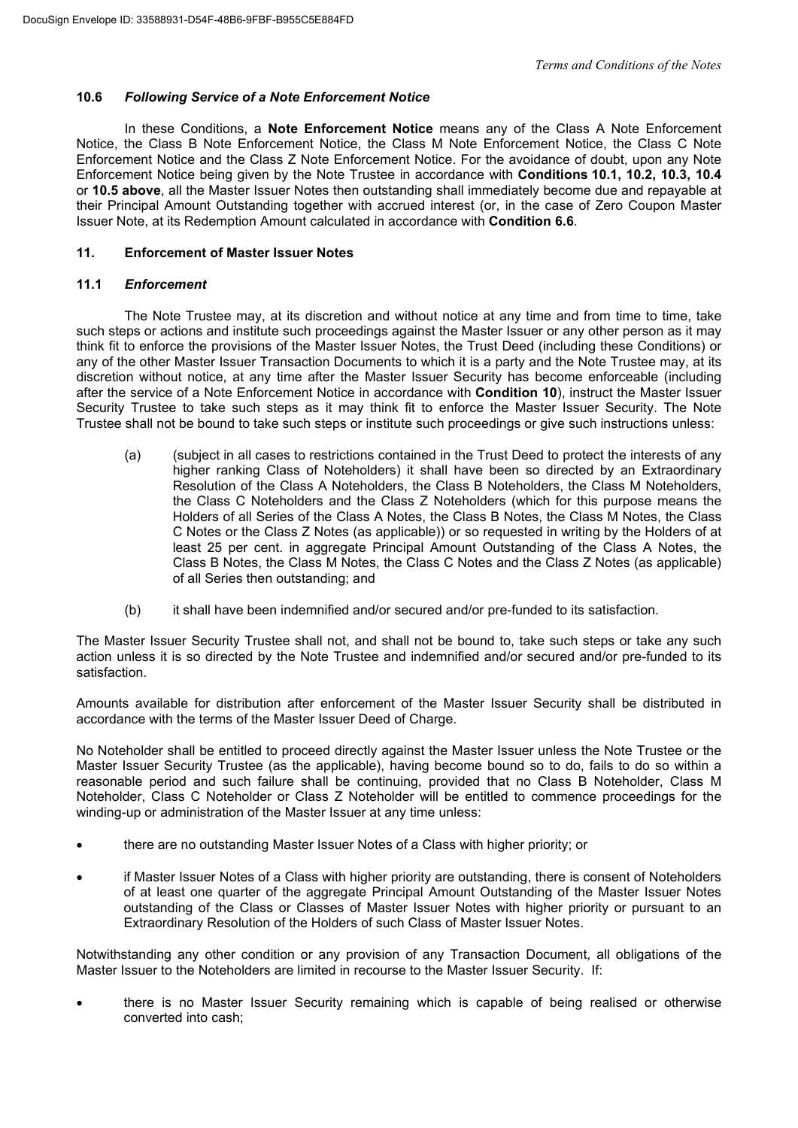# **10.6** *Following Service of a Note Enforcement Notice*

In these Conditions, a **Note Enforcement Notice** means any of the Class A Note Enforcement Notice, the Class B Note Enforcement Notice, the Class M Note Enforcement Notice, the Class C Note Enforcement Notice and the Class Z Note Enforcement Notice. For the avoidance of doubt, upon any Note Enforcement Notice being given by the Note Trustee in accordance with **Conditions 10.1, 10.2, 10.3, 10.4** or **10.5 above**, all the Master Issuer Notes then outstanding shall immediately become due and repayable at their Principal Amount Outstanding together with accrued interest (or, in the case of Zero Coupon Master Issuer Note, at its Redemption Amount calculated in accordance with **Condition 6.6**.

# **11. Enforcement of Master Issuer Notes**

# **11.1** *Enforcement*

The Note Trustee may, at its discretion and without notice at any time and from time to time, take such steps or actions and institute such proceedings against the Master Issuer or any other person as it may think fit to enforce the provisions of the Master Issuer Notes, the Trust Deed (including these Conditions) or any of the other Master Issuer Transaction Documents to which it is a party and the Note Trustee may, at its discretion without notice, at any time after the Master Issuer Security has become enforceable (including after the service of a Note Enforcement Notice in accordance with **Condition 10**), instruct the Master Issuer Security Trustee to take such steps as it may think fit to enforce the Master Issuer Security. The Note Trustee shall not be bound to take such steps or institute such proceedings or give such instructions unless:

- (a) (subject in all cases to restrictions contained in the Trust Deed to protect the interests of any higher ranking Class of Noteholders) it shall have been so directed by an Extraordinary Resolution of the Class A Noteholders, the Class B Noteholders, the Class M Noteholders, the Class C Noteholders and the Class Z Noteholders (which for this purpose means the Holders of all Series of the Class A Notes, the Class B Notes, the Class M Notes, the Class C Notes or the Class Z Notes (as applicable)) or so requested in writing by the Holders of at least 25 per cent. in aggregate Principal Amount Outstanding of the Class A Notes, the Class B Notes, the Class M Notes, the Class C Notes and the Class Z Notes (as applicable) of all Series then outstanding; and
- (b) it shall have been indemnified and/or secured and/or pre-funded to its satisfaction.

The Master Issuer Security Trustee shall not, and shall not be bound to, take such steps or take any such action unless it is so directed by the Note Trustee and indemnified and/or secured and/or pre-funded to its satisfaction.

Amounts available for distribution after enforcement of the Master Issuer Security shall be distributed in accordance with the terms of the Master Issuer Deed of Charge.

No Noteholder shall be entitled to proceed directly against the Master Issuer unless the Note Trustee or the Master Issuer Security Trustee (as the applicable), having become bound so to do, fails to do so within a reasonable period and such failure shall be continuing, provided that no Class B Noteholder, Class M Noteholder, Class C Noteholder or Class Z Noteholder will be entitled to commence proceedings for the winding-up or administration of the Master Issuer at any time unless:

- there are no outstanding Master Issuer Notes of a Class with higher priority; or
- if Master Issuer Notes of a Class with higher priority are outstanding, there is consent of Noteholders of at least one quarter of the aggregate Principal Amount Outstanding of the Master Issuer Notes outstanding of the Class or Classes of Master Issuer Notes with higher priority or pursuant to an Extraordinary Resolution of the Holders of such Class of Master Issuer Notes.

Notwithstanding any other condition or any provision of any Transaction Document, all obligations of the Master Issuer to the Noteholders are limited in recourse to the Master Issuer Security. If:

 there is no Master Issuer Security remaining which is capable of being realised or otherwise converted into cash;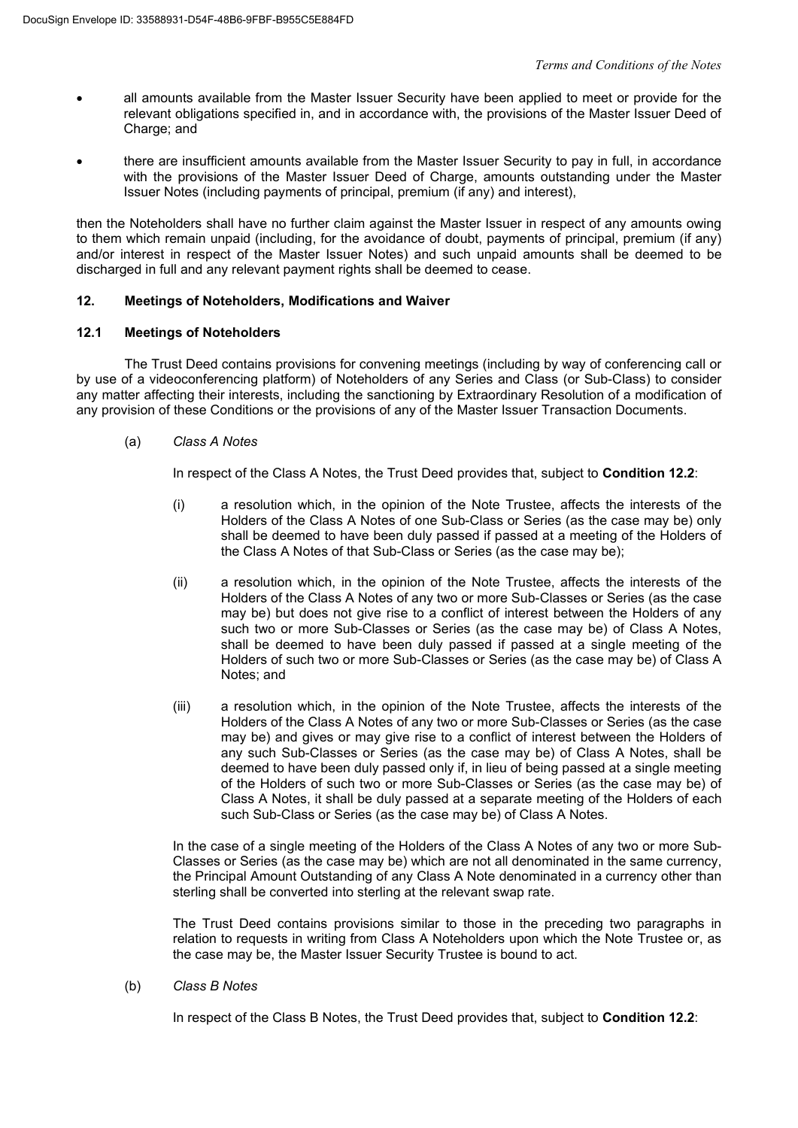- all amounts available from the Master Issuer Security have been applied to meet or provide for the relevant obligations specified in, and in accordance with, the provisions of the Master Issuer Deed of Charge; and
- there are insufficient amounts available from the Master Issuer Security to pay in full, in accordance with the provisions of the Master Issuer Deed of Charge, amounts outstanding under the Master Issuer Notes (including payments of principal, premium (if any) and interest),

then the Noteholders shall have no further claim against the Master Issuer in respect of any amounts owing to them which remain unpaid (including, for the avoidance of doubt, payments of principal, premium (if any) and/or interest in respect of the Master Issuer Notes) and such unpaid amounts shall be deemed to be discharged in full and any relevant payment rights shall be deemed to cease.

# **12. Meetings of Noteholders, Modifications and Waiver**

# **12.1 Meetings of Noteholders**

The Trust Deed contains provisions for convening meetings (including by way of conferencing call or by use of a videoconferencing platform) of Noteholders of any Series and Class (or Sub-Class) to consider any matter affecting their interests, including the sanctioning by Extraordinary Resolution of a modification of any provision of these Conditions or the provisions of any of the Master Issuer Transaction Documents.

#### (a) *Class A Notes*

In respect of the Class A Notes, the Trust Deed provides that, subject to **Condition 12.2**:

- (i) a resolution which, in the opinion of the Note Trustee, affects the interests of the Holders of the Class A Notes of one Sub-Class or Series (as the case may be) only shall be deemed to have been duly passed if passed at a meeting of the Holders of the Class A Notes of that Sub-Class or Series (as the case may be);
- (ii) a resolution which, in the opinion of the Note Trustee, affects the interests of the Holders of the Class A Notes of any two or more Sub-Classes or Series (as the case may be) but does not give rise to a conflict of interest between the Holders of any such two or more Sub-Classes or Series (as the case may be) of Class A Notes, shall be deemed to have been duly passed if passed at a single meeting of the Holders of such two or more Sub-Classes or Series (as the case may be) of Class A Notes; and
- (iii) a resolution which, in the opinion of the Note Trustee, affects the interests of the Holders of the Class A Notes of any two or more Sub-Classes or Series (as the case may be) and gives or may give rise to a conflict of interest between the Holders of any such Sub-Classes or Series (as the case may be) of Class A Notes, shall be deemed to have been duly passed only if, in lieu of being passed at a single meeting of the Holders of such two or more Sub-Classes or Series (as the case may be) of Class A Notes, it shall be duly passed at a separate meeting of the Holders of each such Sub-Class or Series (as the case may be) of Class A Notes.

In the case of a single meeting of the Holders of the Class A Notes of any two or more Sub-Classes or Series (as the case may be) which are not all denominated in the same currency, the Principal Amount Outstanding of any Class A Note denominated in a currency other than sterling shall be converted into sterling at the relevant swap rate.

The Trust Deed contains provisions similar to those in the preceding two paragraphs in relation to requests in writing from Class A Noteholders upon which the Note Trustee or, as the case may be, the Master Issuer Security Trustee is bound to act.

(b) *Class B Notes*

In respect of the Class B Notes, the Trust Deed provides that, subject to **Condition 12.2**: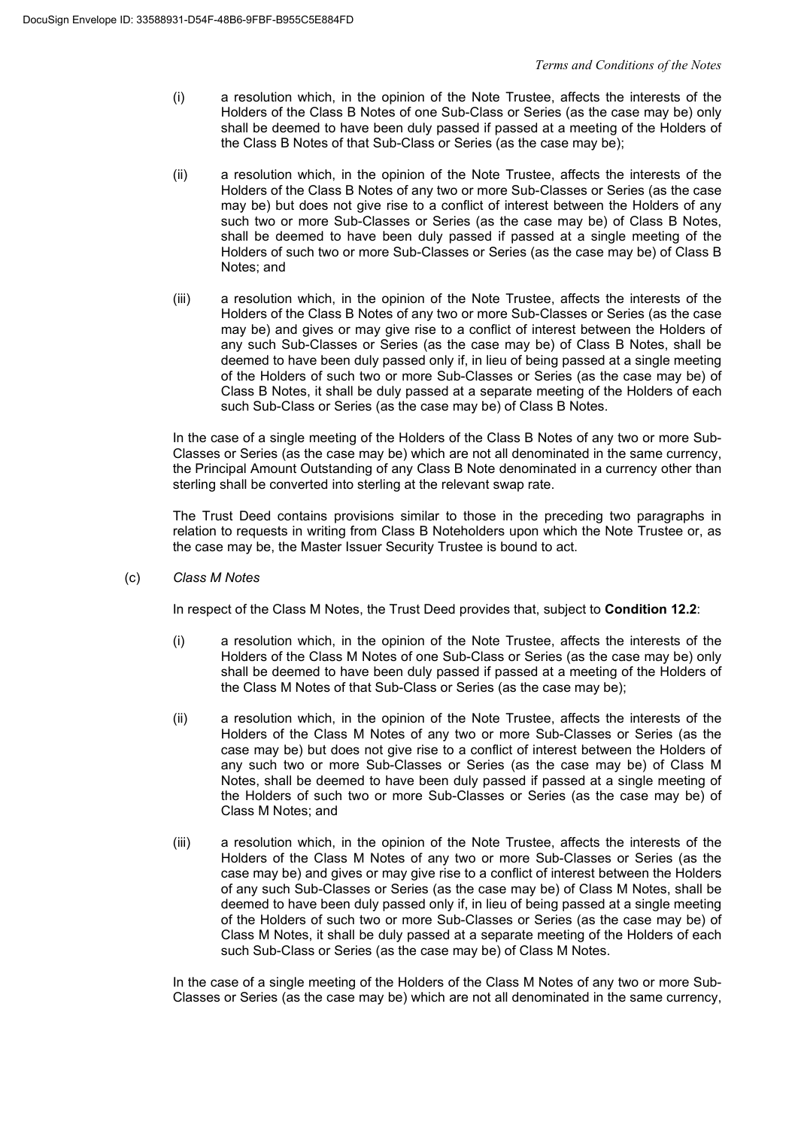- (i) a resolution which, in the opinion of the Note Trustee, affects the interests of the Holders of the Class B Notes of one Sub-Class or Series (as the case may be) only shall be deemed to have been duly passed if passed at a meeting of the Holders of the Class B Notes of that Sub-Class or Series (as the case may be);
- (ii) a resolution which, in the opinion of the Note Trustee, affects the interests of the Holders of the Class B Notes of any two or more Sub-Classes or Series (as the case may be) but does not give rise to a conflict of interest between the Holders of any such two or more Sub-Classes or Series (as the case may be) of Class B Notes, shall be deemed to have been duly passed if passed at a single meeting of the Holders of such two or more Sub-Classes or Series (as the case may be) of Class B Notes; and
- (iii) a resolution which, in the opinion of the Note Trustee, affects the interests of the Holders of the Class B Notes of any two or more Sub-Classes or Series (as the case may be) and gives or may give rise to a conflict of interest between the Holders of any such Sub-Classes or Series (as the case may be) of Class B Notes, shall be deemed to have been duly passed only if, in lieu of being passed at a single meeting of the Holders of such two or more Sub-Classes or Series (as the case may be) of Class B Notes, it shall be duly passed at a separate meeting of the Holders of each such Sub-Class or Series (as the case may be) of Class B Notes.

In the case of a single meeting of the Holders of the Class B Notes of any two or more Sub-Classes or Series (as the case may be) which are not all denominated in the same currency, the Principal Amount Outstanding of any Class B Note denominated in a currency other than sterling shall be converted into sterling at the relevant swap rate.

The Trust Deed contains provisions similar to those in the preceding two paragraphs in relation to requests in writing from Class B Noteholders upon which the Note Trustee or, as the case may be, the Master Issuer Security Trustee is bound to act.

(c) *Class M Notes*

In respect of the Class M Notes, the Trust Deed provides that, subject to **Condition 12.2**:

- (i) a resolution which, in the opinion of the Note Trustee, affects the interests of the Holders of the Class M Notes of one Sub-Class or Series (as the case may be) only shall be deemed to have been duly passed if passed at a meeting of the Holders of the Class M Notes of that Sub-Class or Series (as the case may be);
- (ii) a resolution which, in the opinion of the Note Trustee, affects the interests of the Holders of the Class M Notes of any two or more Sub-Classes or Series (as the case may be) but does not give rise to a conflict of interest between the Holders of any such two or more Sub-Classes or Series (as the case may be) of Class M Notes, shall be deemed to have been duly passed if passed at a single meeting of the Holders of such two or more Sub-Classes or Series (as the case may be) of Class M Notes; and
- (iii) a resolution which, in the opinion of the Note Trustee, affects the interests of the Holders of the Class M Notes of any two or more Sub-Classes or Series (as the case may be) and gives or may give rise to a conflict of interest between the Holders of any such Sub-Classes or Series (as the case may be) of Class M Notes, shall be deemed to have been duly passed only if, in lieu of being passed at a single meeting of the Holders of such two or more Sub-Classes or Series (as the case may be) of Class M Notes, it shall be duly passed at a separate meeting of the Holders of each such Sub-Class or Series (as the case may be) of Class M Notes.

In the case of a single meeting of the Holders of the Class M Notes of any two or more Sub-Classes or Series (as the case may be) which are not all denominated in the same currency,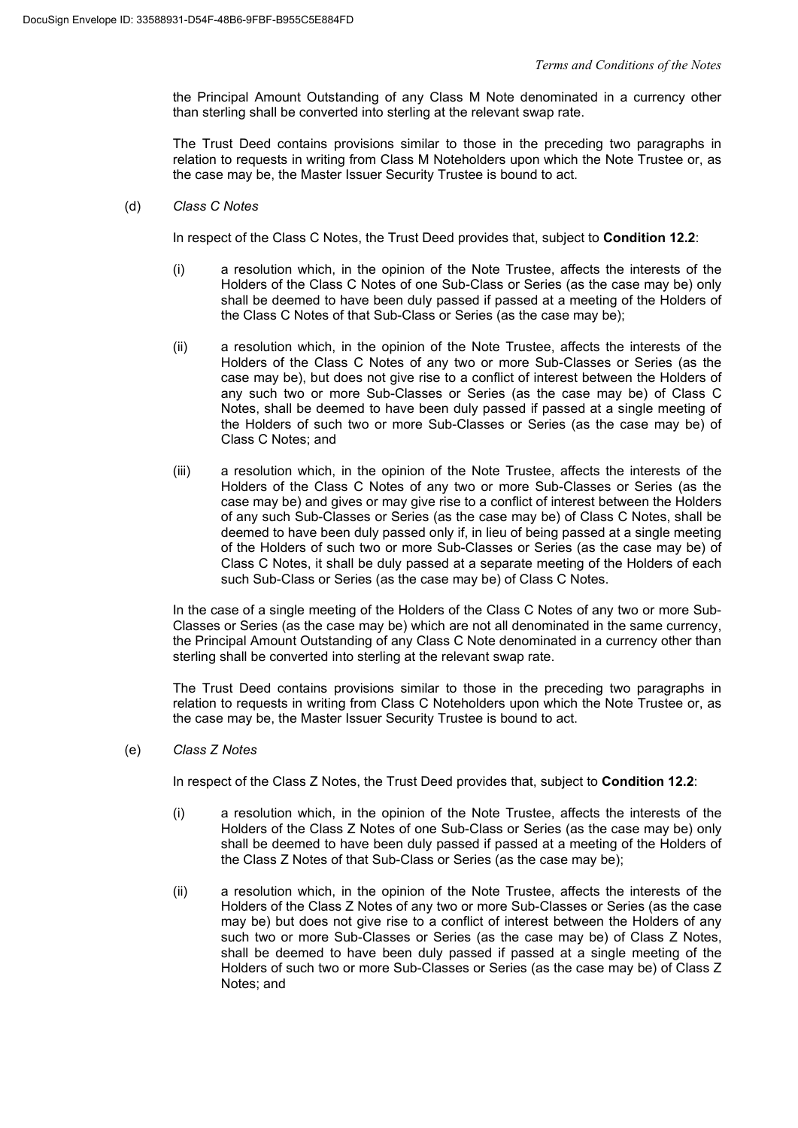the Principal Amount Outstanding of any Class M Note denominated in a currency other than sterling shall be converted into sterling at the relevant swap rate.

The Trust Deed contains provisions similar to those in the preceding two paragraphs in relation to requests in writing from Class M Noteholders upon which the Note Trustee or, as the case may be, the Master Issuer Security Trustee is bound to act.

### (d) *Class C Notes*

In respect of the Class C Notes, the Trust Deed provides that, subject to **Condition 12.2**:

- (i) a resolution which, in the opinion of the Note Trustee, affects the interests of the Holders of the Class C Notes of one Sub-Class or Series (as the case may be) only shall be deemed to have been duly passed if passed at a meeting of the Holders of the Class C Notes of that Sub-Class or Series (as the case may be);
- (ii) a resolution which, in the opinion of the Note Trustee, affects the interests of the Holders of the Class C Notes of any two or more Sub-Classes or Series (as the case may be), but does not give rise to a conflict of interest between the Holders of any such two or more Sub-Classes or Series (as the case may be) of Class C Notes, shall be deemed to have been duly passed if passed at a single meeting of the Holders of such two or more Sub-Classes or Series (as the case may be) of Class C Notes; and
- (iii) a resolution which, in the opinion of the Note Trustee, affects the interests of the Holders of the Class C Notes of any two or more Sub-Classes or Series (as the case may be) and gives or may give rise to a conflict of interest between the Holders of any such Sub-Classes or Series (as the case may be) of Class C Notes, shall be deemed to have been duly passed only if, in lieu of being passed at a single meeting of the Holders of such two or more Sub-Classes or Series (as the case may be) of Class C Notes, it shall be duly passed at a separate meeting of the Holders of each such Sub-Class or Series (as the case may be) of Class C Notes.

In the case of a single meeting of the Holders of the Class C Notes of any two or more Sub-Classes or Series (as the case may be) which are not all denominated in the same currency, the Principal Amount Outstanding of any Class C Note denominated in a currency other than sterling shall be converted into sterling at the relevant swap rate.

The Trust Deed contains provisions similar to those in the preceding two paragraphs in relation to requests in writing from Class C Noteholders upon which the Note Trustee or, as the case may be, the Master Issuer Security Trustee is bound to act.

# (e) *Class Z Notes*

In respect of the Class Z Notes, the Trust Deed provides that, subject to **Condition 12.2**:

- (i) a resolution which, in the opinion of the Note Trustee, affects the interests of the Holders of the Class Z Notes of one Sub-Class or Series (as the case may be) only shall be deemed to have been duly passed if passed at a meeting of the Holders of the Class Z Notes of that Sub-Class or Series (as the case may be);
- (ii) a resolution which, in the opinion of the Note Trustee, affects the interests of the Holders of the Class Z Notes of any two or more Sub-Classes or Series (as the case may be) but does not give rise to a conflict of interest between the Holders of any such two or more Sub-Classes or Series (as the case may be) of Class Z Notes, shall be deemed to have been duly passed if passed at a single meeting of the Holders of such two or more Sub-Classes or Series (as the case may be) of Class Z Notes; and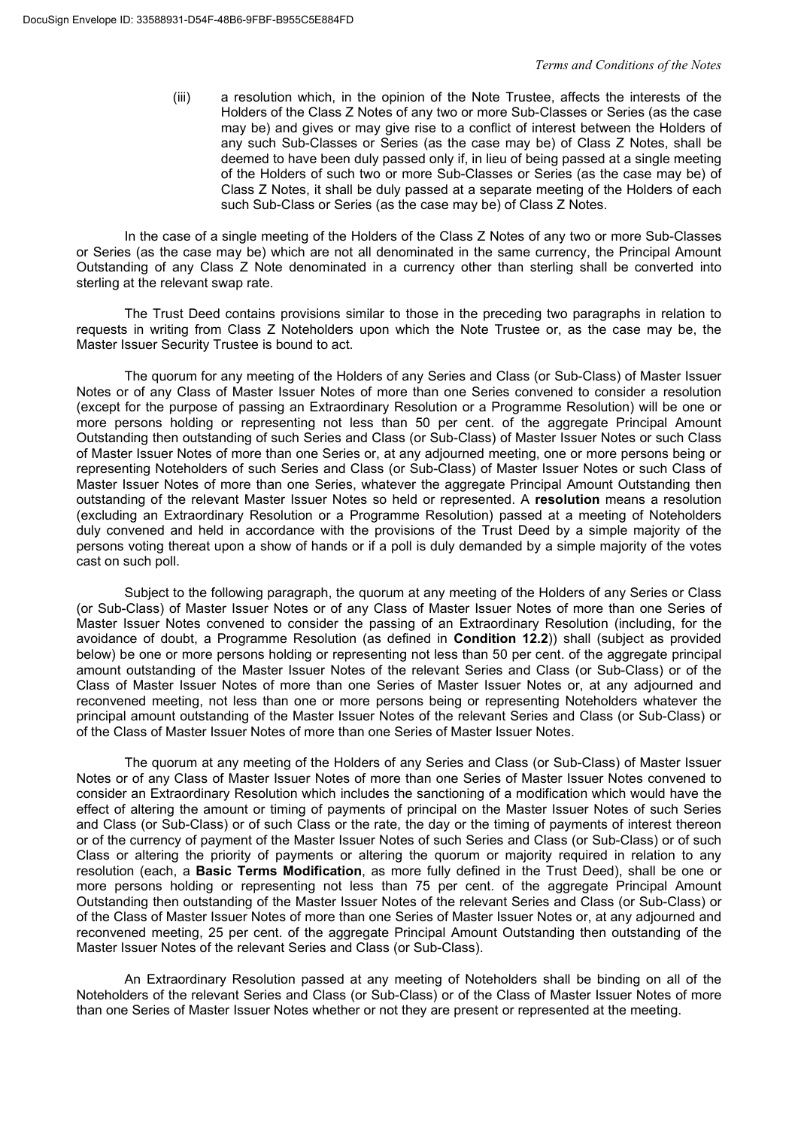(iii) a resolution which, in the opinion of the Note Trustee, affects the interests of the Holders of the Class Z Notes of any two or more Sub-Classes or Series (as the case may be) and gives or may give rise to a conflict of interest between the Holders of any such Sub-Classes or Series (as the case may be) of Class Z Notes, shall be deemed to have been duly passed only if, in lieu of being passed at a single meeting of the Holders of such two or more Sub-Classes or Series (as the case may be) of Class Z Notes, it shall be duly passed at a separate meeting of the Holders of each such Sub-Class or Series (as the case may be) of Class Z Notes.

In the case of a single meeting of the Holders of the Class Z Notes of any two or more Sub-Classes or Series (as the case may be) which are not all denominated in the same currency, the Principal Amount Outstanding of any Class Z Note denominated in a currency other than sterling shall be converted into sterling at the relevant swap rate.

The Trust Deed contains provisions similar to those in the preceding two paragraphs in relation to requests in writing from Class Z Noteholders upon which the Note Trustee or, as the case may be, the Master Issuer Security Trustee is bound to act.

The quorum for any meeting of the Holders of any Series and Class (or Sub-Class) of Master Issuer Notes or of any Class of Master Issuer Notes of more than one Series convened to consider a resolution (except for the purpose of passing an Extraordinary Resolution or a Programme Resolution) will be one or more persons holding or representing not less than 50 per cent. of the aggregate Principal Amount Outstanding then outstanding of such Series and Class (or Sub-Class) of Master Issuer Notes or such Class of Master Issuer Notes of more than one Series or, at any adjourned meeting, one or more persons being or representing Noteholders of such Series and Class (or Sub-Class) of Master Issuer Notes or such Class of Master Issuer Notes of more than one Series, whatever the aggregate Principal Amount Outstanding then outstanding of the relevant Master Issuer Notes so held or represented. A **resolution** means a resolution (excluding an Extraordinary Resolution or a Programme Resolution) passed at a meeting of Noteholders duly convened and held in accordance with the provisions of the Trust Deed by a simple majority of the persons voting thereat upon a show of hands or if a poll is duly demanded by a simple majority of the votes cast on such poll.

Subject to the following paragraph, the quorum at any meeting of the Holders of any Series or Class (or Sub-Class) of Master Issuer Notes or of any Class of Master Issuer Notes of more than one Series of Master Issuer Notes convened to consider the passing of an Extraordinary Resolution (including, for the avoidance of doubt, a Programme Resolution (as defined in **Condition 12.2**)) shall (subject as provided below) be one or more persons holding or representing not less than 50 per cent. of the aggregate principal amount outstanding of the Master Issuer Notes of the relevant Series and Class (or Sub-Class) or of the Class of Master Issuer Notes of more than one Series of Master Issuer Notes or, at any adjourned and reconvened meeting, not less than one or more persons being or representing Noteholders whatever the principal amount outstanding of the Master Issuer Notes of the relevant Series and Class (or Sub-Class) or of the Class of Master Issuer Notes of more than one Series of Master Issuer Notes.

The quorum at any meeting of the Holders of any Series and Class (or Sub-Class) of Master Issuer Notes or of any Class of Master Issuer Notes of more than one Series of Master Issuer Notes convened to consider an Extraordinary Resolution which includes the sanctioning of a modification which would have the effect of altering the amount or timing of payments of principal on the Master Issuer Notes of such Series and Class (or Sub-Class) or of such Class or the rate, the day or the timing of payments of interest thereon or of the currency of payment of the Master Issuer Notes of such Series and Class (or Sub-Class) or of such Class or altering the priority of payments or altering the quorum or majority required in relation to any resolution (each, a **Basic Terms Modification**, as more fully defined in the Trust Deed), shall be one or more persons holding or representing not less than 75 per cent. of the aggregate Principal Amount Outstanding then outstanding of the Master Issuer Notes of the relevant Series and Class (or Sub-Class) or of the Class of Master Issuer Notes of more than one Series of Master Issuer Notes or, at any adjourned and reconvened meeting, 25 per cent. of the aggregate Principal Amount Outstanding then outstanding of the Master Issuer Notes of the relevant Series and Class (or Sub-Class).

An Extraordinary Resolution passed at any meeting of Noteholders shall be binding on all of the Noteholders of the relevant Series and Class (or Sub-Class) or of the Class of Master Issuer Notes of more than one Series of Master Issuer Notes whether or not they are present or represented at the meeting.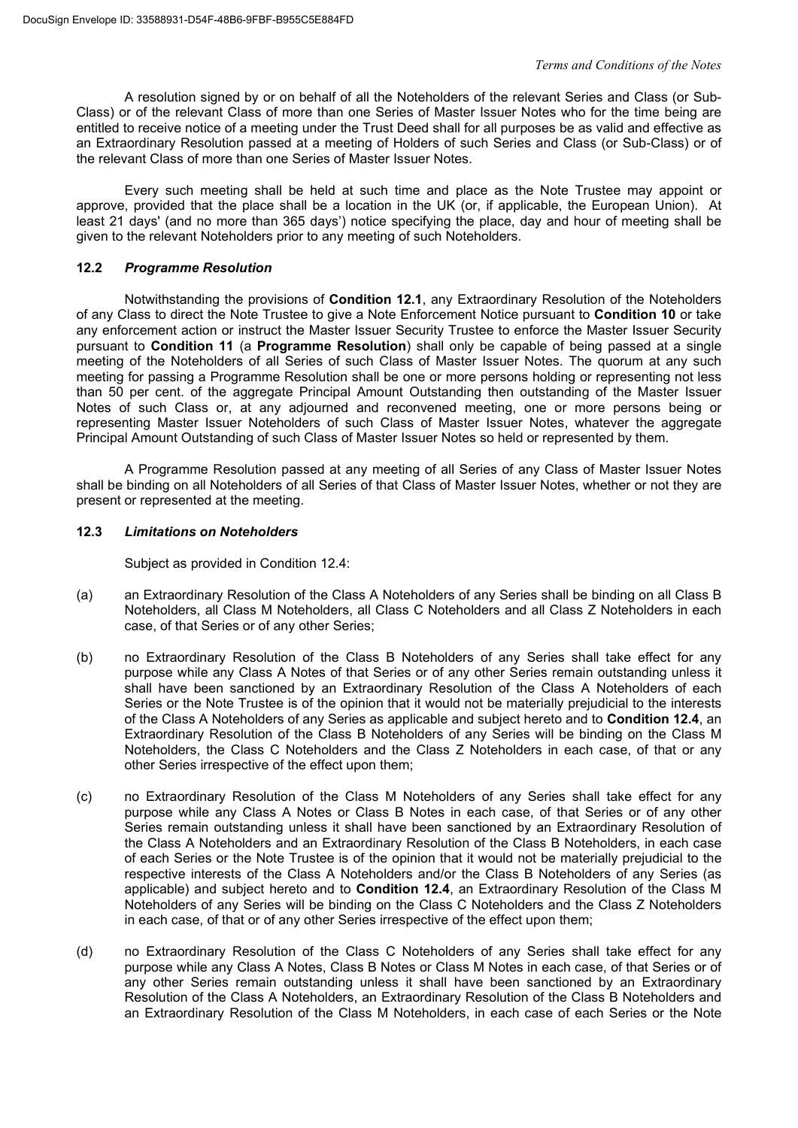A resolution signed by or on behalf of all the Noteholders of the relevant Series and Class (or Sub-Class) or of the relevant Class of more than one Series of Master Issuer Notes who for the time being are entitled to receive notice of a meeting under the Trust Deed shall for all purposes be as valid and effective as an Extraordinary Resolution passed at a meeting of Holders of such Series and Class (or Sub-Class) or of the relevant Class of more than one Series of Master Issuer Notes.

Every such meeting shall be held at such time and place as the Note Trustee may appoint or approve, provided that the place shall be a location in the UK (or, if applicable, the European Union). At least 21 days' (and no more than 365 days') notice specifying the place, day and hour of meeting shall be given to the relevant Noteholders prior to any meeting of such Noteholders.

# **12.2** *Programme Resolution*

Notwithstanding the provisions of **Condition 12.1**, any Extraordinary Resolution of the Noteholders of any Class to direct the Note Trustee to give a Note Enforcement Notice pursuant to **Condition 10** or take any enforcement action or instruct the Master Issuer Security Trustee to enforce the Master Issuer Security pursuant to **Condition 11** (a **Programme Resolution**) shall only be capable of being passed at a single meeting of the Noteholders of all Series of such Class of Master Issuer Notes. The quorum at any such meeting for passing a Programme Resolution shall be one or more persons holding or representing not less than 50 per cent. of the aggregate Principal Amount Outstanding then outstanding of the Master Issuer Notes of such Class or, at any adjourned and reconvened meeting, one or more persons being or representing Master Issuer Noteholders of such Class of Master Issuer Notes, whatever the aggregate Principal Amount Outstanding of such Class of Master Issuer Notes so held or represented by them.

A Programme Resolution passed at any meeting of all Series of any Class of Master Issuer Notes shall be binding on all Noteholders of all Series of that Class of Master Issuer Notes, whether or not they are present or represented at the meeting.

# **12.3** *Limitations on Noteholders*

Subject as provided in Condition 12.4:

- (a) an Extraordinary Resolution of the Class A Noteholders of any Series shall be binding on all Class B Noteholders, all Class M Noteholders, all Class C Noteholders and all Class Z Noteholders in each case, of that Series or of any other Series;
- (b) no Extraordinary Resolution of the Class B Noteholders of any Series shall take effect for any purpose while any Class A Notes of that Series or of any other Series remain outstanding unless it shall have been sanctioned by an Extraordinary Resolution of the Class A Noteholders of each Series or the Note Trustee is of the opinion that it would not be materially prejudicial to the interests of the Class A Noteholders of any Series as applicable and subject hereto and to **Condition 12.4**, an Extraordinary Resolution of the Class B Noteholders of any Series will be binding on the Class M Noteholders, the Class C Noteholders and the Class Z Noteholders in each case, of that or any other Series irrespective of the effect upon them;
- (c) no Extraordinary Resolution of the Class M Noteholders of any Series shall take effect for any purpose while any Class A Notes or Class B Notes in each case, of that Series or of any other Series remain outstanding unless it shall have been sanctioned by an Extraordinary Resolution of the Class A Noteholders and an Extraordinary Resolution of the Class B Noteholders, in each case of each Series or the Note Trustee is of the opinion that it would not be materially prejudicial to the respective interests of the Class A Noteholders and/or the Class B Noteholders of any Series (as applicable) and subject hereto and to **Condition 12.4**, an Extraordinary Resolution of the Class M Noteholders of any Series will be binding on the Class C Noteholders and the Class Z Noteholders in each case, of that or of any other Series irrespective of the effect upon them;
- (d) no Extraordinary Resolution of the Class C Noteholders of any Series shall take effect for any purpose while any Class A Notes, Class B Notes or Class M Notes in each case, of that Series or of any other Series remain outstanding unless it shall have been sanctioned by an Extraordinary Resolution of the Class A Noteholders, an Extraordinary Resolution of the Class B Noteholders and an Extraordinary Resolution of the Class M Noteholders, in each case of each Series or the Note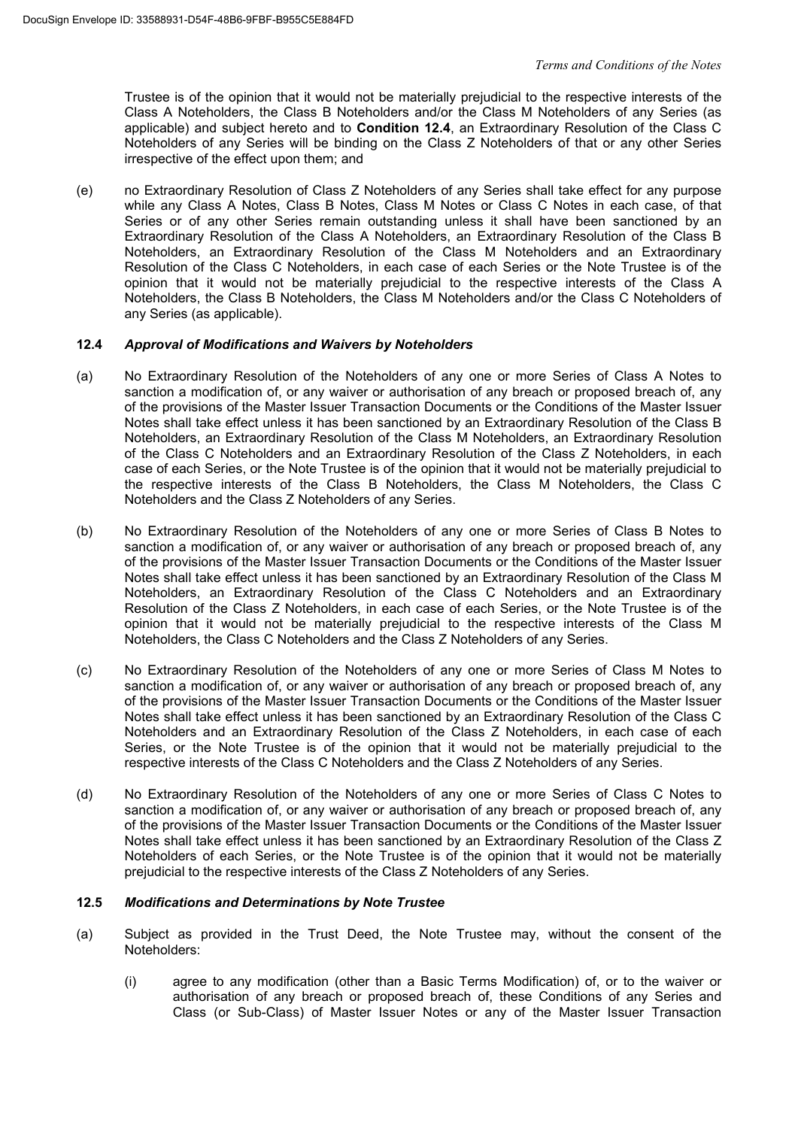Trustee is of the opinion that it would not be materially prejudicial to the respective interests of the Class A Noteholders, the Class B Noteholders and/or the Class M Noteholders of any Series (as applicable) and subject hereto and to **Condition 12.4**, an Extraordinary Resolution of the Class C Noteholders of any Series will be binding on the Class Z Noteholders of that or any other Series irrespective of the effect upon them; and

(e) no Extraordinary Resolution of Class Z Noteholders of any Series shall take effect for any purpose while any Class A Notes, Class B Notes, Class M Notes or Class C Notes in each case, of that Series or of any other Series remain outstanding unless it shall have been sanctioned by an Extraordinary Resolution of the Class A Noteholders, an Extraordinary Resolution of the Class B Noteholders, an Extraordinary Resolution of the Class M Noteholders and an Extraordinary Resolution of the Class C Noteholders, in each case of each Series or the Note Trustee is of the opinion that it would not be materially prejudicial to the respective interests of the Class A Noteholders, the Class B Noteholders, the Class M Noteholders and/or the Class C Noteholders of any Series (as applicable).

# **12.4** *Approval of Modifications and Waivers by Noteholders*

- (a) No Extraordinary Resolution of the Noteholders of any one or more Series of Class A Notes to sanction a modification of, or any waiver or authorisation of any breach or proposed breach of, any of the provisions of the Master Issuer Transaction Documents or the Conditions of the Master Issuer Notes shall take effect unless it has been sanctioned by an Extraordinary Resolution of the Class B Noteholders, an Extraordinary Resolution of the Class M Noteholders, an Extraordinary Resolution of the Class C Noteholders and an Extraordinary Resolution of the Class Z Noteholders, in each case of each Series, or the Note Trustee is of the opinion that it would not be materially prejudicial to the respective interests of the Class B Noteholders, the Class M Noteholders, the Class C Noteholders and the Class Z Noteholders of any Series.
- (b) No Extraordinary Resolution of the Noteholders of any one or more Series of Class B Notes to sanction a modification of, or any waiver or authorisation of any breach or proposed breach of, any of the provisions of the Master Issuer Transaction Documents or the Conditions of the Master Issuer Notes shall take effect unless it has been sanctioned by an Extraordinary Resolution of the Class M Noteholders, an Extraordinary Resolution of the Class C Noteholders and an Extraordinary Resolution of the Class Z Noteholders, in each case of each Series, or the Note Trustee is of the opinion that it would not be materially prejudicial to the respective interests of the Class M Noteholders, the Class C Noteholders and the Class Z Noteholders of any Series.
- (c) No Extraordinary Resolution of the Noteholders of any one or more Series of Class M Notes to sanction a modification of, or any waiver or authorisation of any breach or proposed breach of, any of the provisions of the Master Issuer Transaction Documents or the Conditions of the Master Issuer Notes shall take effect unless it has been sanctioned by an Extraordinary Resolution of the Class C Noteholders and an Extraordinary Resolution of the Class Z Noteholders, in each case of each Series, or the Note Trustee is of the opinion that it would not be materially prejudicial to the respective interests of the Class C Noteholders and the Class Z Noteholders of any Series.
- (d) No Extraordinary Resolution of the Noteholders of any one or more Series of Class C Notes to sanction a modification of, or any waiver or authorisation of any breach or proposed breach of, any of the provisions of the Master Issuer Transaction Documents or the Conditions of the Master Issuer Notes shall take effect unless it has been sanctioned by an Extraordinary Resolution of the Class Z Noteholders of each Series, or the Note Trustee is of the opinion that it would not be materially prejudicial to the respective interests of the Class Z Noteholders of any Series.

# **12.5** *Modifications and Determinations by Note Trustee*

- (a) Subject as provided in the Trust Deed, the Note Trustee may, without the consent of the Noteholders:
	- (i) agree to any modification (other than a Basic Terms Modification) of, or to the waiver or authorisation of any breach or proposed breach of, these Conditions of any Series and Class (or Sub-Class) of Master Issuer Notes or any of the Master Issuer Transaction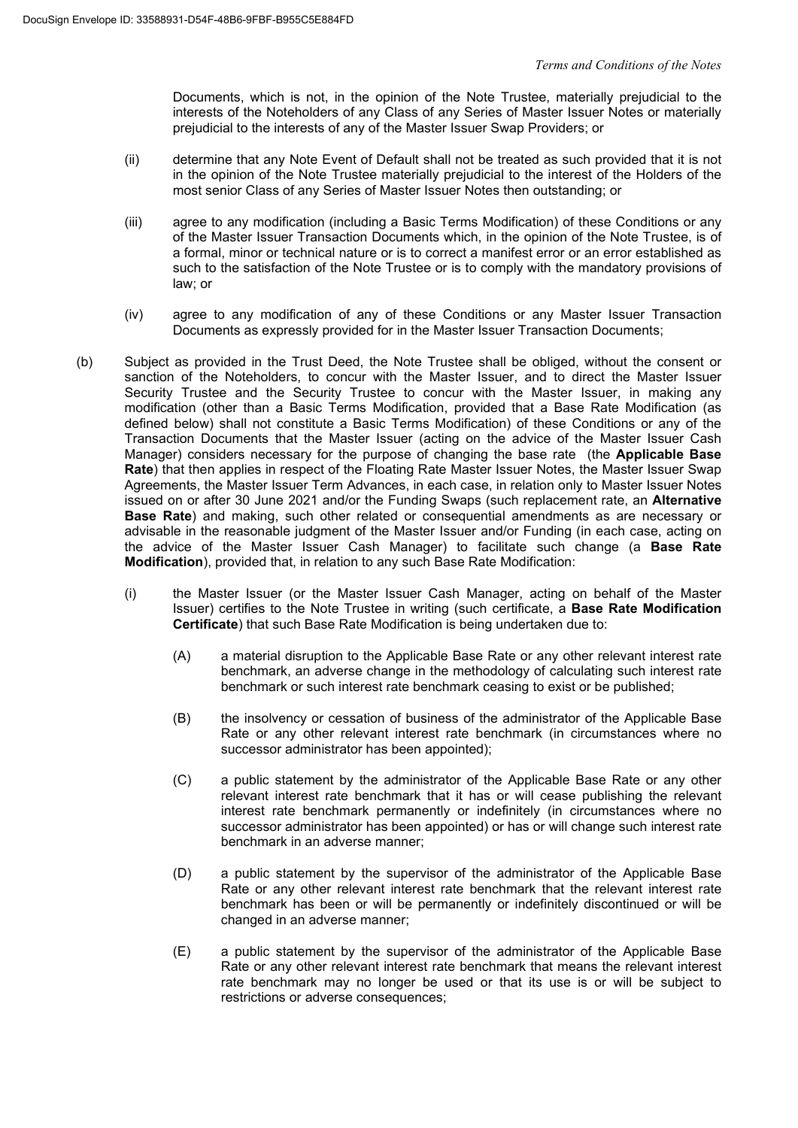Documents, which is not, in the opinion of the Note Trustee, materially prejudicial to the interests of the Noteholders of any Class of any Series of Master Issuer Notes or materially prejudicial to the interests of any of the Master Issuer Swap Providers; or

- (ii) determine that any Note Event of Default shall not be treated as such provided that it is not in the opinion of the Note Trustee materially prejudicial to the interest of the Holders of the most senior Class of any Series of Master Issuer Notes then outstanding; or
- (iii) agree to any modification (including a Basic Terms Modification) of these Conditions or any of the Master Issuer Transaction Documents which, in the opinion of the Note Trustee, is of a formal, minor or technical nature or is to correct a manifest error or an error established as such to the satisfaction of the Note Trustee or is to comply with the mandatory provisions of law; or
- (iv) agree to any modification of any of these Conditions or any Master Issuer Transaction Documents as expressly provided for in the Master Issuer Transaction Documents;
- (b) Subject as provided in the Trust Deed, the Note Trustee shall be obliged, without the consent or sanction of the Noteholders, to concur with the Master Issuer, and to direct the Master Issuer Security Trustee and the Security Trustee to concur with the Master Issuer, in making any modification (other than a Basic Terms Modification, provided that a Base Rate Modification (as defined below) shall not constitute a Basic Terms Modification) of these Conditions or any of the Transaction Documents that the Master Issuer (acting on the advice of the Master Issuer Cash Manager) considers necessary for the purpose of changing the base rate (the **Applicable Base Rate**) that then applies in respect of the Floating Rate Master Issuer Notes, the Master Issuer Swap Agreements, the Master Issuer Term Advances, in each case, in relation only to Master Issuer Notes issued on or after 30 June 2021 and/or the Funding Swaps (such replacement rate, an **Alternative Base Rate**) and making, such other related or consequential amendments as are necessary or advisable in the reasonable judgment of the Master Issuer and/or Funding (in each case, acting on the advice of the Master Issuer Cash Manager) to facilitate such change (a **Base Rate Modification**), provided that, in relation to any such Base Rate Modification:
	- (i) the Master Issuer (or the Master Issuer Cash Manager, acting on behalf of the Master Issuer) certifies to the Note Trustee in writing (such certificate, a **Base Rate Modification Certificate**) that such Base Rate Modification is being undertaken due to:
		- (A) a material disruption to the Applicable Base Rate or any other relevant interest rate benchmark, an adverse change in the methodology of calculating such interest rate benchmark or such interest rate benchmark ceasing to exist or be published;
		- (B) the insolvency or cessation of business of the administrator of the Applicable Base Rate or any other relevant interest rate benchmark (in circumstances where no successor administrator has been appointed);
		- (C) a public statement by the administrator of the Applicable Base Rate or any other relevant interest rate benchmark that it has or will cease publishing the relevant interest rate benchmark permanently or indefinitely (in circumstances where no successor administrator has been appointed) or has or will change such interest rate benchmark in an adverse manner;
		- (D) a public statement by the supervisor of the administrator of the Applicable Base Rate or any other relevant interest rate benchmark that the relevant interest rate benchmark has been or will be permanently or indefinitely discontinued or will be changed in an adverse manner;
		- (E) a public statement by the supervisor of the administrator of the Applicable Base Rate or any other relevant interest rate benchmark that means the relevant interest rate benchmark may no longer be used or that its use is or will be subject to restrictions or adverse consequences;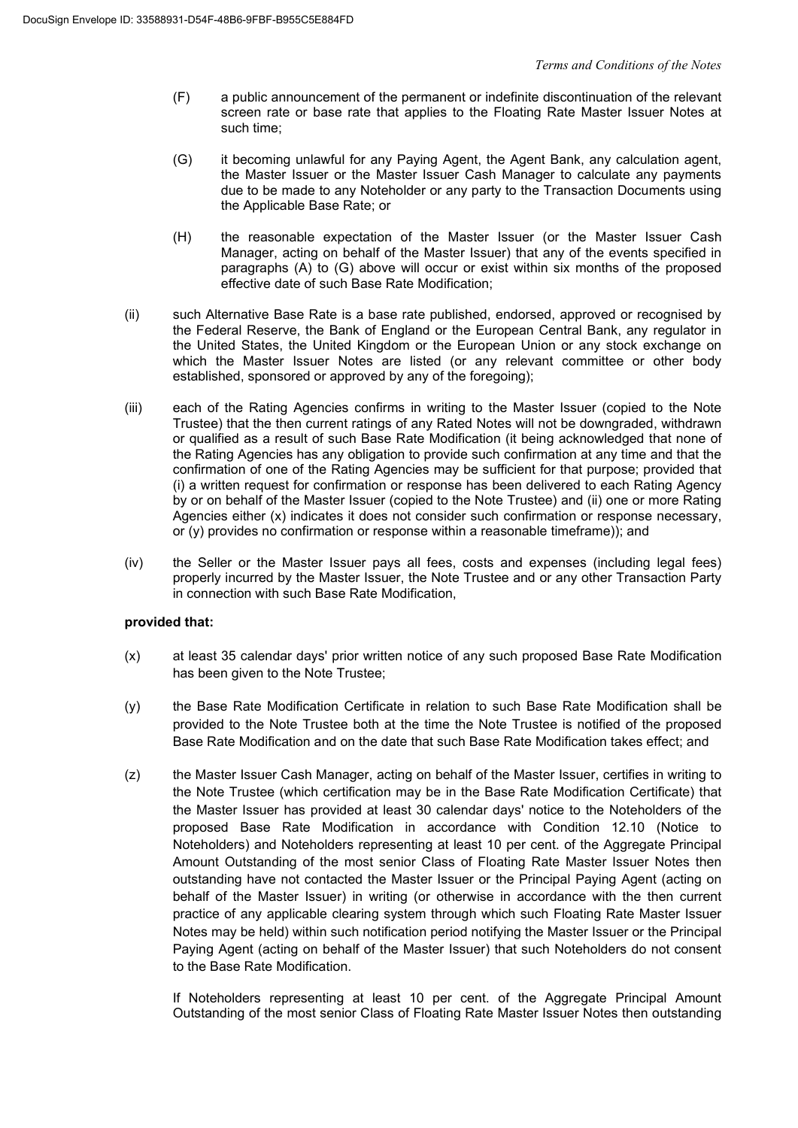- (F) a public announcement of the permanent or indefinite discontinuation of the relevant screen rate or base rate that applies to the Floating Rate Master Issuer Notes at such time;
- (G) it becoming unlawful for any Paying Agent, the Agent Bank, any calculation agent, the Master Issuer or the Master Issuer Cash Manager to calculate any payments due to be made to any Noteholder or any party to the Transaction Documents using the Applicable Base Rate; or
- (H) the reasonable expectation of the Master Issuer (or the Master Issuer Cash Manager, acting on behalf of the Master Issuer) that any of the events specified in paragraphs (A) to (G) above will occur or exist within six months of the proposed effective date of such Base Rate Modification;
- (ii) such Alternative Base Rate is a base rate published, endorsed, approved or recognised by the Federal Reserve, the Bank of England or the European Central Bank, any regulator in the United States, the United Kingdom or the European Union or any stock exchange on which the Master Issuer Notes are listed (or any relevant committee or other body established, sponsored or approved by any of the foregoing);
- (iii) each of the Rating Agencies confirms in writing to the Master Issuer (copied to the Note Trustee) that the then current ratings of any Rated Notes will not be downgraded, withdrawn or qualified as a result of such Base Rate Modification (it being acknowledged that none of the Rating Agencies has any obligation to provide such confirmation at any time and that the confirmation of one of the Rating Agencies may be sufficient for that purpose; provided that (i) a written request for confirmation or response has been delivered to each Rating Agency by or on behalf of the Master Issuer (copied to the Note Trustee) and (ii) one or more Rating Agencies either (x) indicates it does not consider such confirmation or response necessary, or (y) provides no confirmation or response within a reasonable timeframe)); and
- (iv) the Seller or the Master Issuer pays all fees, costs and expenses (including legal fees) properly incurred by the Master Issuer, the Note Trustee and or any other Transaction Party in connection with such Base Rate Modification,

# **provided that:**

- (x) at least 35 calendar days' prior written notice of any such proposed Base Rate Modification has been given to the Note Trustee;
- (y) the Base Rate Modification Certificate in relation to such Base Rate Modification shall be provided to the Note Trustee both at the time the Note Trustee is notified of the proposed Base Rate Modification and on the date that such Base Rate Modification takes effect; and
- (z) the Master Issuer Cash Manager, acting on behalf of the Master Issuer, certifies in writing to the Note Trustee (which certification may be in the Base Rate Modification Certificate) that the Master Issuer has provided at least 30 calendar days' notice to the Noteholders of the proposed Base Rate Modification in accordance with Condition 12.10 (Notice to Noteholders) and Noteholders representing at least 10 per cent. of the Aggregate Principal Amount Outstanding of the most senior Class of Floating Rate Master Issuer Notes then outstanding have not contacted the Master Issuer or the Principal Paying Agent (acting on behalf of the Master Issuer) in writing (or otherwise in accordance with the then current practice of any applicable clearing system through which such Floating Rate Master Issuer Notes may be held) within such notification period notifying the Master Issuer or the Principal Paying Agent (acting on behalf of the Master Issuer) that such Noteholders do not consent to the Base Rate Modification.

If Noteholders representing at least 10 per cent. of the Aggregate Principal Amount Outstanding of the most senior Class of Floating Rate Master Issuer Notes then outstanding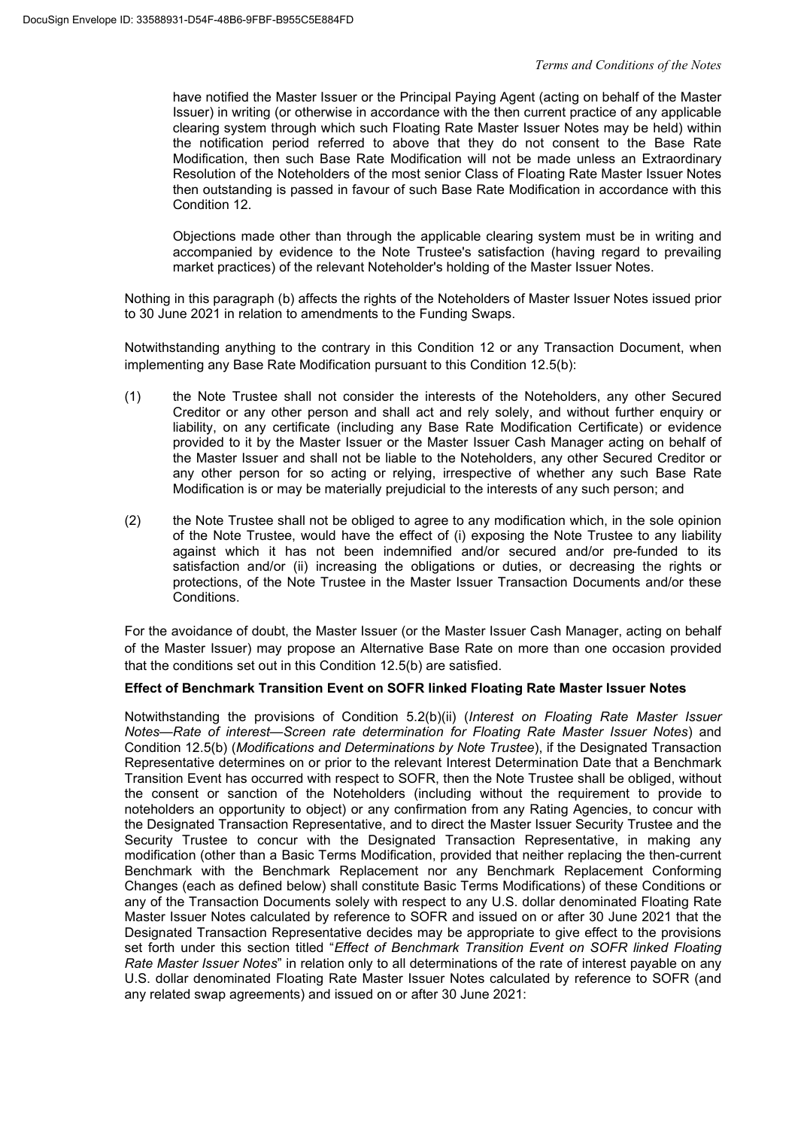have notified the Master Issuer or the Principal Paying Agent (acting on behalf of the Master Issuer) in writing (or otherwise in accordance with the then current practice of any applicable clearing system through which such Floating Rate Master Issuer Notes may be held) within the notification period referred to above that they do not consent to the Base Rate Modification, then such Base Rate Modification will not be made unless an Extraordinary Resolution of the Noteholders of the most senior Class of Floating Rate Master Issuer Notes then outstanding is passed in favour of such Base Rate Modification in accordance with this Condition 12.

Objections made other than through the applicable clearing system must be in writing and accompanied by evidence to the Note Trustee's satisfaction (having regard to prevailing market practices) of the relevant Noteholder's holding of the Master Issuer Notes.

Nothing in this paragraph (b) affects the rights of the Noteholders of Master Issuer Notes issued prior to 30 June 2021 in relation to amendments to the Funding Swaps.

Notwithstanding anything to the contrary in this Condition 12 or any Transaction Document, when implementing any Base Rate Modification pursuant to this Condition 12.5(b):

- (1) the Note Trustee shall not consider the interests of the Noteholders, any other Secured Creditor or any other person and shall act and rely solely, and without further enquiry or liability, on any certificate (including any Base Rate Modification Certificate) or evidence provided to it by the Master Issuer or the Master Issuer Cash Manager acting on behalf of the Master Issuer and shall not be liable to the Noteholders, any other Secured Creditor or any other person for so acting or relying, irrespective of whether any such Base Rate Modification is or may be materially prejudicial to the interests of any such person; and
- (2) the Note Trustee shall not be obliged to agree to any modification which, in the sole opinion of the Note Trustee, would have the effect of (i) exposing the Note Trustee to any liability against which it has not been indemnified and/or secured and/or pre-funded to its satisfaction and/or (ii) increasing the obligations or duties, or decreasing the rights or protections, of the Note Trustee in the Master Issuer Transaction Documents and/or these Conditions.

For the avoidance of doubt, the Master Issuer (or the Master Issuer Cash Manager, acting on behalf of the Master Issuer) may propose an Alternative Base Rate on more than one occasion provided that the conditions set out in this Condition 12.5(b) are satisfied.

# **Effect of Benchmark Transition Event on SOFR linked Floating Rate Master Issuer Notes**

Notwithstanding the provisions of Condition 5.2(b)(ii) (*Interest on Floating Rate Master Issuer Notes—Rate of interest—Screen rate determination for Floating Rate Master Issuer Notes*) and Condition 12.5(b) (*Modifications and Determinations by Note Trustee*), if the Designated Transaction Representative determines on or prior to the relevant Interest Determination Date that a Benchmark Transition Event has occurred with respect to SOFR, then the Note Trustee shall be obliged, without the consent or sanction of the Noteholders (including without the requirement to provide to noteholders an opportunity to object) or any confirmation from any Rating Agencies, to concur with the Designated Transaction Representative, and to direct the Master Issuer Security Trustee and the Security Trustee to concur with the Designated Transaction Representative, in making any modification (other than a Basic Terms Modification, provided that neither replacing the then-current Benchmark with the Benchmark Replacement nor any Benchmark Replacement Conforming Changes (each as defined below) shall constitute Basic Terms Modifications) of these Conditions or any of the Transaction Documents solely with respect to any U.S. dollar denominated Floating Rate Master Issuer Notes calculated by reference to SOFR and issued on or after 30 June 2021 that the Designated Transaction Representative decides may be appropriate to give effect to the provisions set forth under this section titled "*Effect of Benchmark Transition Event on SOFR linked Floating Rate Master Issuer Notes*" in relation only to all determinations of the rate of interest payable on any U.S. dollar denominated Floating Rate Master Issuer Notes calculated by reference to SOFR (and any related swap agreements) and issued on or after 30 June 2021: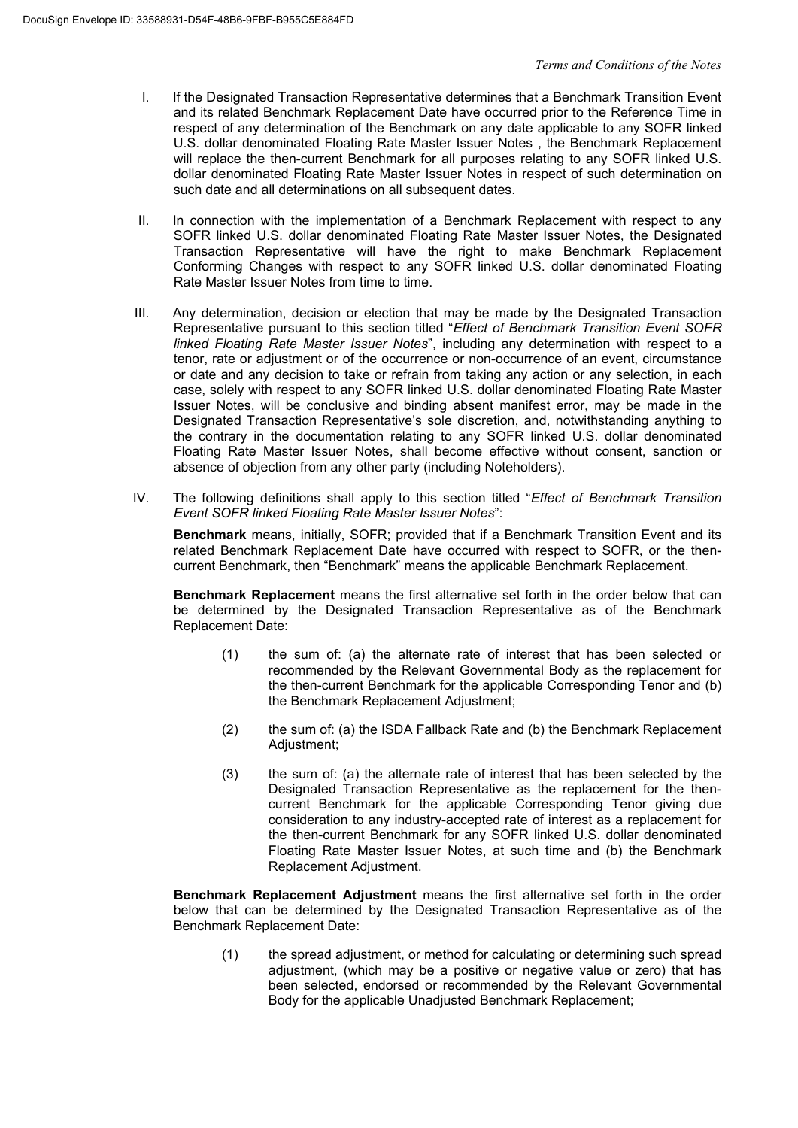- I. If the Designated Transaction Representative determines that a Benchmark Transition Event and its related Benchmark Replacement Date have occurred prior to the Reference Time in respect of any determination of the Benchmark on any date applicable to any SOFR linked U.S. dollar denominated Floating Rate Master Issuer Notes , the Benchmark Replacement will replace the then-current Benchmark for all purposes relating to any SOFR linked U.S. dollar denominated Floating Rate Master Issuer Notes in respect of such determination on such date and all determinations on all subsequent dates.
- II. In connection with the implementation of a Benchmark Replacement with respect to any SOFR linked U.S. dollar denominated Floating Rate Master Issuer Notes, the Designated Transaction Representative will have the right to make Benchmark Replacement Conforming Changes with respect to any SOFR linked U.S. dollar denominated Floating Rate Master Issuer Notes from time to time.
- III. Any determination, decision or election that may be made by the Designated Transaction Representative pursuant to this section titled "*Effect of Benchmark Transition Event SOFR linked Floating Rate Master Issuer Notes*", including any determination with respect to a tenor, rate or adjustment or of the occurrence or non-occurrence of an event, circumstance or date and any decision to take or refrain from taking any action or any selection, in each case, solely with respect to any SOFR linked U.S. dollar denominated Floating Rate Master Issuer Notes, will be conclusive and binding absent manifest error, may be made in the Designated Transaction Representative's sole discretion, and, notwithstanding anything to the contrary in the documentation relating to any SOFR linked U.S. dollar denominated Floating Rate Master Issuer Notes, shall become effective without consent, sanction or absence of objection from any other party (including Noteholders).
- IV. The following definitions shall apply to this section titled "*Effect of Benchmark Transition Event SOFR linked Floating Rate Master Issuer Notes*":

**Benchmark** means, initially, SOFR; provided that if a Benchmark Transition Event and its related Benchmark Replacement Date have occurred with respect to SOFR, or the thencurrent Benchmark, then "Benchmark" means the applicable Benchmark Replacement.

**Benchmark Replacement** means the first alternative set forth in the order below that can be determined by the Designated Transaction Representative as of the Benchmark Replacement Date:

- (1) the sum of: (a) the alternate rate of interest that has been selected or recommended by the Relevant Governmental Body as the replacement for the then-current Benchmark for the applicable Corresponding Tenor and (b) the Benchmark Replacement Adjustment;
- (2) the sum of: (a) the ISDA Fallback Rate and (b) the Benchmark Replacement Adjustment;
- (3) the sum of: (a) the alternate rate of interest that has been selected by the Designated Transaction Representative as the replacement for the thencurrent Benchmark for the applicable Corresponding Tenor giving due consideration to any industry-accepted rate of interest as a replacement for the then-current Benchmark for any SOFR linked U.S. dollar denominated Floating Rate Master Issuer Notes, at such time and (b) the Benchmark Replacement Adjustment.

**Benchmark Replacement Adjustment** means the first alternative set forth in the order below that can be determined by the Designated Transaction Representative as of the Benchmark Replacement Date:

(1) the spread adjustment, or method for calculating or determining such spread adjustment, (which may be a positive or negative value or zero) that has been selected, endorsed or recommended by the Relevant Governmental Body for the applicable Unadjusted Benchmark Replacement;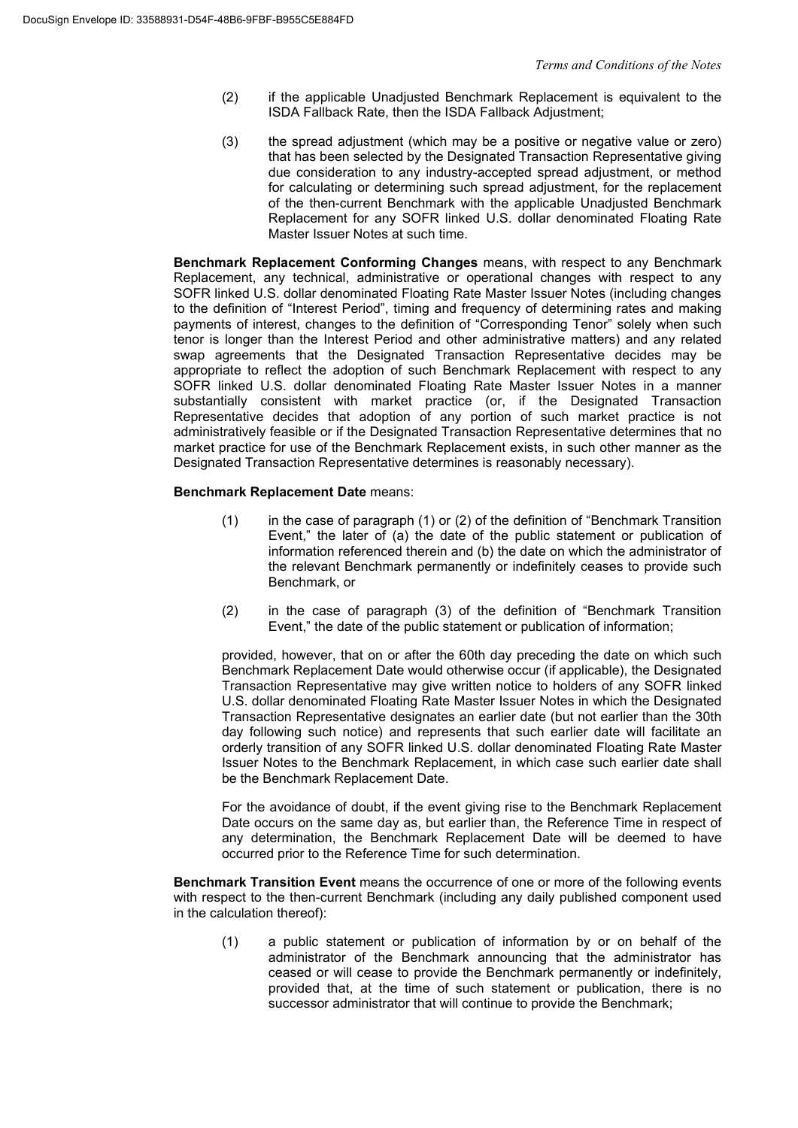- (2) if the applicable Unadjusted Benchmark Replacement is equivalent to the ISDA Fallback Rate, then the ISDA Fallback Adjustment;
- (3) the spread adjustment (which may be a positive or negative value or zero) that has been selected by the Designated Transaction Representative giving due consideration to any industry-accepted spread adjustment, or method for calculating or determining such spread adjustment, for the replacement of the then-current Benchmark with the applicable Unadjusted Benchmark Replacement for any SOFR linked U.S. dollar denominated Floating Rate Master Issuer Notes at such time.

**Benchmark Replacement Conforming Changes** means, with respect to any Benchmark Replacement, any technical, administrative or operational changes with respect to any SOFR linked U.S. dollar denominated Floating Rate Master Issuer Notes (including changes to the definition of "Interest Period", timing and frequency of determining rates and making payments of interest, changes to the definition of "Corresponding Tenor" solely when such tenor is longer than the Interest Period and other administrative matters) and any related swap agreements that the Designated Transaction Representative decides may be appropriate to reflect the adoption of such Benchmark Replacement with respect to any SOFR linked U.S. dollar denominated Floating Rate Master Issuer Notes in a manner substantially consistent with market practice (or, if the Designated Transaction Representative decides that adoption of any portion of such market practice is not administratively feasible or if the Designated Transaction Representative determines that no market practice for use of the Benchmark Replacement exists, in such other manner as the Designated Transaction Representative determines is reasonably necessary).

# **Benchmark Replacement Date** means:

- (1) in the case of paragraph (1) or (2) of the definition of "Benchmark Transition Event," the later of (a) the date of the public statement or publication of information referenced therein and (b) the date on which the administrator of the relevant Benchmark permanently or indefinitely ceases to provide such Benchmark, or
- (2) in the case of paragraph (3) of the definition of "Benchmark Transition Event," the date of the public statement or publication of information;

provided, however, that on or after the 60th day preceding the date on which such Benchmark Replacement Date would otherwise occur (if applicable), the Designated Transaction Representative may give written notice to holders of any SOFR linked U.S. dollar denominated Floating Rate Master Issuer Notes in which the Designated Transaction Representative designates an earlier date (but not earlier than the 30th day following such notice) and represents that such earlier date will facilitate an orderly transition of any SOFR linked U.S. dollar denominated Floating Rate Master Issuer Notes to the Benchmark Replacement, in which case such earlier date shall be the Benchmark Replacement Date.

For the avoidance of doubt, if the event giving rise to the Benchmark Replacement Date occurs on the same day as, but earlier than, the Reference Time in respect of any determination, the Benchmark Replacement Date will be deemed to have occurred prior to the Reference Time for such determination.

**Benchmark Transition Event** means the occurrence of one or more of the following events with respect to the then-current Benchmark (including any daily published component used in the calculation thereof):

(1) a public statement or publication of information by or on behalf of the administrator of the Benchmark announcing that the administrator has ceased or will cease to provide the Benchmark permanently or indefinitely, provided that, at the time of such statement or publication, there is no successor administrator that will continue to provide the Benchmark;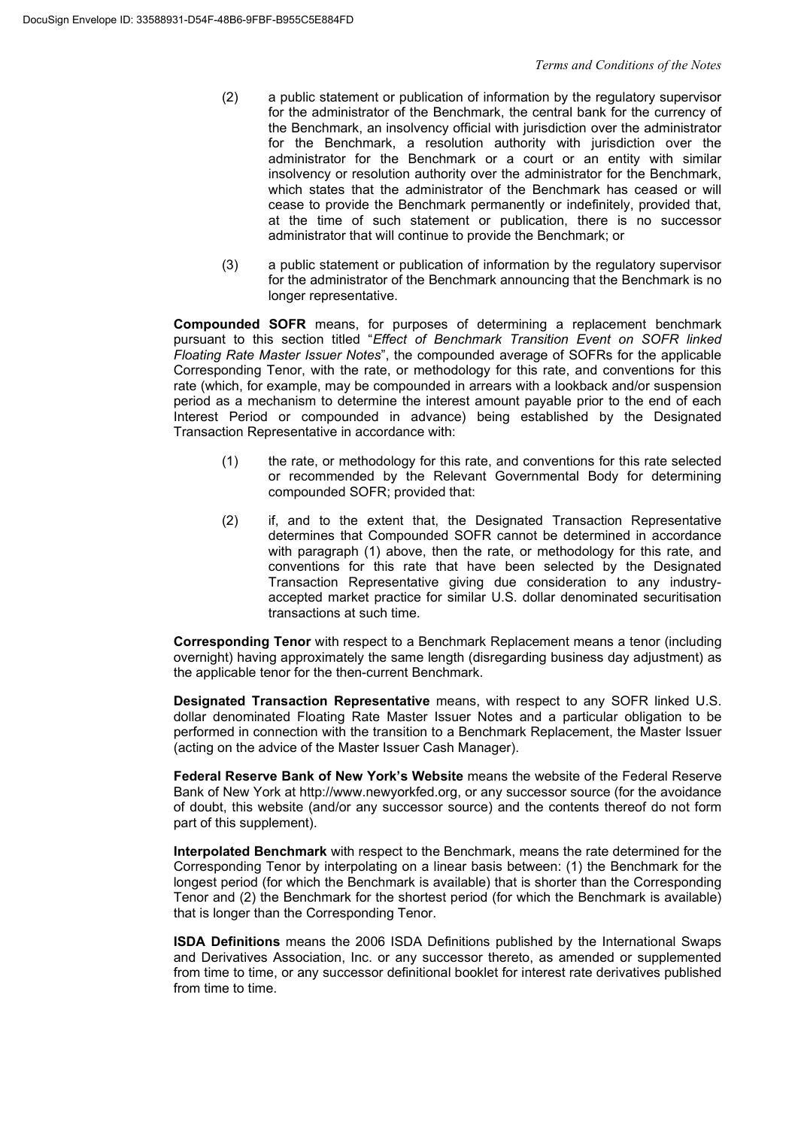- (2) a public statement or publication of information by the regulatory supervisor for the administrator of the Benchmark, the central bank for the currency of the Benchmark, an insolvency official with jurisdiction over the administrator for the Benchmark, a resolution authority with jurisdiction over the administrator for the Benchmark or a court or an entity with similar insolvency or resolution authority over the administrator for the Benchmark, which states that the administrator of the Benchmark has ceased or will cease to provide the Benchmark permanently or indefinitely, provided that, at the time of such statement or publication, there is no successor administrator that will continue to provide the Benchmark; or
- (3) a public statement or publication of information by the regulatory supervisor for the administrator of the Benchmark announcing that the Benchmark is no longer representative.

**Compounded SOFR** means, for purposes of determining a replacement benchmark pursuant to this section titled "*Effect of Benchmark Transition Event on SOFR linked Floating Rate Master Issuer Notes*", the compounded average of SOFRs for the applicable Corresponding Tenor, with the rate, or methodology for this rate, and conventions for this rate (which, for example, may be compounded in arrears with a lookback and/or suspension period as a mechanism to determine the interest amount payable prior to the end of each Interest Period or compounded in advance) being established by the Designated Transaction Representative in accordance with:

- (1) the rate, or methodology for this rate, and conventions for this rate selected or recommended by the Relevant Governmental Body for determining compounded SOFR; provided that:
- (2) if, and to the extent that, the Designated Transaction Representative determines that Compounded SOFR cannot be determined in accordance with paragraph (1) above, then the rate, or methodology for this rate, and conventions for this rate that have been selected by the Designated Transaction Representative giving due consideration to any industryaccepted market practice for similar U.S. dollar denominated securitisation transactions at such time.

**Corresponding Tenor** with respect to a Benchmark Replacement means a tenor (including overnight) having approximately the same length (disregarding business day adjustment) as the applicable tenor for the then-current Benchmark.

**Designated Transaction Representative** means, with respect to any SOFR linked U.S. dollar denominated Floating Rate Master Issuer Notes and a particular obligation to be performed in connection with the transition to a Benchmark Replacement, the Master Issuer (acting on the advice of the Master Issuer Cash Manager).

**Federal Reserve Bank of New York's Website** means the website of the Federal Reserve Bank of New York at http://www.newyorkfed.org, or any successor source (for the avoidance of doubt, this website (and/or any successor source) and the contents thereof do not form part of this supplement).

**Interpolated Benchmark** with respect to the Benchmark, means the rate determined for the Corresponding Tenor by interpolating on a linear basis between: (1) the Benchmark for the longest period (for which the Benchmark is available) that is shorter than the Corresponding Tenor and (2) the Benchmark for the shortest period (for which the Benchmark is available) that is longer than the Corresponding Tenor.

**ISDA Definitions** means the 2006 ISDA Definitions published by the International Swaps and Derivatives Association, Inc. or any successor thereto, as amended or supplemented from time to time, or any successor definitional booklet for interest rate derivatives published from time to time.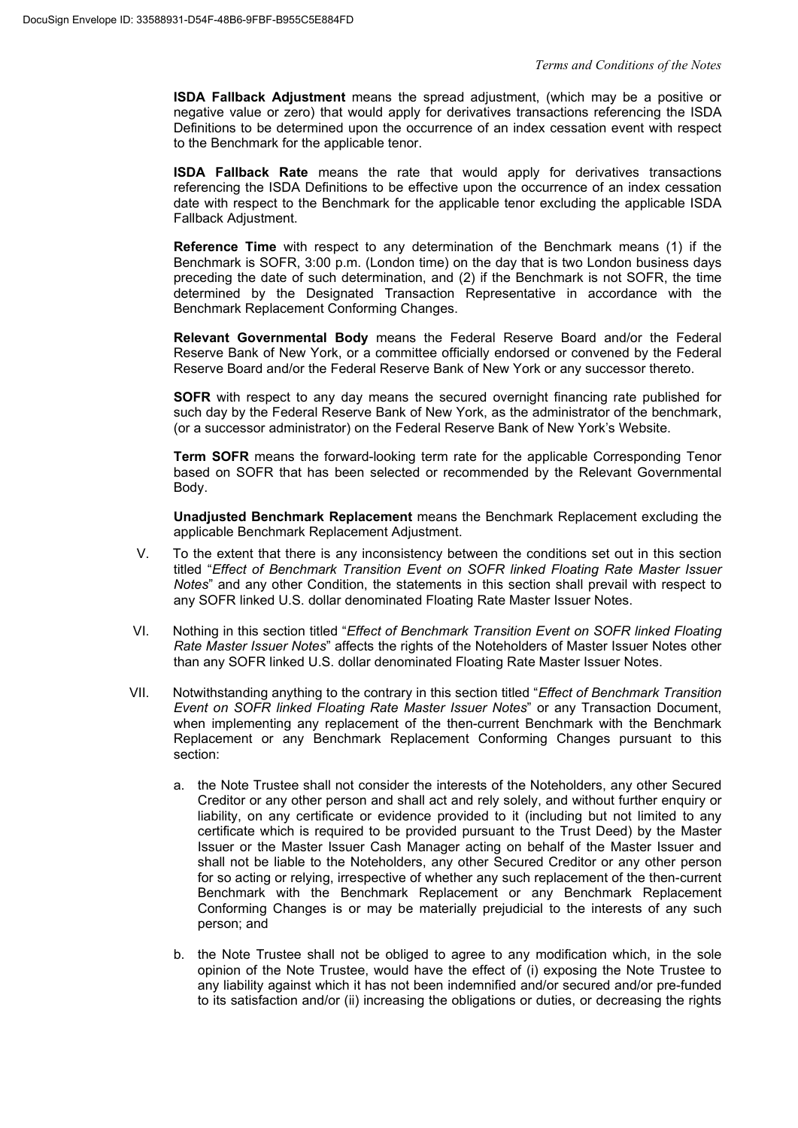**ISDA Fallback Adjustment** means the spread adjustment, (which may be a positive or negative value or zero) that would apply for derivatives transactions referencing the ISDA Definitions to be determined upon the occurrence of an index cessation event with respect to the Benchmark for the applicable tenor.

**ISDA Fallback Rate** means the rate that would apply for derivatives transactions referencing the ISDA Definitions to be effective upon the occurrence of an index cessation date with respect to the Benchmark for the applicable tenor excluding the applicable ISDA Fallback Adjustment.

**Reference Time** with respect to any determination of the Benchmark means (1) if the Benchmark is SOFR, 3:00 p.m. (London time) on the day that is two London business days preceding the date of such determination, and (2) if the Benchmark is not SOFR, the time determined by the Designated Transaction Representative in accordance with the Benchmark Replacement Conforming Changes.

**Relevant Governmental Body** means the Federal Reserve Board and/or the Federal Reserve Bank of New York, or a committee officially endorsed or convened by the Federal Reserve Board and/or the Federal Reserve Bank of New York or any successor thereto.

**SOFR** with respect to any day means the secured overnight financing rate published for such day by the Federal Reserve Bank of New York, as the administrator of the benchmark, (or a successor administrator) on the Federal Reserve Bank of New York's Website.

**Term SOFR** means the forward-looking term rate for the applicable Corresponding Tenor based on SOFR that has been selected or recommended by the Relevant Governmental Body.

**Unadjusted Benchmark Replacement** means the Benchmark Replacement excluding the applicable Benchmark Replacement Adjustment.

- V. To the extent that there is any inconsistency between the conditions set out in this section titled "*Effect of Benchmark Transition Event on SOFR linked Floating Rate Master Issuer Notes*" and any other Condition, the statements in this section shall prevail with respect to any SOFR linked U.S. dollar denominated Floating Rate Master Issuer Notes.
- VI. Nothing in this section titled "*Effect of Benchmark Transition Event on SOFR linked Floating Rate Master Issuer Notes*" affects the rights of the Noteholders of Master Issuer Notes other than any SOFR linked U.S. dollar denominated Floating Rate Master Issuer Notes.
- VII. Notwithstanding anything to the contrary in this section titled "*Effect of Benchmark Transition Event on SOFR linked Floating Rate Master Issuer Notes*" or any Transaction Document, when implementing any replacement of the then-current Benchmark with the Benchmark Replacement or any Benchmark Replacement Conforming Changes pursuant to this section:
	- a. the Note Trustee shall not consider the interests of the Noteholders, any other Secured Creditor or any other person and shall act and rely solely, and without further enquiry or liability, on any certificate or evidence provided to it (including but not limited to any certificate which is required to be provided pursuant to the Trust Deed) by the Master Issuer or the Master Issuer Cash Manager acting on behalf of the Master Issuer and shall not be liable to the Noteholders, any other Secured Creditor or any other person for so acting or relying, irrespective of whether any such replacement of the then-current Benchmark with the Benchmark Replacement or any Benchmark Replacement Conforming Changes is or may be materially prejudicial to the interests of any such person; and
	- b. the Note Trustee shall not be obliged to agree to any modification which, in the sole opinion of the Note Trustee, would have the effect of (i) exposing the Note Trustee to any liability against which it has not been indemnified and/or secured and/or pre-funded to its satisfaction and/or (ii) increasing the obligations or duties, or decreasing the rights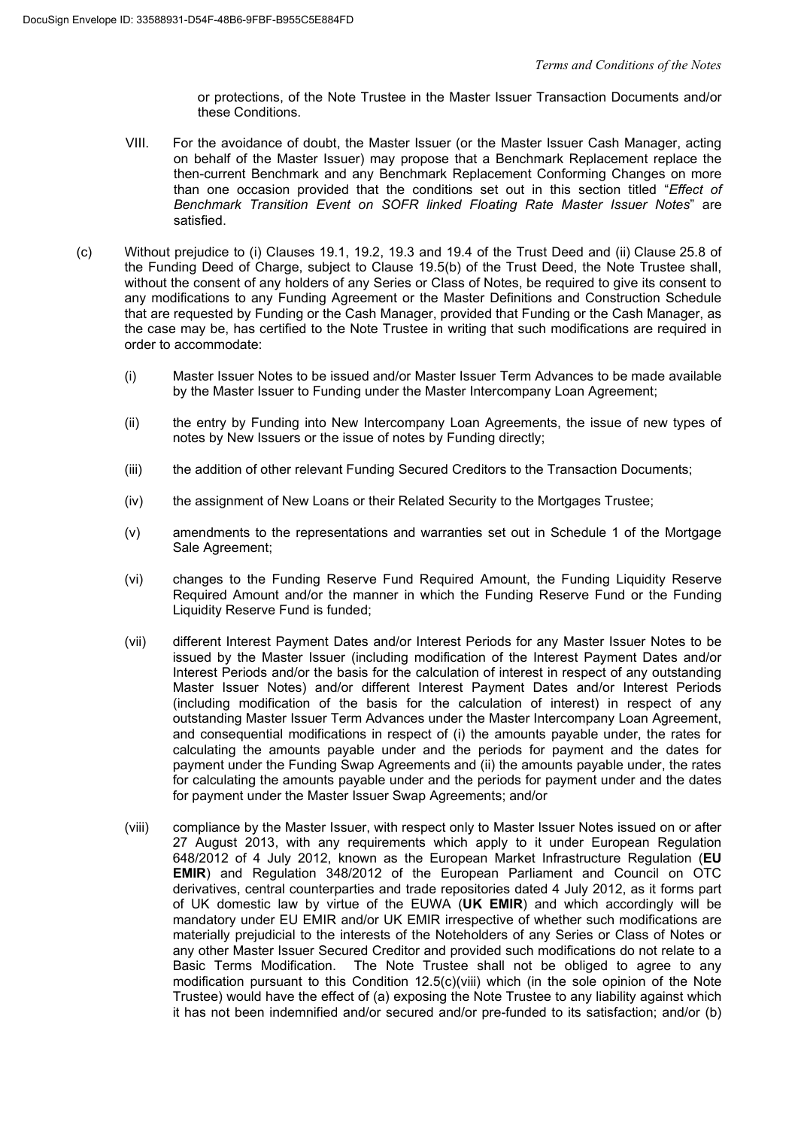or protections, of the Note Trustee in the Master Issuer Transaction Documents and/or these Conditions.

- VIII. For the avoidance of doubt, the Master Issuer (or the Master Issuer Cash Manager, acting on behalf of the Master Issuer) may propose that a Benchmark Replacement replace the then-current Benchmark and any Benchmark Replacement Conforming Changes on more than one occasion provided that the conditions set out in this section titled "*Effect of Benchmark Transition Event on SOFR linked Floating Rate Master Issuer Notes*" are satisfied.
- (c) Without prejudice to (i) Clauses 19.1, 19.2, 19.3 and 19.4 of the Trust Deed and (ii) Clause 25.8 of the Funding Deed of Charge, subject to Clause 19.5(b) of the Trust Deed, the Note Trustee shall, without the consent of any holders of any Series or Class of Notes, be required to give its consent to any modifications to any Funding Agreement or the Master Definitions and Construction Schedule that are requested by Funding or the Cash Manager, provided that Funding or the Cash Manager, as the case may be, has certified to the Note Trustee in writing that such modifications are required in order to accommodate:
	- (i) Master Issuer Notes to be issued and/or Master Issuer Term Advances to be made available by the Master Issuer to Funding under the Master Intercompany Loan Agreement;
	- (ii) the entry by Funding into New Intercompany Loan Agreements, the issue of new types of notes by New Issuers or the issue of notes by Funding directly;
	- (iii) the addition of other relevant Funding Secured Creditors to the Transaction Documents;
	- (iv) the assignment of New Loans or their Related Security to the Mortgages Trustee;
	- (v) amendments to the representations and warranties set out in Schedule 1 of the Mortgage Sale Agreement;
	- (vi) changes to the Funding Reserve Fund Required Amount, the Funding Liquidity Reserve Required Amount and/or the manner in which the Funding Reserve Fund or the Funding Liquidity Reserve Fund is funded;
	- (vii) different Interest Payment Dates and/or Interest Periods for any Master Issuer Notes to be issued by the Master Issuer (including modification of the Interest Payment Dates and/or Interest Periods and/or the basis for the calculation of interest in respect of any outstanding Master Issuer Notes) and/or different Interest Payment Dates and/or Interest Periods (including modification of the basis for the calculation of interest) in respect of any outstanding Master Issuer Term Advances under the Master Intercompany Loan Agreement, and consequential modifications in respect of (i) the amounts payable under, the rates for calculating the amounts payable under and the periods for payment and the dates for payment under the Funding Swap Agreements and (ii) the amounts payable under, the rates for calculating the amounts payable under and the periods for payment under and the dates for payment under the Master Issuer Swap Agreements; and/or
	- (viii) compliance by the Master Issuer, with respect only to Master Issuer Notes issued on or after 27 August 2013, with any requirements which apply to it under European Regulation 648/2012 of 4 July 2012, known as the European Market Infrastructure Regulation (**EU EMIR**) and Regulation 348/2012 of the European Parliament and Council on OTC derivatives, central counterparties and trade repositories dated 4 July 2012, as it forms part of UK domestic law by virtue of the EUWA (**UK EMIR**) and which accordingly will be mandatory under EU EMIR and/or UK EMIR irrespective of whether such modifications are materially prejudicial to the interests of the Noteholders of any Series or Class of Notes or any other Master Issuer Secured Creditor and provided such modifications do not relate to a Basic Terms Modification. The Note Trustee shall not be obliged to agree to any modification pursuant to this Condition 12.5(c)(viii) which (in the sole opinion of the Note Trustee) would have the effect of (a) exposing the Note Trustee to any liability against which it has not been indemnified and/or secured and/or pre-funded to its satisfaction; and/or (b)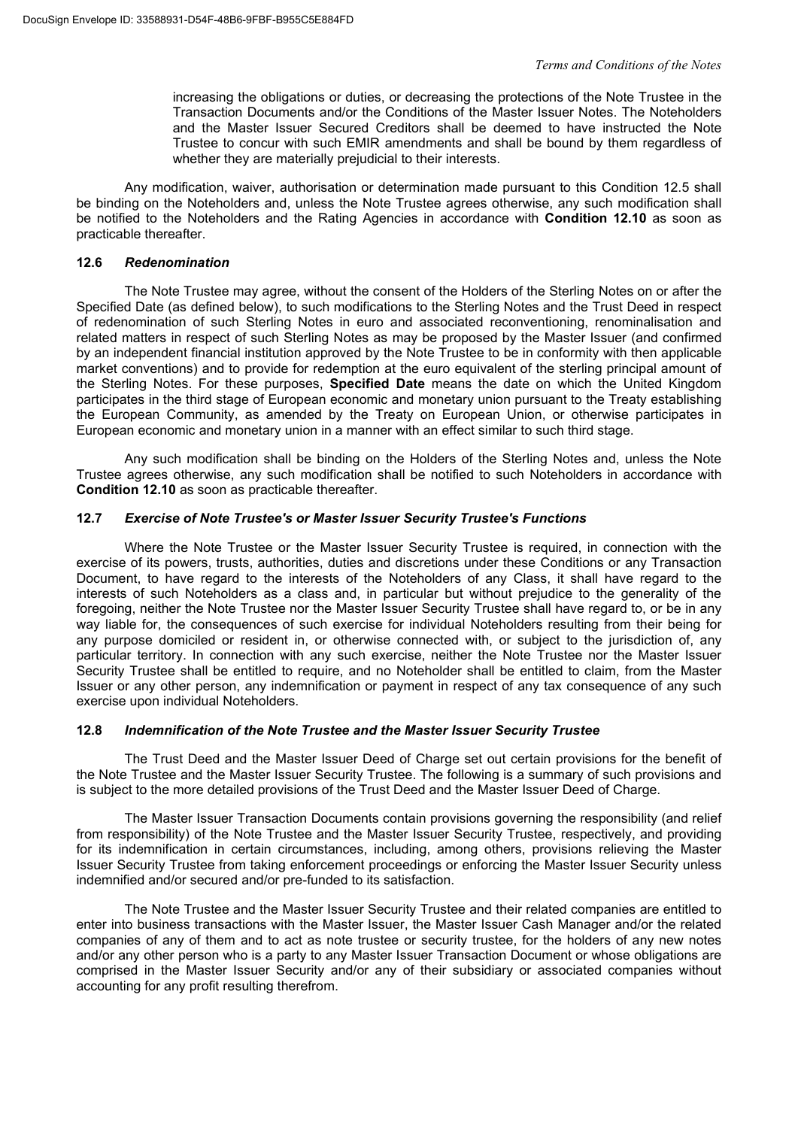increasing the obligations or duties, or decreasing the protections of the Note Trustee in the Transaction Documents and/or the Conditions of the Master Issuer Notes. The Noteholders and the Master Issuer Secured Creditors shall be deemed to have instructed the Note Trustee to concur with such EMIR amendments and shall be bound by them regardless of whether they are materially prejudicial to their interests.

Any modification, waiver, authorisation or determination made pursuant to this Condition 12.5 shall be binding on the Noteholders and, unless the Note Trustee agrees otherwise, any such modification shall be notified to the Noteholders and the Rating Agencies in accordance with **Condition 12.10** as soon as practicable thereafter.

#### **12.6** *Redenomination*

The Note Trustee may agree, without the consent of the Holders of the Sterling Notes on or after the Specified Date (as defined below), to such modifications to the Sterling Notes and the Trust Deed in respect of redenomination of such Sterling Notes in euro and associated reconventioning, renominalisation and related matters in respect of such Sterling Notes as may be proposed by the Master Issuer (and confirmed by an independent financial institution approved by the Note Trustee to be in conformity with then applicable market conventions) and to provide for redemption at the euro equivalent of the sterling principal amount of the Sterling Notes. For these purposes, **Specified Date** means the date on which the United Kingdom participates in the third stage of European economic and monetary union pursuant to the Treaty establishing the European Community, as amended by the Treaty on European Union, or otherwise participates in European economic and monetary union in a manner with an effect similar to such third stage.

Any such modification shall be binding on the Holders of the Sterling Notes and, unless the Note Trustee agrees otherwise, any such modification shall be notified to such Noteholders in accordance with **Condition 12.10** as soon as practicable thereafter.

#### **12.7** *Exercise of Note Trustee's or Master Issuer Security Trustee's Functions*

Where the Note Trustee or the Master Issuer Security Trustee is required, in connection with the exercise of its powers, trusts, authorities, duties and discretions under these Conditions or any Transaction Document, to have regard to the interests of the Noteholders of any Class, it shall have regard to the interests of such Noteholders as a class and, in particular but without prejudice to the generality of the foregoing, neither the Note Trustee nor the Master Issuer Security Trustee shall have regard to, or be in any way liable for, the consequences of such exercise for individual Noteholders resulting from their being for any purpose domiciled or resident in, or otherwise connected with, or subject to the jurisdiction of, any particular territory. In connection with any such exercise, neither the Note Trustee nor the Master Issuer Security Trustee shall be entitled to require, and no Noteholder shall be entitled to claim, from the Master Issuer or any other person, any indemnification or payment in respect of any tax consequence of any such exercise upon individual Noteholders.

# **12.8** *Indemnification of the Note Trustee and the Master Issuer Security Trustee*

The Trust Deed and the Master Issuer Deed of Charge set out certain provisions for the benefit of the Note Trustee and the Master Issuer Security Trustee. The following is a summary of such provisions and is subject to the more detailed provisions of the Trust Deed and the Master Issuer Deed of Charge.

The Master Issuer Transaction Documents contain provisions governing the responsibility (and relief from responsibility) of the Note Trustee and the Master Issuer Security Trustee, respectively, and providing for its indemnification in certain circumstances, including, among others, provisions relieving the Master Issuer Security Trustee from taking enforcement proceedings or enforcing the Master Issuer Security unless indemnified and/or secured and/or pre-funded to its satisfaction.

The Note Trustee and the Master Issuer Security Trustee and their related companies are entitled to enter into business transactions with the Master Issuer, the Master Issuer Cash Manager and/or the related companies of any of them and to act as note trustee or security trustee, for the holders of any new notes and/or any other person who is a party to any Master Issuer Transaction Document or whose obligations are comprised in the Master Issuer Security and/or any of their subsidiary or associated companies without accounting for any profit resulting therefrom.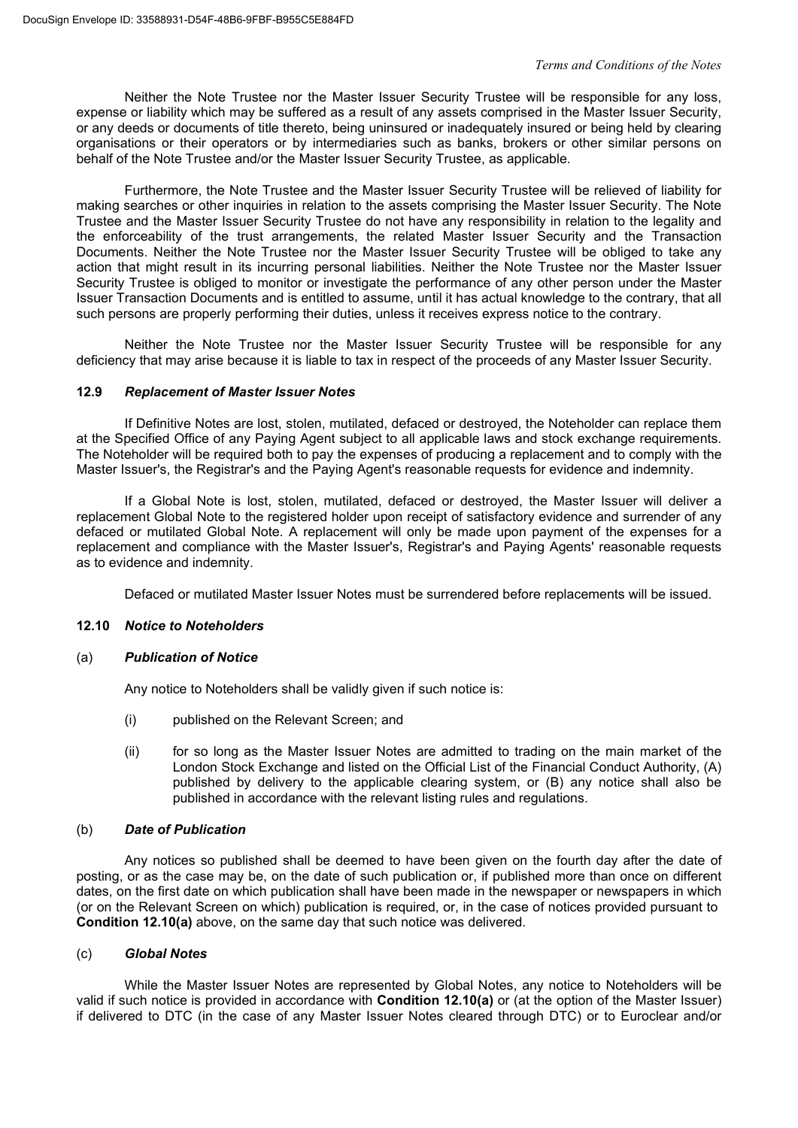Neither the Note Trustee nor the Master Issuer Security Trustee will be responsible for any loss, expense or liability which may be suffered as a result of any assets comprised in the Master Issuer Security, or any deeds or documents of title thereto, being uninsured or inadequately insured or being held by clearing organisations or their operators or by intermediaries such as banks, brokers or other similar persons on behalf of the Note Trustee and/or the Master Issuer Security Trustee, as applicable.

Furthermore, the Note Trustee and the Master Issuer Security Trustee will be relieved of liability for making searches or other inquiries in relation to the assets comprising the Master Issuer Security. The Note Trustee and the Master Issuer Security Trustee do not have any responsibility in relation to the legality and the enforceability of the trust arrangements, the related Master Issuer Security and the Transaction Documents. Neither the Note Trustee nor the Master Issuer Security Trustee will be obliged to take any action that might result in its incurring personal liabilities. Neither the Note Trustee nor the Master Issuer Security Trustee is obliged to monitor or investigate the performance of any other person under the Master Issuer Transaction Documents and is entitled to assume, until it has actual knowledge to the contrary, that all such persons are properly performing their duties, unless it receives express notice to the contrary.

Neither the Note Trustee nor the Master Issuer Security Trustee will be responsible for any deficiency that may arise because it is liable to tax in respect of the proceeds of any Master Issuer Security.

# **12.9** *Replacement of Master Issuer Notes*

If Definitive Notes are lost, stolen, mutilated, defaced or destroyed, the Noteholder can replace them at the Specified Office of any Paying Agent subject to all applicable laws and stock exchange requirements. The Noteholder will be required both to pay the expenses of producing a replacement and to comply with the Master Issuer's, the Registrar's and the Paying Agent's reasonable requests for evidence and indemnity.

If a Global Note is lost, stolen, mutilated, defaced or destroyed, the Master Issuer will deliver a replacement Global Note to the registered holder upon receipt of satisfactory evidence and surrender of any defaced or mutilated Global Note. A replacement will only be made upon payment of the expenses for a replacement and compliance with the Master Issuer's, Registrar's and Paying Agents' reasonable requests as to evidence and indemnity.

Defaced or mutilated Master Issuer Notes must be surrendered before replacements will be issued.

# **12.10** *Notice to Noteholders*

#### (a) *Publication of Notice*

Any notice to Noteholders shall be validly given if such notice is:

- (i) published on the Relevant Screen; and
- (ii) for so long as the Master Issuer Notes are admitted to trading on the main market of the London Stock Exchange and listed on the Official List of the Financial Conduct Authority, (A) published by delivery to the applicable clearing system, or (B) any notice shall also be published in accordance with the relevant listing rules and regulations.

#### (b) *Date of Publication*

Any notices so published shall be deemed to have been given on the fourth day after the date of posting, or as the case may be, on the date of such publication or, if published more than once on different dates, on the first date on which publication shall have been made in the newspaper or newspapers in which (or on the Relevant Screen on which) publication is required, or, in the case of notices provided pursuant to **Condition 12.10(a)** above, on the same day that such notice was delivered.

#### (c) *Global Notes*

While the Master Issuer Notes are represented by Global Notes, any notice to Noteholders will be valid if such notice is provided in accordance with **Condition 12.10(a)** or (at the option of the Master Issuer) if delivered to DTC (in the case of any Master Issuer Notes cleared through DTC) or to Euroclear and/or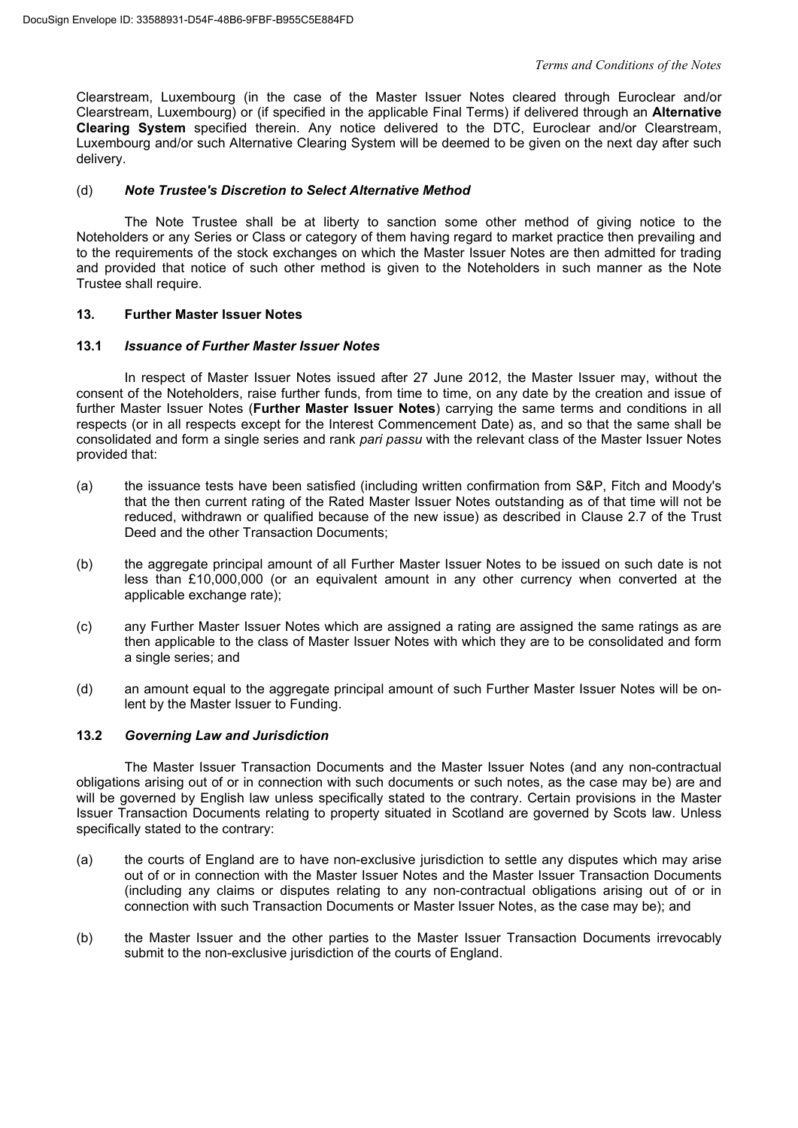Clearstream, Luxembourg (in the case of the Master Issuer Notes cleared through Euroclear and/or Clearstream, Luxembourg) or (if specified in the applicable Final Terms) if delivered through an **Alternative Clearing System** specified therein. Any notice delivered to the DTC, Euroclear and/or Clearstream, Luxembourg and/or such Alternative Clearing System will be deemed to be given on the next day after such delivery.

# (d) *Note Trustee's Discretion to Select Alternative Method*

The Note Trustee shall be at liberty to sanction some other method of giving notice to the Noteholders or any Series or Class or category of them having regard to market practice then prevailing and to the requirements of the stock exchanges on which the Master Issuer Notes are then admitted for trading and provided that notice of such other method is given to the Noteholders in such manner as the Note Trustee shall require.

# **13. Further Master Issuer Notes**

#### **13.1** *Issuance of Further Master Issuer Notes*

In respect of Master Issuer Notes issued after 27 June 2012, the Master Issuer may, without the consent of the Noteholders, raise further funds, from time to time, on any date by the creation and issue of further Master Issuer Notes (**Further Master Issuer Notes**) carrying the same terms and conditions in all respects (or in all respects except for the Interest Commencement Date) as, and so that the same shall be consolidated and form a single series and rank *pari passu* with the relevant class of the Master Issuer Notes provided that:

- (a) the issuance tests have been satisfied (including written confirmation from S&P, Fitch and Moody's that the then current rating of the Rated Master Issuer Notes outstanding as of that time will not be reduced, withdrawn or qualified because of the new issue) as described in Clause 2.7 of the Trust Deed and the other Transaction Documents;
- (b) the aggregate principal amount of all Further Master Issuer Notes to be issued on such date is not less than £10,000,000 (or an equivalent amount in any other currency when converted at the applicable exchange rate);
- (c) any Further Master Issuer Notes which are assigned a rating are assigned the same ratings as are then applicable to the class of Master Issuer Notes with which they are to be consolidated and form a single series; and
- (d) an amount equal to the aggregate principal amount of such Further Master Issuer Notes will be onlent by the Master Issuer to Funding.

# **13.2** *Governing Law and Jurisdiction*

The Master Issuer Transaction Documents and the Master Issuer Notes (and any non-contractual obligations arising out of or in connection with such documents or such notes, as the case may be) are and will be governed by English law unless specifically stated to the contrary. Certain provisions in the Master Issuer Transaction Documents relating to property situated in Scotland are governed by Scots law. Unless specifically stated to the contrary:

- (a) the courts of England are to have non-exclusive jurisdiction to settle any disputes which may arise out of or in connection with the Master Issuer Notes and the Master Issuer Transaction Documents (including any claims or disputes relating to any non-contractual obligations arising out of or in connection with such Transaction Documents or Master Issuer Notes, as the case may be); and
- (b) the Master Issuer and the other parties to the Master Issuer Transaction Documents irrevocably submit to the non-exclusive jurisdiction of the courts of England.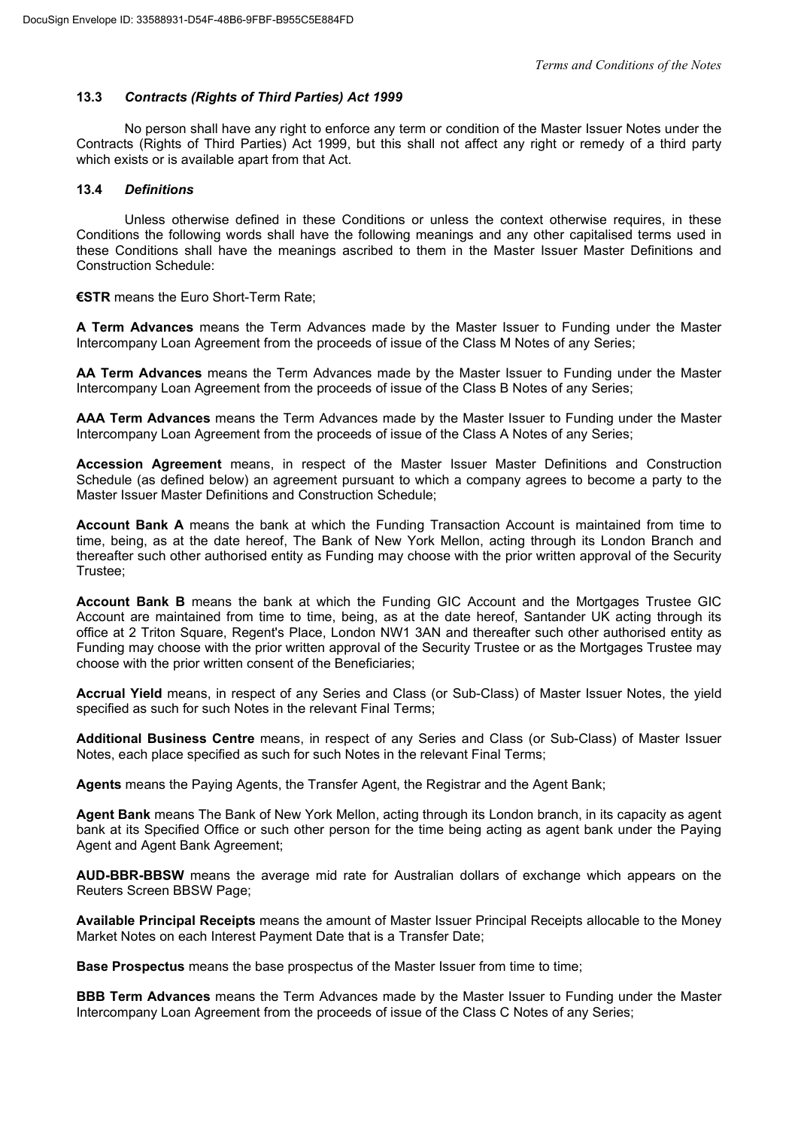# **13.3** *Contracts (Rights of Third Parties) Act 1999*

No person shall have any right to enforce any term or condition of the Master Issuer Notes under the Contracts (Rights of Third Parties) Act 1999, but this shall not affect any right or remedy of a third party which exists or is available apart from that Act.

# **13.4** *Definitions*

Unless otherwise defined in these Conditions or unless the context otherwise requires, in these Conditions the following words shall have the following meanings and any other capitalised terms used in these Conditions shall have the meanings ascribed to them in the Master Issuer Master Definitions and Construction Schedule:

# **€STR** means the Euro Short-Term Rate;

**A Term Advances** means the Term Advances made by the Master Issuer to Funding under the Master Intercompany Loan Agreement from the proceeds of issue of the Class M Notes of any Series;

**AA Term Advances** means the Term Advances made by the Master Issuer to Funding under the Master Intercompany Loan Agreement from the proceeds of issue of the Class B Notes of any Series;

**AAA Term Advances** means the Term Advances made by the Master Issuer to Funding under the Master Intercompany Loan Agreement from the proceeds of issue of the Class A Notes of any Series;

**Accession Agreement** means, in respect of the Master Issuer Master Definitions and Construction Schedule (as defined below) an agreement pursuant to which a company agrees to become a party to the Master Issuer Master Definitions and Construction Schedule;

**Account Bank A** means the bank at which the Funding Transaction Account is maintained from time to time, being, as at the date hereof, The Bank of New York Mellon, acting through its London Branch and thereafter such other authorised entity as Funding may choose with the prior written approval of the Security Trustee;

**Account Bank B** means the bank at which the Funding GIC Account and the Mortgages Trustee GIC Account are maintained from time to time, being, as at the date hereof, Santander UK acting through its office at 2 Triton Square, Regent's Place, London NW1 3AN and thereafter such other authorised entity as Funding may choose with the prior written approval of the Security Trustee or as the Mortgages Trustee may choose with the prior written consent of the Beneficiaries;

**Accrual Yield** means, in respect of any Series and Class (or Sub-Class) of Master Issuer Notes, the yield specified as such for such Notes in the relevant Final Terms;

**Additional Business Centre** means, in respect of any Series and Class (or Sub-Class) of Master Issuer Notes, each place specified as such for such Notes in the relevant Final Terms;

**Agents** means the Paying Agents, the Transfer Agent, the Registrar and the Agent Bank;

**Agent Bank** means The Bank of New York Mellon, acting through its London branch, in its capacity as agent bank at its Specified Office or such other person for the time being acting as agent bank under the Paying Agent and Agent Bank Agreement;

**AUD-BBR-BBSW** means the average mid rate for Australian dollars of exchange which appears on the Reuters Screen BBSW Page;

**Available Principal Receipts** means the amount of Master Issuer Principal Receipts allocable to the Money Market Notes on each Interest Payment Date that is a Transfer Date;

**Base Prospectus** means the base prospectus of the Master Issuer from time to time;

**BBB Term Advances** means the Term Advances made by the Master Issuer to Funding under the Master Intercompany Loan Agreement from the proceeds of issue of the Class C Notes of any Series;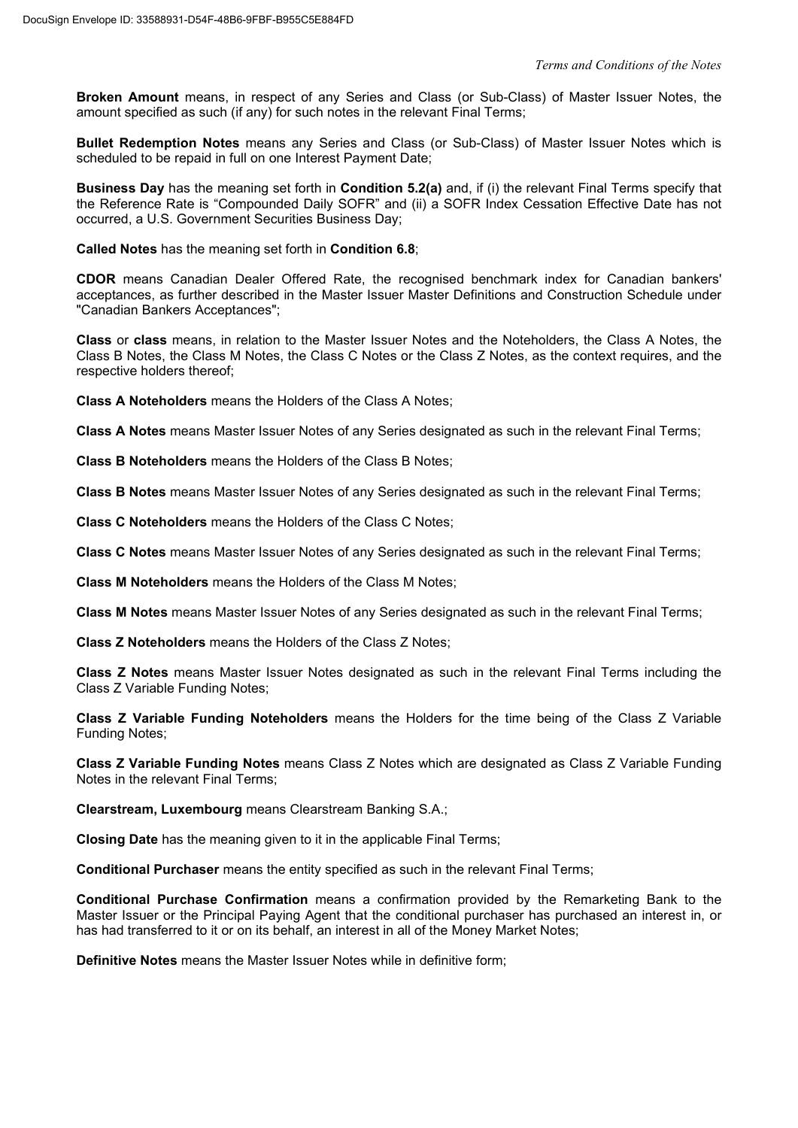**Broken Amount** means, in respect of any Series and Class (or Sub-Class) of Master Issuer Notes, the amount specified as such (if any) for such notes in the relevant Final Terms;

**Bullet Redemption Notes** means any Series and Class (or Sub-Class) of Master Issuer Notes which is scheduled to be repaid in full on one Interest Payment Date;

**Business Day** has the meaning set forth in **Condition 5.2(a)** and, if (i) the relevant Final Terms specify that the Reference Rate is "Compounded Daily SOFR" and (ii) a SOFR Index Cessation Effective Date has not occurred, a U.S. Government Securities Business Day;

**Called Notes** has the meaning set forth in **Condition 6.8**;

**CDOR** means Canadian Dealer Offered Rate, the recognised benchmark index for Canadian bankers' acceptances, as further described in the Master Issuer Master Definitions and Construction Schedule under "Canadian Bankers Acceptances";

**Class** or **class** means, in relation to the Master Issuer Notes and the Noteholders, the Class A Notes, the Class B Notes, the Class M Notes, the Class C Notes or the Class Z Notes, as the context requires, and the respective holders thereof;

**Class A Noteholders** means the Holders of the Class A Notes;

**Class A Notes** means Master Issuer Notes of any Series designated as such in the relevant Final Terms;

**Class B Noteholders** means the Holders of the Class B Notes;

**Class B Notes** means Master Issuer Notes of any Series designated as such in the relevant Final Terms;

**Class C Noteholders** means the Holders of the Class C Notes;

**Class C Notes** means Master Issuer Notes of any Series designated as such in the relevant Final Terms;

**Class M Noteholders** means the Holders of the Class M Notes;

**Class M Notes** means Master Issuer Notes of any Series designated as such in the relevant Final Terms;

**Class Z Noteholders** means the Holders of the Class Z Notes;

**Class Z Notes** means Master Issuer Notes designated as such in the relevant Final Terms including the Class Z Variable Funding Notes;

**Class Z Variable Funding Noteholders** means the Holders for the time being of the Class Z Variable Funding Notes;

**Class Z Variable Funding Notes** means Class Z Notes which are designated as Class Z Variable Funding Notes in the relevant Final Terms;

**Clearstream, Luxembourg** means Clearstream Banking S.A.;

**Closing Date** has the meaning given to it in the applicable Final Terms;

**Conditional Purchaser** means the entity specified as such in the relevant Final Terms;

**Conditional Purchase Confirmation** means a confirmation provided by the Remarketing Bank to the Master Issuer or the Principal Paying Agent that the conditional purchaser has purchased an interest in, or has had transferred to it or on its behalf, an interest in all of the Money Market Notes;

**Definitive Notes** means the Master Issuer Notes while in definitive form;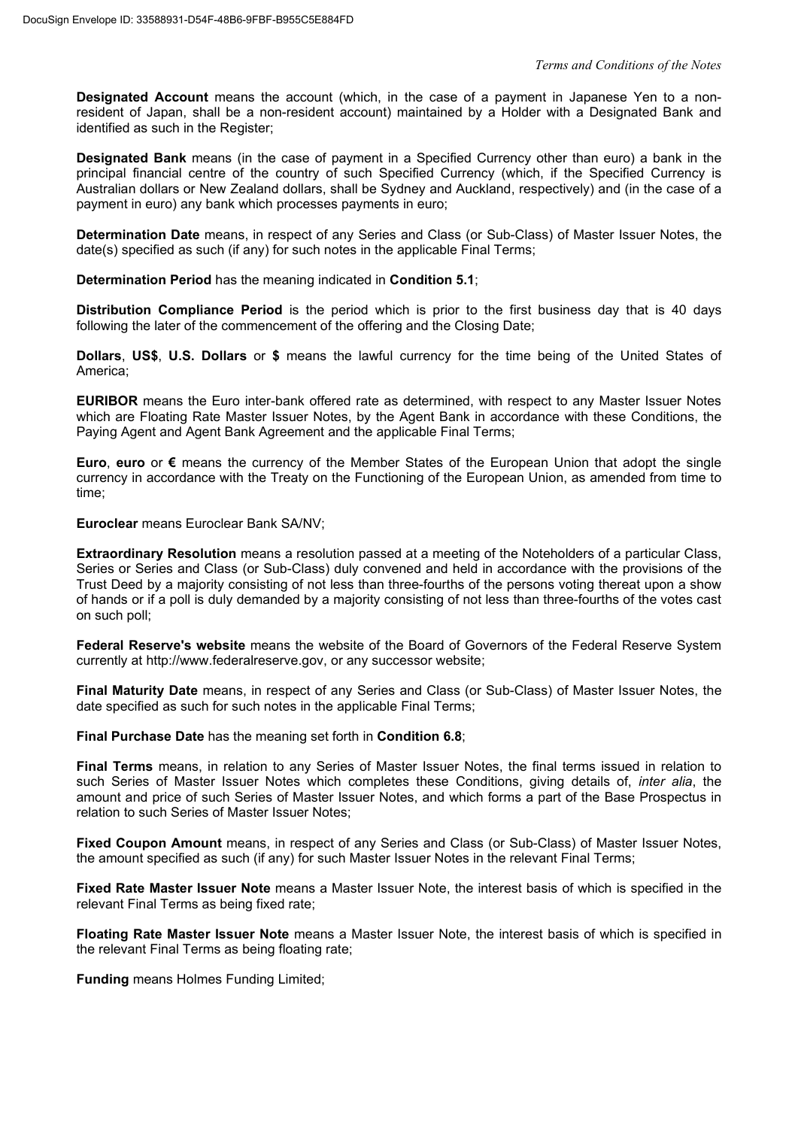**Designated Account** means the account (which, in the case of a payment in Japanese Yen to a nonresident of Japan, shall be a non-resident account) maintained by a Holder with a Designated Bank and identified as such in the Register;

**Designated Bank** means (in the case of payment in a Specified Currency other than euro) a bank in the principal financial centre of the country of such Specified Currency (which, if the Specified Currency is Australian dollars or New Zealand dollars, shall be Sydney and Auckland, respectively) and (in the case of a payment in euro) any bank which processes payments in euro;

**Determination Date** means, in respect of any Series and Class (or Sub-Class) of Master Issuer Notes, the date(s) specified as such (if any) for such notes in the applicable Final Terms;

**Determination Period** has the meaning indicated in **Condition 5.1**;

**Distribution Compliance Period** is the period which is prior to the first business day that is 40 days following the later of the commencement of the offering and the Closing Date;

**Dollars**, **US\$**, **U.S. Dollars** or **\$** means the lawful currency for the time being of the United States of America;

**EURIBOR** means the Euro inter-bank offered rate as determined, with respect to any Master Issuer Notes which are Floating Rate Master Issuer Notes, by the Agent Bank in accordance with these Conditions, the Paying Agent and Agent Bank Agreement and the applicable Final Terms;

**Euro**, **euro** or **€** means the currency of the Member States of the European Union that adopt the single currency in accordance with the Treaty on the Functioning of the European Union, as amended from time to time;

**Euroclear** means Euroclear Bank SA/NV;

**Extraordinary Resolution** means a resolution passed at a meeting of the Noteholders of a particular Class, Series or Series and Class (or Sub-Class) duly convened and held in accordance with the provisions of the Trust Deed by a majority consisting of not less than three-fourths of the persons voting thereat upon a show of hands or if a poll is duly demanded by a majority consisting of not less than three-fourths of the votes cast on such poll;

**Federal Reserve's website** means the website of the Board of Governors of the Federal Reserve System currently at http://www.federalreserve.gov, or any successor website;

**Final Maturity Date** means, in respect of any Series and Class (or Sub-Class) of Master Issuer Notes, the date specified as such for such notes in the applicable Final Terms;

**Final Purchase Date** has the meaning set forth in **Condition 6.8**;

**Final Terms** means, in relation to any Series of Master Issuer Notes, the final terms issued in relation to such Series of Master Issuer Notes which completes these Conditions, giving details of, *inter alia*, the amount and price of such Series of Master Issuer Notes, and which forms a part of the Base Prospectus in relation to such Series of Master Issuer Notes;

**Fixed Coupon Amount** means, in respect of any Series and Class (or Sub-Class) of Master Issuer Notes, the amount specified as such (if any) for such Master Issuer Notes in the relevant Final Terms;

**Fixed Rate Master Issuer Note** means a Master Issuer Note, the interest basis of which is specified in the relevant Final Terms as being fixed rate;

**Floating Rate Master Issuer Note** means a Master Issuer Note, the interest basis of which is specified in the relevant Final Terms as being floating rate;

**Funding** means Holmes Funding Limited;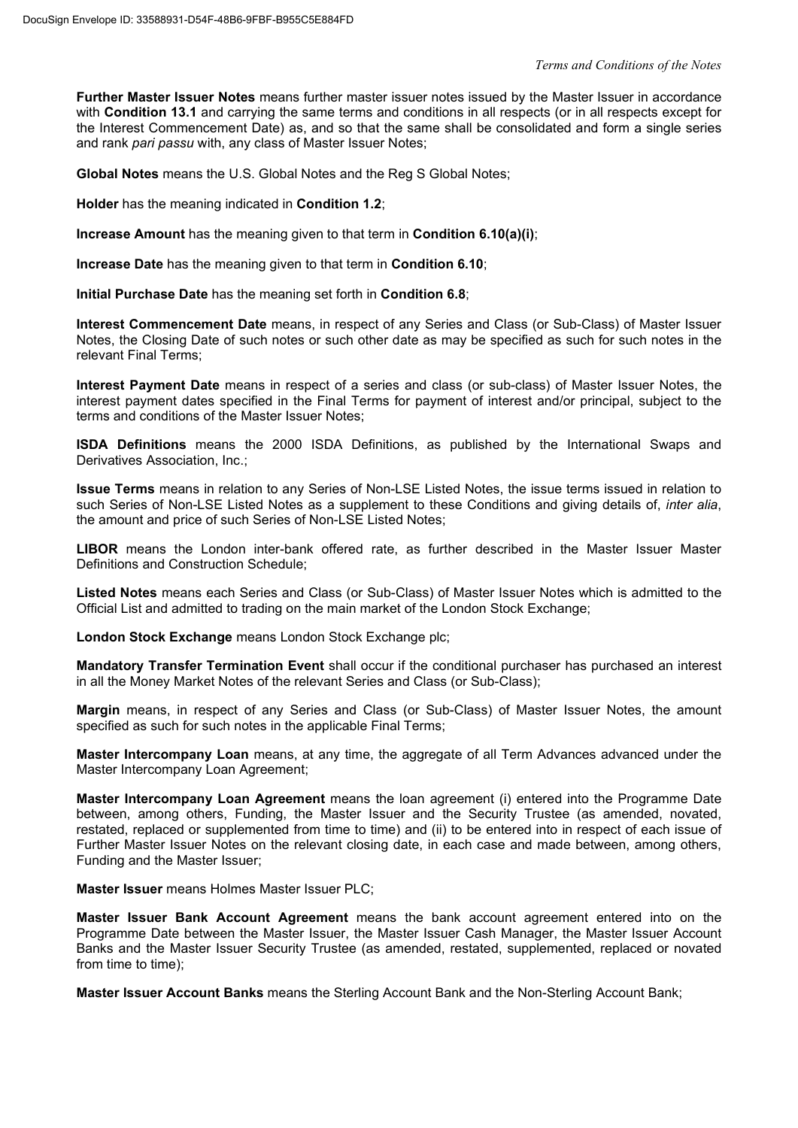**Further Master Issuer Notes** means further master issuer notes issued by the Master Issuer in accordance with **Condition 13.1** and carrying the same terms and conditions in all respects (or in all respects except for the Interest Commencement Date) as, and so that the same shall be consolidated and form a single series and rank *pari passu* with, any class of Master Issuer Notes;

**Global Notes** means the U.S. Global Notes and the Reg S Global Notes;

**Holder** has the meaning indicated in **Condition 1.2**;

**Increase Amount** has the meaning given to that term in **Condition 6.10(a)(i)**;

**Increase Date** has the meaning given to that term in **Condition 6.10**;

**Initial Purchase Date** has the meaning set forth in **Condition 6.8**;

**Interest Commencement Date** means, in respect of any Series and Class (or Sub-Class) of Master Issuer Notes, the Closing Date of such notes or such other date as may be specified as such for such notes in the relevant Final Terms;

**Interest Payment Date** means in respect of a series and class (or sub-class) of Master Issuer Notes, the interest payment dates specified in the Final Terms for payment of interest and/or principal, subject to the terms and conditions of the Master Issuer Notes;

**ISDA Definitions** means the 2000 ISDA Definitions, as published by the International Swaps and Derivatives Association, Inc.;

**Issue Terms** means in relation to any Series of Non-LSE Listed Notes, the issue terms issued in relation to such Series of Non-LSE Listed Notes as a supplement to these Conditions and giving details of, *inter alia*, the amount and price of such Series of Non-LSE Listed Notes;

**LIBOR** means the London inter-bank offered rate, as further described in the Master Issuer Master Definitions and Construction Schedule;

**Listed Notes** means each Series and Class (or Sub-Class) of Master Issuer Notes which is admitted to the Official List and admitted to trading on the main market of the London Stock Exchange;

**London Stock Exchange** means London Stock Exchange plc;

**Mandatory Transfer Termination Event** shall occur if the conditional purchaser has purchased an interest in all the Money Market Notes of the relevant Series and Class (or Sub-Class);

**Margin** means, in respect of any Series and Class (or Sub-Class) of Master Issuer Notes, the amount specified as such for such notes in the applicable Final Terms;

**Master Intercompany Loan** means, at any time, the aggregate of all Term Advances advanced under the Master Intercompany Loan Agreement;

**Master Intercompany Loan Agreement** means the loan agreement (i) entered into the Programme Date between, among others, Funding, the Master Issuer and the Security Trustee (as amended, novated, restated, replaced or supplemented from time to time) and (ii) to be entered into in respect of each issue of Further Master Issuer Notes on the relevant closing date, in each case and made between, among others, Funding and the Master Issuer;

**Master Issuer** means Holmes Master Issuer PLC;

**Master Issuer Bank Account Agreement** means the bank account agreement entered into on the Programme Date between the Master Issuer, the Master Issuer Cash Manager, the Master Issuer Account Banks and the Master Issuer Security Trustee (as amended, restated, supplemented, replaced or novated from time to time):

**Master Issuer Account Banks** means the Sterling Account Bank and the Non-Sterling Account Bank;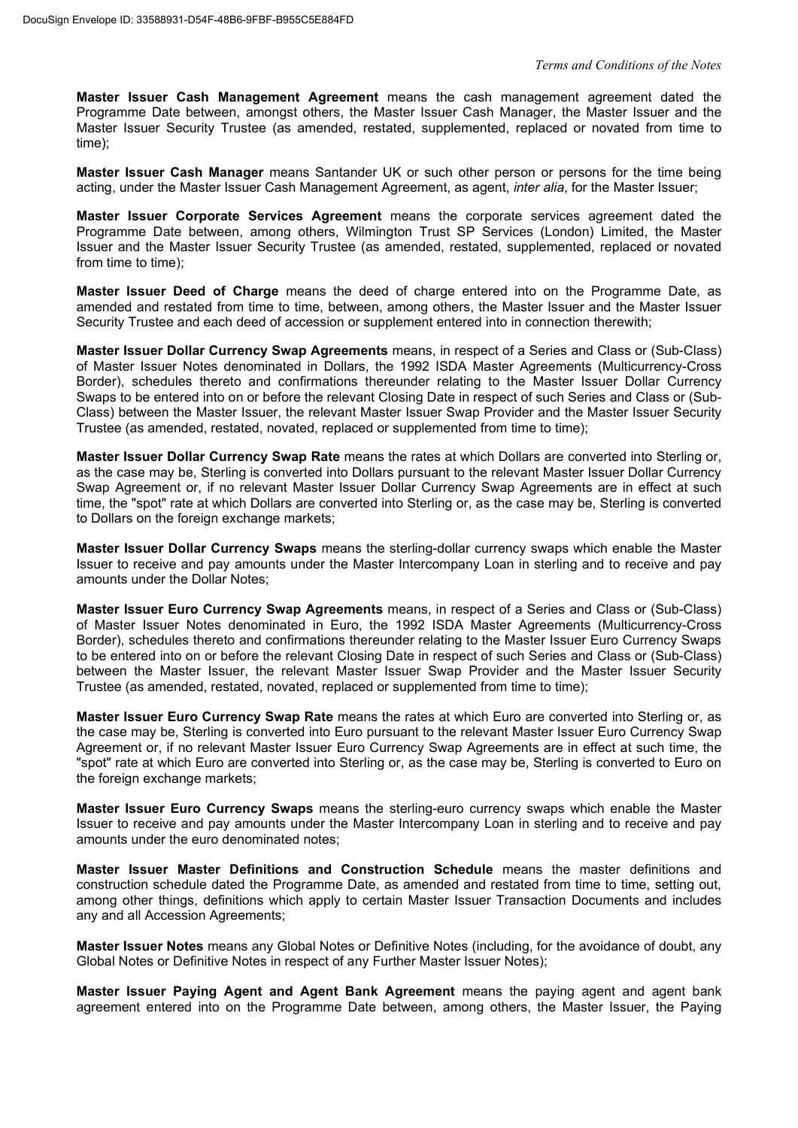**Master Issuer Cash Management Agreement** means the cash management agreement dated the Programme Date between, amongst others, the Master Issuer Cash Manager, the Master Issuer and the Master Issuer Security Trustee (as amended, restated, supplemented, replaced or novated from time to time);

**Master Issuer Cash Manager** means Santander UK or such other person or persons for the time being acting, under the Master Issuer Cash Management Agreement, as agent, *inter alia*, for the Master Issuer;

**Master Issuer Corporate Services Agreement** means the corporate services agreement dated the Programme Date between, among others, Wilmington Trust SP Services (London) Limited, the Master Issuer and the Master Issuer Security Trustee (as amended, restated, supplemented, replaced or novated from time to time);

**Master Issuer Deed of Charge** means the deed of charge entered into on the Programme Date, as amended and restated from time to time, between, among others, the Master Issuer and the Master Issuer Security Trustee and each deed of accession or supplement entered into in connection therewith;

**Master Issuer Dollar Currency Swap Agreements** means, in respect of a Series and Class or (Sub-Class) of Master Issuer Notes denominated in Dollars, the 1992 ISDA Master Agreements (Multicurrency-Cross Border), schedules thereto and confirmations thereunder relating to the Master Issuer Dollar Currency Swaps to be entered into on or before the relevant Closing Date in respect of such Series and Class or (Sub-Class) between the Master Issuer, the relevant Master Issuer Swap Provider and the Master Issuer Security Trustee (as amended, restated, novated, replaced or supplemented from time to time);

**Master Issuer Dollar Currency Swap Rate** means the rates at which Dollars are converted into Sterling or, as the case may be, Sterling is converted into Dollars pursuant to the relevant Master Issuer Dollar Currency Swap Agreement or, if no relevant Master Issuer Dollar Currency Swap Agreements are in effect at such time, the "spot" rate at which Dollars are converted into Sterling or, as the case may be, Sterling is converted to Dollars on the foreign exchange markets;

**Master Issuer Dollar Currency Swaps** means the sterling-dollar currency swaps which enable the Master Issuer to receive and pay amounts under the Master Intercompany Loan in sterling and to receive and pay amounts under the Dollar Notes;

**Master Issuer Euro Currency Swap Agreements** means, in respect of a Series and Class or (Sub-Class) of Master Issuer Notes denominated in Euro, the 1992 ISDA Master Agreements (Multicurrency-Cross Border), schedules thereto and confirmations thereunder relating to the Master Issuer Euro Currency Swaps to be entered into on or before the relevant Closing Date in respect of such Series and Class or (Sub-Class) between the Master Issuer, the relevant Master Issuer Swap Provider and the Master Issuer Security Trustee (as amended, restated, novated, replaced or supplemented from time to time);

**Master Issuer Euro Currency Swap Rate** means the rates at which Euro are converted into Sterling or, as the case may be, Sterling is converted into Euro pursuant to the relevant Master Issuer Euro Currency Swap Agreement or, if no relevant Master Issuer Euro Currency Swap Agreements are in effect at such time, the "spot" rate at which Euro are converted into Sterling or, as the case may be, Sterling is converted to Euro on the foreign exchange markets;

**Master Issuer Euro Currency Swaps** means the sterling-euro currency swaps which enable the Master Issuer to receive and pay amounts under the Master Intercompany Loan in sterling and to receive and pay amounts under the euro denominated notes;

**Master Issuer Master Definitions and Construction Schedule** means the master definitions and construction schedule dated the Programme Date, as amended and restated from time to time, setting out, among other things, definitions which apply to certain Master Issuer Transaction Documents and includes any and all Accession Agreements;

**Master Issuer Notes** means any Global Notes or Definitive Notes (including, for the avoidance of doubt, any Global Notes or Definitive Notes in respect of any Further Master Issuer Notes);

**Master Issuer Paying Agent and Agent Bank Agreement** means the paying agent and agent bank agreement entered into on the Programme Date between, among others, the Master Issuer, the Paying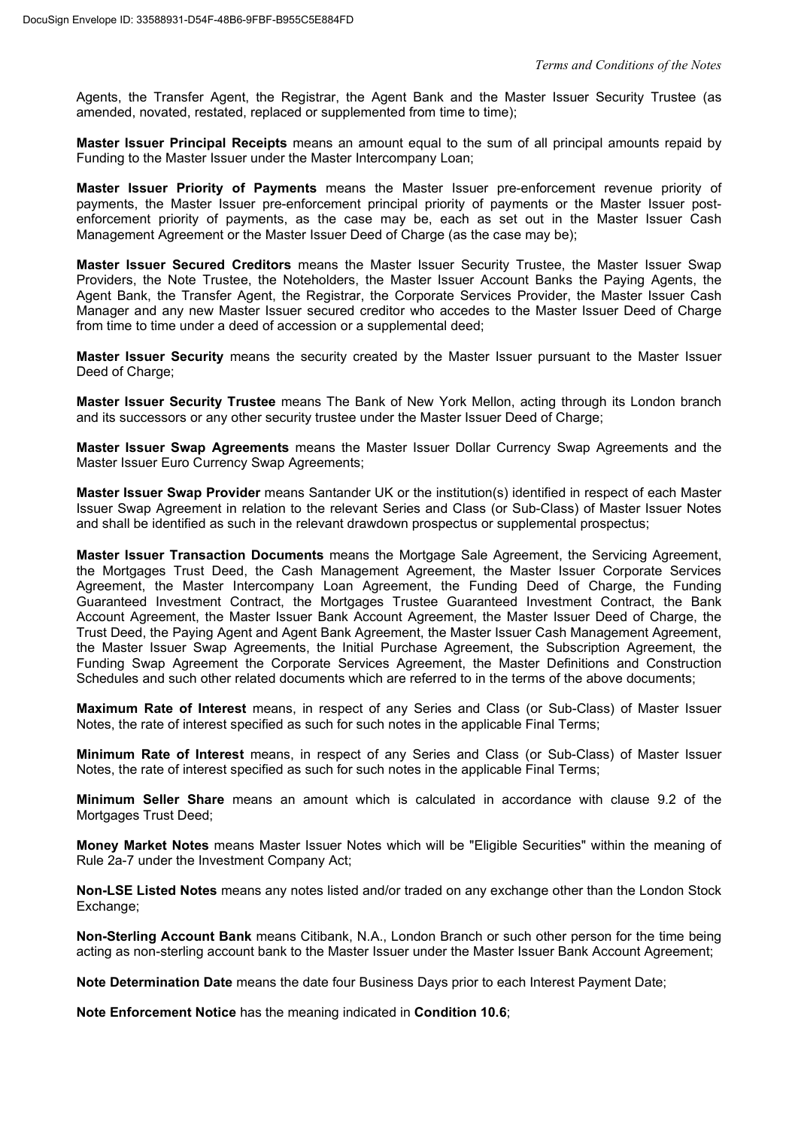Agents, the Transfer Agent, the Registrar, the Agent Bank and the Master Issuer Security Trustee (as amended, novated, restated, replaced or supplemented from time to time);

**Master Issuer Principal Receipts** means an amount equal to the sum of all principal amounts repaid by Funding to the Master Issuer under the Master Intercompany Loan;

**Master Issuer Priority of Payments** means the Master Issuer pre-enforcement revenue priority of payments, the Master Issuer pre-enforcement principal priority of payments or the Master Issuer postenforcement priority of payments, as the case may be, each as set out in the Master Issuer Cash Management Agreement or the Master Issuer Deed of Charge (as the case may be);

**Master Issuer Secured Creditors** means the Master Issuer Security Trustee, the Master Issuer Swap Providers, the Note Trustee, the Noteholders, the Master Issuer Account Banks the Paying Agents, the Agent Bank, the Transfer Agent, the Registrar, the Corporate Services Provider, the Master Issuer Cash Manager and any new Master Issuer secured creditor who accedes to the Master Issuer Deed of Charge from time to time under a deed of accession or a supplemental deed;

**Master Issuer Security** means the security created by the Master Issuer pursuant to the Master Issuer Deed of Charge;

**Master Issuer Security Trustee** means The Bank of New York Mellon, acting through its London branch and its successors or any other security trustee under the Master Issuer Deed of Charge;

**Master Issuer Swap Agreements** means the Master Issuer Dollar Currency Swap Agreements and the Master Issuer Euro Currency Swap Agreements;

**Master Issuer Swap Provider** means Santander UK or the institution(s) identified in respect of each Master Issuer Swap Agreement in relation to the relevant Series and Class (or Sub-Class) of Master Issuer Notes and shall be identified as such in the relevant drawdown prospectus or supplemental prospectus;

**Master Issuer Transaction Documents** means the Mortgage Sale Agreement, the Servicing Agreement, the Mortgages Trust Deed, the Cash Management Agreement, the Master Issuer Corporate Services Agreement, the Master Intercompany Loan Agreement, the Funding Deed of Charge, the Funding Guaranteed Investment Contract, the Mortgages Trustee Guaranteed Investment Contract, the Bank Account Agreement, the Master Issuer Bank Account Agreement, the Master Issuer Deed of Charge, the Trust Deed, the Paying Agent and Agent Bank Agreement, the Master Issuer Cash Management Agreement, the Master Issuer Swap Agreements, the Initial Purchase Agreement, the Subscription Agreement, the Funding Swap Agreement the Corporate Services Agreement, the Master Definitions and Construction Schedules and such other related documents which are referred to in the terms of the above documents;

**Maximum Rate of Interest** means, in respect of any Series and Class (or Sub-Class) of Master Issuer Notes, the rate of interest specified as such for such notes in the applicable Final Terms;

**Minimum Rate of Interest** means, in respect of any Series and Class (or Sub-Class) of Master Issuer Notes, the rate of interest specified as such for such notes in the applicable Final Terms;

**Minimum Seller Share** means an amount which is calculated in accordance with clause 9.2 of the Mortgages Trust Deed;

**Money Market Notes** means Master Issuer Notes which will be "Eligible Securities" within the meaning of Rule 2a-7 under the Investment Company Act;

**Non-LSE Listed Notes** means any notes listed and/or traded on any exchange other than the London Stock Exchange;

**Non-Sterling Account Bank** means Citibank, N.A., London Branch or such other person for the time being acting as non-sterling account bank to the Master Issuer under the Master Issuer Bank Account Agreement;

**Note Determination Date** means the date four Business Days prior to each Interest Payment Date;

**Note Enforcement Notice** has the meaning indicated in **Condition 10.6**;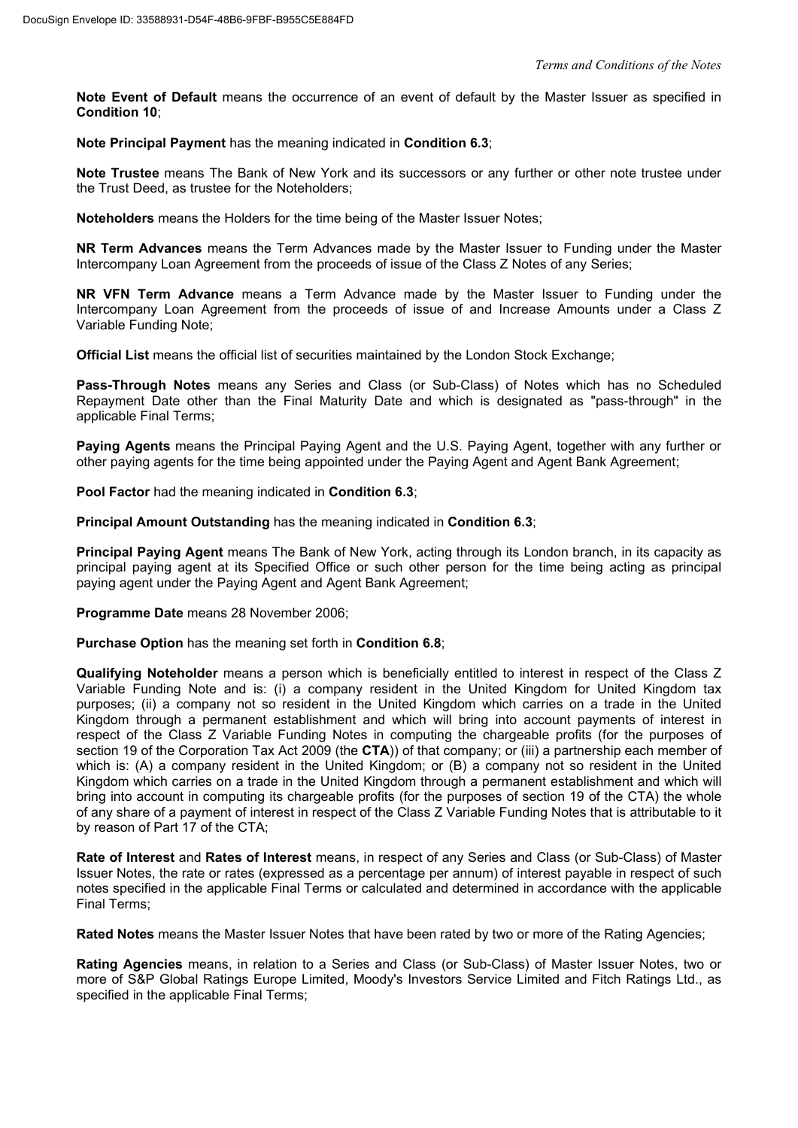**Note Event of Default** means the occurrence of an event of default by the Master Issuer as specified in **Condition 10**;

**Note Principal Payment** has the meaning indicated in **Condition 6.3**;

**Note Trustee** means The Bank of New York and its successors or any further or other note trustee under the Trust Deed, as trustee for the Noteholders;

**Noteholders** means the Holders for the time being of the Master Issuer Notes;

**NR Term Advances** means the Term Advances made by the Master Issuer to Funding under the Master Intercompany Loan Agreement from the proceeds of issue of the Class Z Notes of any Series;

**NR VFN Term Advance** means a Term Advance made by the Master Issuer to Funding under the Intercompany Loan Agreement from the proceeds of issue of and Increase Amounts under a Class Z Variable Funding Note;

**Official List** means the official list of securities maintained by the London Stock Exchange;

**Pass-Through Notes** means any Series and Class (or Sub-Class) of Notes which has no Scheduled Repayment Date other than the Final Maturity Date and which is designated as "pass-through" in the applicable Final Terms;

**Paying Agents** means the Principal Paying Agent and the U.S. Paying Agent, together with any further or other paying agents for the time being appointed under the Paying Agent and Agent Bank Agreement;

**Pool Factor** had the meaning indicated in **Condition 6.3**;

**Principal Amount Outstanding** has the meaning indicated in **Condition 6.3**;

**Principal Paying Agent** means The Bank of New York, acting through its London branch, in its capacity as principal paying agent at its Specified Office or such other person for the time being acting as principal paying agent under the Paying Agent and Agent Bank Agreement;

**Programme Date** means 28 November 2006;

**Purchase Option** has the meaning set forth in **Condition 6.8**;

**Qualifying Noteholder** means a person which is beneficially entitled to interest in respect of the Class Z Variable Funding Note and is: (i) a company resident in the United Kingdom for United Kingdom tax purposes; (ii) a company not so resident in the United Kingdom which carries on a trade in the United Kingdom through a permanent establishment and which will bring into account payments of interest in respect of the Class Z Variable Funding Notes in computing the chargeable profits (for the purposes of section 19 of the Corporation Tax Act 2009 (the **CTA**)) of that company; or (iii) a partnership each member of which is: (A) a company resident in the United Kingdom; or (B) a company not so resident in the United Kingdom which carries on a trade in the United Kingdom through a permanent establishment and which will bring into account in computing its chargeable profits (for the purposes of section 19 of the CTA) the whole of any share of a payment of interest in respect of the Class Z Variable Funding Notes that is attributable to it by reason of Part 17 of the CTA;

**Rate of Interest** and **Rates of Interest** means, in respect of any Series and Class (or Sub-Class) of Master Issuer Notes, the rate or rates (expressed as a percentage per annum) of interest payable in respect of such notes specified in the applicable Final Terms or calculated and determined in accordance with the applicable Final Terms;

**Rated Notes** means the Master Issuer Notes that have been rated by two or more of the Rating Agencies;

**Rating Agencies** means, in relation to a Series and Class (or Sub-Class) of Master Issuer Notes, two or more of S&P Global Ratings Europe Limited, Moody's Investors Service Limited and Fitch Ratings Ltd., as specified in the applicable Final Terms;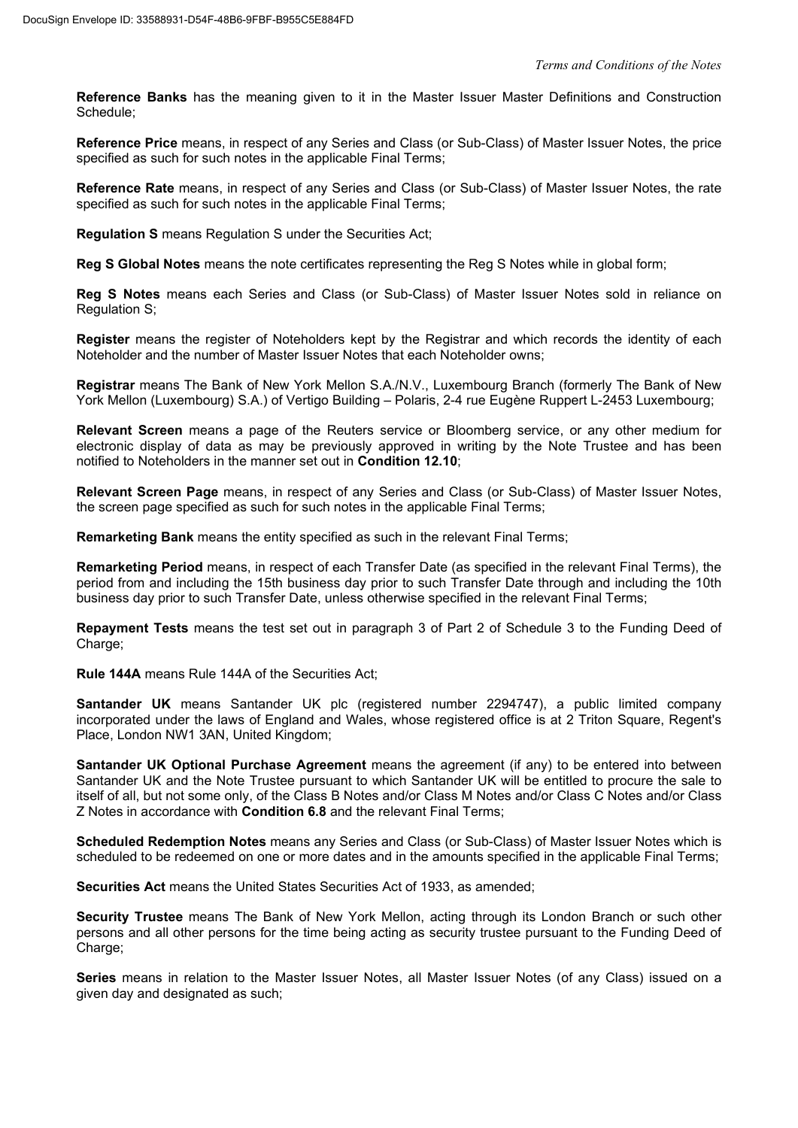**Reference Banks** has the meaning given to it in the Master Issuer Master Definitions and Construction Schedule;

**Reference Price** means, in respect of any Series and Class (or Sub-Class) of Master Issuer Notes, the price specified as such for such notes in the applicable Final Terms;

**Reference Rate** means, in respect of any Series and Class (or Sub-Class) of Master Issuer Notes, the rate specified as such for such notes in the applicable Final Terms;

**Regulation S** means Regulation S under the Securities Act;

**Reg S Global Notes** means the note certificates representing the Reg S Notes while in global form;

**Reg S Notes** means each Series and Class (or Sub-Class) of Master Issuer Notes sold in reliance on Regulation S;

**Register** means the register of Noteholders kept by the Registrar and which records the identity of each Noteholder and the number of Master Issuer Notes that each Noteholder owns;

**Registrar** means The Bank of New York Mellon S.A./N.V., Luxembourg Branch (formerly The Bank of New York Mellon (Luxembourg) S.A.) of Vertigo Building – Polaris, 2-4 rue Eugène Ruppert L-2453 Luxembourg;

**Relevant Screen** means a page of the Reuters service or Bloomberg service, or any other medium for electronic display of data as may be previously approved in writing by the Note Trustee and has been notified to Noteholders in the manner set out in **Condition 12.10**;

**Relevant Screen Page** means, in respect of any Series and Class (or Sub-Class) of Master Issuer Notes, the screen page specified as such for such notes in the applicable Final Terms;

**Remarketing Bank** means the entity specified as such in the relevant Final Terms;

**Remarketing Period** means, in respect of each Transfer Date (as specified in the relevant Final Terms), the period from and including the 15th business day prior to such Transfer Date through and including the 10th business day prior to such Transfer Date, unless otherwise specified in the relevant Final Terms;

**Repayment Tests** means the test set out in paragraph 3 of Part 2 of Schedule 3 to the Funding Deed of Charge;

**Rule 144A** means Rule 144A of the Securities Act;

**Santander UK** means Santander UK plc (registered number 2294747), a public limited company incorporated under the laws of England and Wales, whose registered office is at 2 Triton Square, Regent's Place, London NW1 3AN, United Kingdom;

**Santander UK Optional Purchase Agreement** means the agreement (if any) to be entered into between Santander UK and the Note Trustee pursuant to which Santander UK will be entitled to procure the sale to itself of all, but not some only, of the Class B Notes and/or Class M Notes and/or Class C Notes and/or Class Z Notes in accordance with **Condition 6.8** and the relevant Final Terms;

**Scheduled Redemption Notes** means any Series and Class (or Sub-Class) of Master Issuer Notes which is scheduled to be redeemed on one or more dates and in the amounts specified in the applicable Final Terms;

**Securities Act** means the United States Securities Act of 1933, as amended;

**Security Trustee** means The Bank of New York Mellon, acting through its London Branch or such other persons and all other persons for the time being acting as security trustee pursuant to the Funding Deed of Charge:

**Series** means in relation to the Master Issuer Notes, all Master Issuer Notes (of any Class) issued on a given day and designated as such;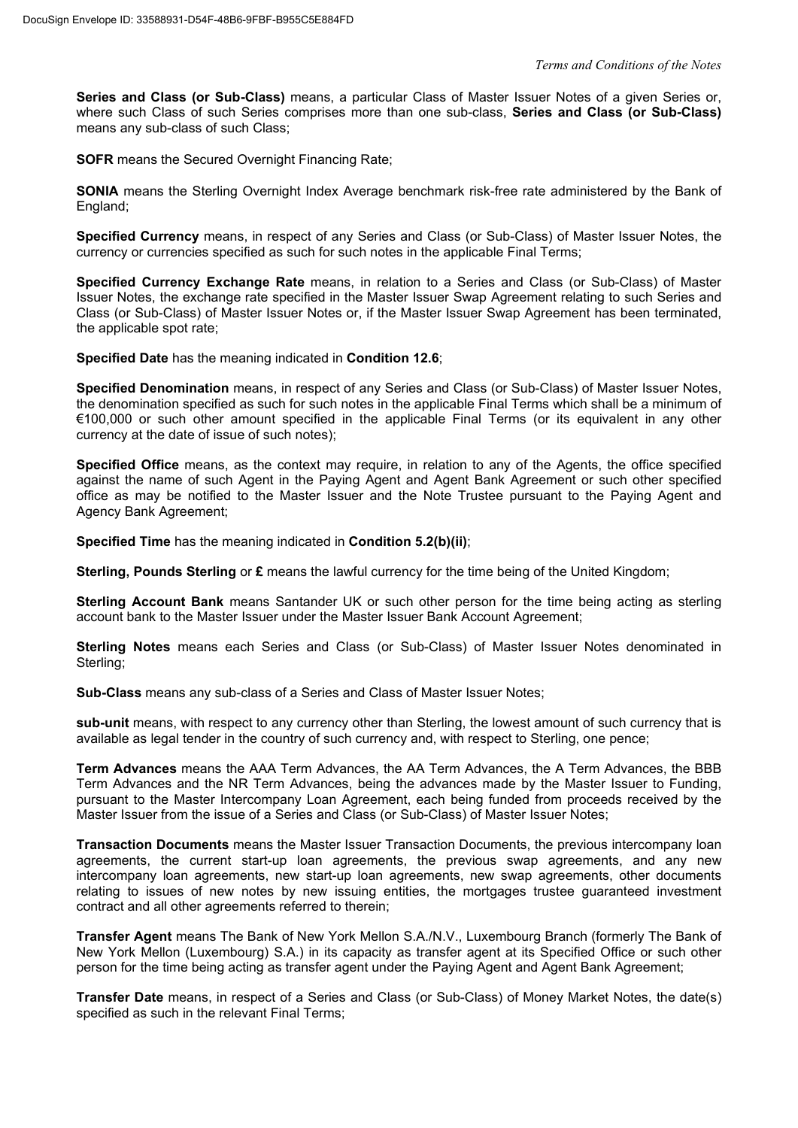**Series and Class (or Sub-Class)** means, a particular Class of Master Issuer Notes of a given Series or, where such Class of such Series comprises more than one sub-class, **Series and Class (or Sub-Class)** means any sub-class of such Class;

**SOFR** means the Secured Overnight Financing Rate:

**SONIA** means the Sterling Overnight Index Average benchmark risk-free rate administered by the Bank of England;

**Specified Currency** means, in respect of any Series and Class (or Sub-Class) of Master Issuer Notes, the currency or currencies specified as such for such notes in the applicable Final Terms;

**Specified Currency Exchange Rate** means, in relation to a Series and Class (or Sub-Class) of Master Issuer Notes, the exchange rate specified in the Master Issuer Swap Agreement relating to such Series and Class (or Sub-Class) of Master Issuer Notes or, if the Master Issuer Swap Agreement has been terminated, the applicable spot rate;

**Specified Date** has the meaning indicated in **Condition 12.6**;

**Specified Denomination** means, in respect of any Series and Class (or Sub-Class) of Master Issuer Notes, the denomination specified as such for such notes in the applicable Final Terms which shall be a minimum of €100,000 or such other amount specified in the applicable Final Terms (or its equivalent in any other currency at the date of issue of such notes);

**Specified Office** means, as the context may require, in relation to any of the Agents, the office specified against the name of such Agent in the Paying Agent and Agent Bank Agreement or such other specified office as may be notified to the Master Issuer and the Note Trustee pursuant to the Paying Agent and Agency Bank Agreement;

**Specified Time** has the meaning indicated in **Condition 5.2(b)(ii)**;

**Sterling, Pounds Sterling** or **£** means the lawful currency for the time being of the United Kingdom;

**Sterling Account Bank** means Santander UK or such other person for the time being acting as sterling account bank to the Master Issuer under the Master Issuer Bank Account Agreement;

**Sterling Notes** means each Series and Class (or Sub-Class) of Master Issuer Notes denominated in Sterling;

**Sub-Class** means any sub-class of a Series and Class of Master Issuer Notes;

**sub-unit** means, with respect to any currency other than Sterling, the lowest amount of such currency that is available as legal tender in the country of such currency and, with respect to Sterling, one pence;

**Term Advances** means the AAA Term Advances, the AA Term Advances, the A Term Advances, the BBB Term Advances and the NR Term Advances, being the advances made by the Master Issuer to Funding, pursuant to the Master Intercompany Loan Agreement, each being funded from proceeds received by the Master Issuer from the issue of a Series and Class (or Sub-Class) of Master Issuer Notes;

**Transaction Documents** means the Master Issuer Transaction Documents, the previous intercompany loan agreements, the current start-up loan agreements, the previous swap agreements, and any new intercompany loan agreements, new start-up loan agreements, new swap agreements, other documents relating to issues of new notes by new issuing entities, the mortgages trustee guaranteed investment contract and all other agreements referred to therein;

**Transfer Agent** means The Bank of New York Mellon S.A./N.V., Luxembourg Branch (formerly The Bank of New York Mellon (Luxembourg) S.A.) in its capacity as transfer agent at its Specified Office or such other person for the time being acting as transfer agent under the Paying Agent and Agent Bank Agreement;

**Transfer Date** means, in respect of a Series and Class (or Sub-Class) of Money Market Notes, the date(s) specified as such in the relevant Final Terms;